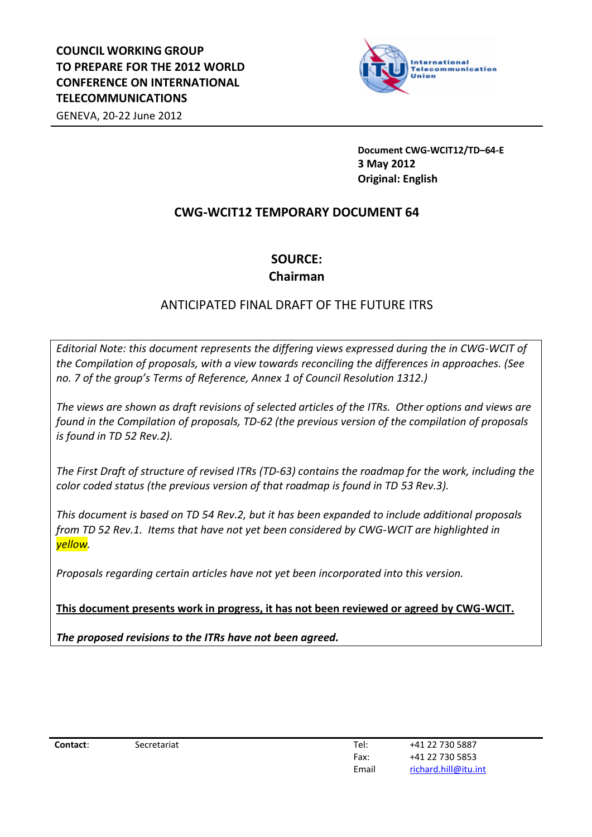

**Document CWG-WCIT12/TD–64-E 3 May 2012 Original: English**

# **CWG-WCIT12 TEMPORARY DOCUMENT 64**

# **SOURCE: Chairman**

# ANTICIPATED FINAL DRAFT OF THE FUTURE ITRS

*Editorial Note: this document represents the differing views expressed during the in CWG-WCIT of the Compilation of proposals, with a view towards reconciling the differences in approaches. (See no. 7 of the group's Terms of Reference, Annex 1 of Council Resolution 1312.)*

*The views are shown as draft revisions of selected articles of the ITRs. Other options and views are found in the Compilation of proposals, TD-62 (the previous version of the compilation of proposals is found in TD 52 Rev.2).*

*The First Draft of structure of revised ITRs (TD-63) contains the roadmap for the work, including the color coded status (the previous version of that roadmap is found in TD 53 Rev.3).* 

*This document is based on TD 54 Rev.2, but it has been expanded to include additional proposals from TD 52 Rev.1. Items that have not yet been considered by CWG-WCIT are highlighted in yellow.*

*Proposals regarding certain articles have not yet been incorporated into this version.* 

**This document presents work in progress, it has not been reviewed or agreed by CWG-WCIT.**

*The proposed revisions to the ITRs have not been agreed.*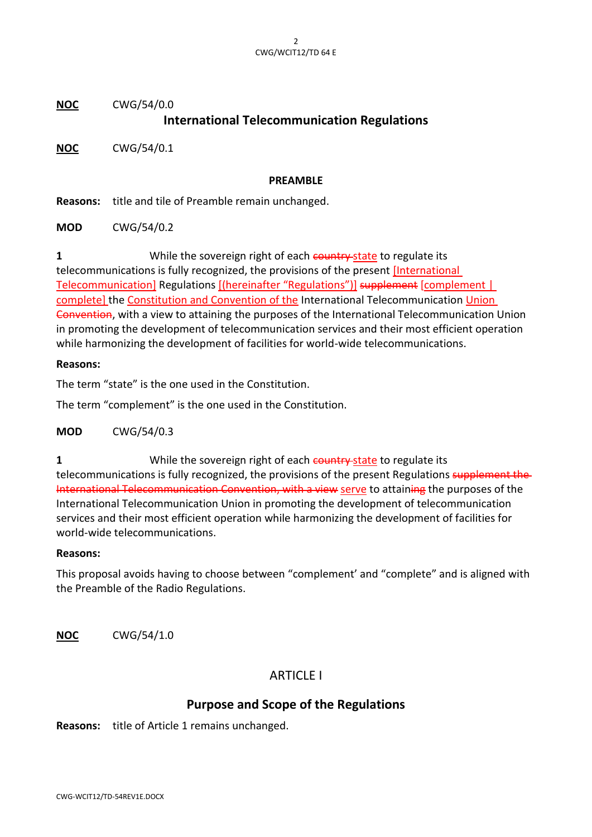**NOC** CWG/54/0.0

# **International Telecommunication Regulations**

**NOC** CWG/54/0.1

#### **PREAMBLE**

**Reasons:** title and tile of Preamble remain unchanged.

**MOD** CWG/54/0.2

**1** While the sovereign right of each country state to regulate its telecommunications is fully recognized, the provisions of the present [International Telecommunication] Regulations [(hereinafter "Regulations")] supplement [complement | complete] the Constitution and Convention of the International Telecommunication Union Convention, with a view to attaining the purposes of the International Telecommunication Union in promoting the development of telecommunication services and their most efficient operation while harmonizing the development of facilities for world-wide telecommunications.

#### **Reasons:**

The term "state" is the one used in the Constitution.

The term "complement" is the one used in the Constitution.

**MOD** CWG/54/0.3

**1** While the sovereign right of each country state to regulate its telecommunications is fully recognized, the provisions of the present Regulations supplement the International Telecommunication Convention, with a view serve to attaining the purposes of the International Telecommunication Union in promoting the development of telecommunication services and their most efficient operation while harmonizing the development of facilities for world-wide telecommunications.

#### **Reasons:**

This proposal avoids having to choose between "complement' and "complete" and is aligned with the Preamble of the Radio Regulations.

**NOC** CWG/54/1.0

# ARTICLE I

# **Purpose and Scope of the Regulations**

**Reasons:** title of Article 1 remains unchanged.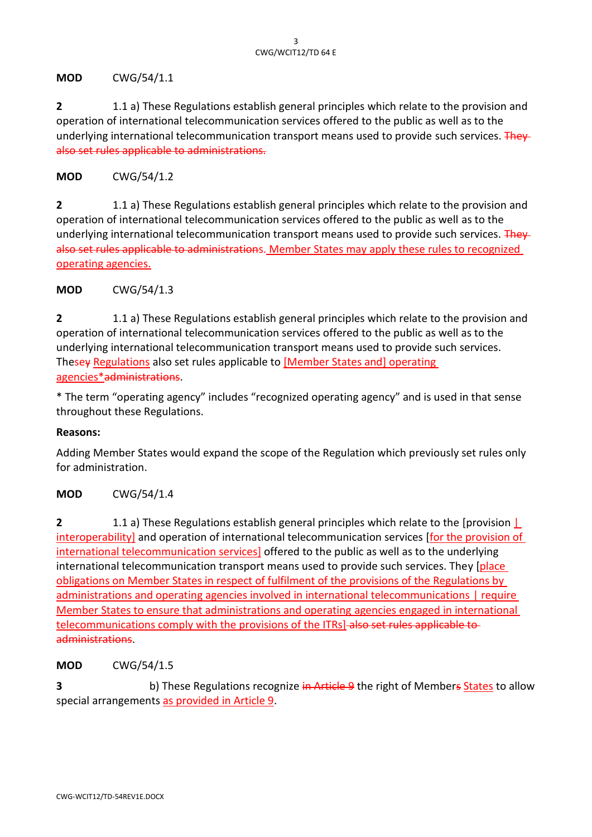**MOD** CWG/54/1.1

**2** 1.1 a) These Regulations establish general principles which relate to the provision and operation of international telecommunication services offered to the public as well as to the underlying international telecommunication transport means used to provide such services. They also set rules applicable to administrations.

**MOD** CWG/54/1.2

**2** 1.1 a) These Regulations establish general principles which relate to the provision and operation of international telecommunication services offered to the public as well as to the underlying international telecommunication transport means used to provide such services. They also set rules applicable to administrations. Member States may apply these rules to recognized operating agencies.

**MOD** CWG/54/1.3

**2** 1.1 a) These Regulations establish general principles which relate to the provision and operation of international telecommunication services offered to the public as well as to the underlying international telecommunication transport means used to provide such services. Thesey Regulations also set rules applicable to [Member States and] operating agencies\*administrations.

\* The term "operating agency" includes "recognized operating agency" and is used in that sense throughout these Regulations.

#### **Reasons:**

Adding Member States would expand the scope of the Regulation which previously set rules only for administration.

## **MOD** CWG/54/1.4

**2** 1.1 a) These Regulations establish general principles which relate to the [provision | interoperability] and operation of international telecommunication services [for the provision of international telecommunication services] offered to the public as well as to the underlying international telecommunication transport means used to provide such services. They [place] obligations on Member States in respect of fulfilment of the provisions of the Regulations by administrations and operating agencies involved in international telecommunications | require Member States to ensure that administrations and operating agencies engaged in international telecommunications comply with the provisions of the ITRs] also set rules applicable to administrations.

**MOD** CWG/54/1.5

**3 b**) These Regulations recognize in Article 9 the right of Members States to allow special arrangements as provided in Article 9.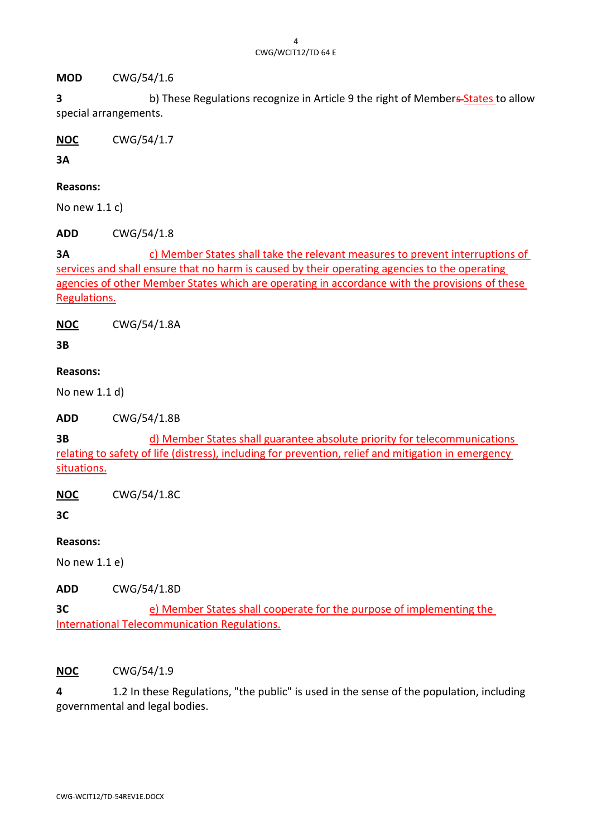**MOD** CWG/54/1.6

**3** b) These Regulations recognize in Article 9 the right of Members-States to allow special arrangements.

**NOC** CWG/54/1.7

**3A**

## **Reasons:**

No new 1.1 c)

**ADD** CWG/54/1.8

**3A** c) Member States shall take the relevant measures to prevent interruptions of services and shall ensure that no harm is caused by their operating agencies to the operating agencies of other Member States which are operating in accordance with the provisions of these Regulations.

**NOC** CWG/54/1.8A

**3B**

# **Reasons:**

No new 1.1 d)

**ADD** CWG/54/1.8B

**3B** d) Member States shall guarantee absolute priority for telecommunications relating to safety of life (distress), including for prevention, relief and mitigation in emergency situations.

**NOC** CWG/54/1.8C

**3C**

# **Reasons:**

No new 1.1 e)

**ADD** CWG/54/1.8D

**3C** e) Member States shall cooperate for the purpose of implementing the International Telecommunication Regulations.

## **NOC** CWG/54/1.9

**4** 1.2 In these Regulations, "the public" is used in the sense of the population, including governmental and legal bodies.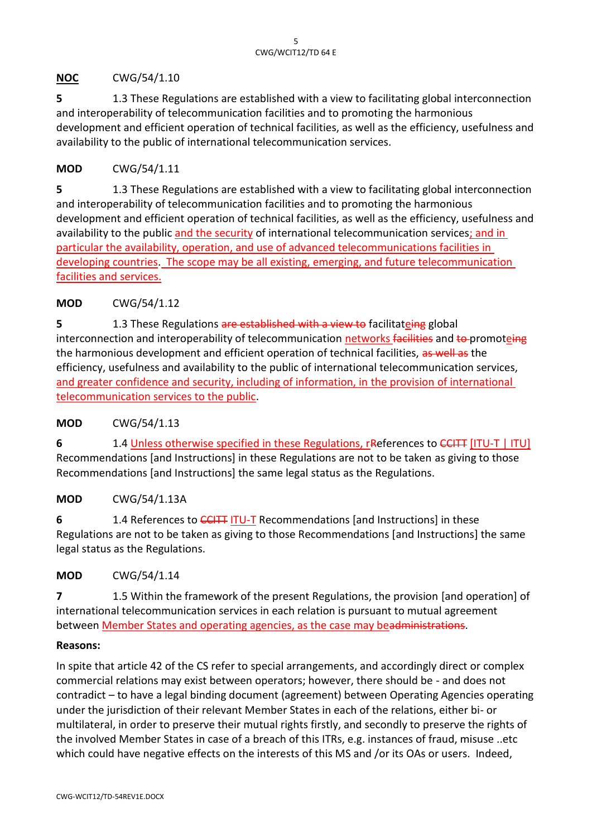# **NOC** CWG/54/1.10

**5** 1.3 These Regulations are established with a view to facilitating global interconnection and interoperability of telecommunication facilities and to promoting the harmonious development and efficient operation of technical facilities, as well as the efficiency, usefulness and availability to the public of international telecommunication services.

# **MOD** CWG/54/1.11

**5** 1.3 These Regulations are established with a view to facilitating global interconnection and interoperability of telecommunication facilities and to promoting the harmonious development and efficient operation of technical facilities, as well as the efficiency, usefulness and availability to the public and the security of international telecommunication services; and in particular the availability, operation, and use of advanced telecommunications facilities in developing countries. The scope may be all existing, emerging, and future telecommunication facilities and services.

# **MOD** CWG/54/1.12

**5** 1.3 These Regulations are established with a view to facilitateing global interconnection and interoperability of telecommunication networks facilities and to promoteing the harmonious development and efficient operation of technical facilities, as well as the efficiency, usefulness and availability to the public of international telecommunication services, and greater confidence and security, including of information, in the provision of international telecommunication services to the public.

## **MOD** CWG/54/1.13

**6** 1.4 Unless otherwise specified in these Regulations, references to CCITT [ITU-T | ITU] Recommendations [and Instructions] in these Regulations are not to be taken as giving to those Recommendations [and Instructions] the same legal status as the Regulations.

## **MOD** CWG/54/1.13A

**6** 1.4 References to CCITT ITU-T Recommendations [and Instructions] in these Regulations are not to be taken as giving to those Recommendations [and Instructions] the same legal status as the Regulations.

## **MOD** CWG/54/1.14

**7** 1.5 Within the framework of the present Regulations, the provision [and operation] of international telecommunication services in each relation is pursuant to mutual agreement between Member States and operating agencies, as the case may beadministrations.

## **Reasons:**

In spite that article 42 of the CS refer to special arrangements, and accordingly direct or complex commercial relations may exist between operators; however, there should be - and does not contradict – to have a legal binding document (agreement) between Operating Agencies operating under the jurisdiction of their relevant Member States in each of the relations, either bi- or multilateral, in order to preserve their mutual rights firstly, and secondly to preserve the rights of the involved Member States in case of a breach of this ITRs, e.g. instances of fraud, misuse ..etc which could have negative effects on the interests of this MS and /or its OAs or users. Indeed,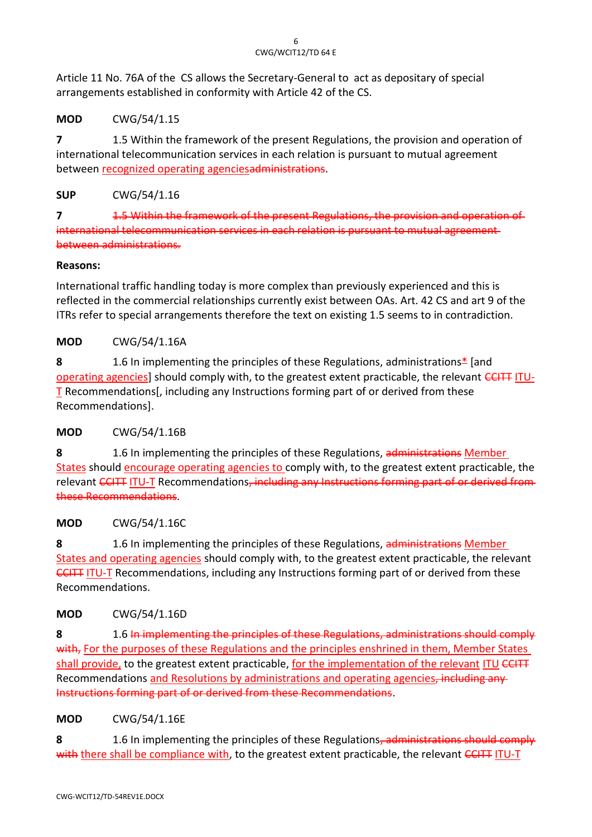Article 11 No. 76A of the CS allows the Secretary-General to act as depositary of special arrangements established in conformity with Article 42 of the CS.

# **MOD** CWG/54/1.15

**7** 1.5 Within the framework of the present Regulations, the provision and operation of international telecommunication services in each relation is pursuant to mutual agreement between recognized operating agenciesadministrations.

# **SUP** CWG/54/1.16

**7** 1.5 Within the framework of the present Regulations, the provision and operation of international telecommunication services in each relation is pursuant to mutual agreement between administrations.

## **Reasons:**

International traffic handling today is more complex than previously experienced and this is reflected in the commercial relationships currently exist between OAs. Art. 42 CS and art 9 of the ITRs refer to special arrangements therefore the text on existing 1.5 seems to in contradiction.

# **MOD** CWG/54/1.16A

**8** 1.6 In implementing the principles of these Regulations, administrations\* [and operating agencies] should comply with, to the greatest extent practicable, the relevant CCITT ITU-T Recommendations[, including any Instructions forming part of or derived from these Recommendations].

# **MOD** CWG/54/1.16B

**8** 1.6 In implementing the principles of these Regulations, administrations Member States should encourage operating agencies to comply with, to the greatest extent practicable, the relevant CCITT ITU-T Recommendations, including any Instructions forming part of or derived from these Recommendations.

# **MOD** CWG/54/1.16C

**8** 1.6 In implementing the principles of these Regulations, administrations Member States and operating agencies should comply with, to the greatest extent practicable, the relevant **CCITT ITU-T** Recommendations, including any Instructions forming part of or derived from these Recommendations.

# **MOD** CWG/54/1.16D

**8** 1.6 In implementing the principles of these Regulations, administrations should comply with, For the purposes of these Regulations and the principles enshrined in them, Member States shall provide, to the greatest extent practicable, for the implementation of the relevant ITU CCITT Recommendations and Resolutions by administrations and operating agencies, including any Instructions forming part of or derived from these Recommendations.

# **MOD** CWG/54/1.16E

**8** 1.6 In implementing the principles of these Regulations, administrations should comply with there shall be compliance with, to the greatest extent practicable, the relevant CCITT ITU-T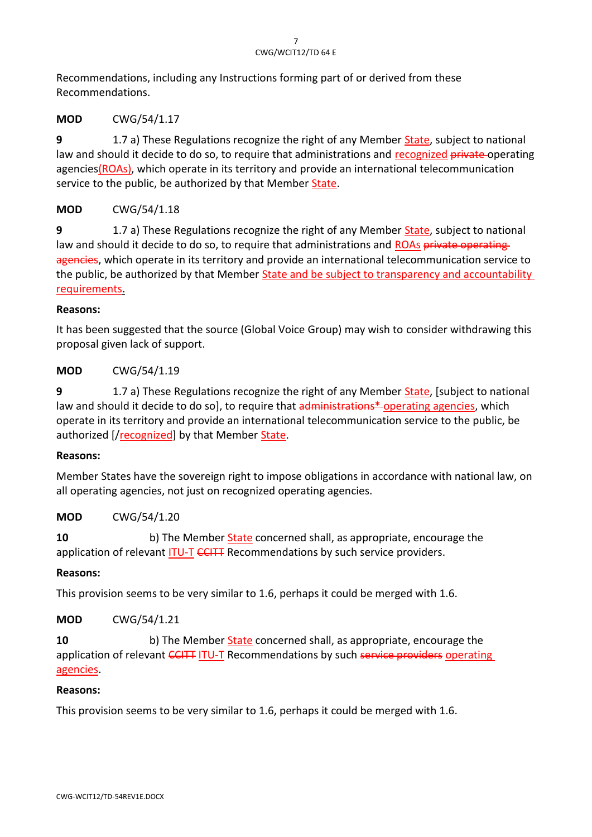Recommendations, including any Instructions forming part of or derived from these Recommendations.

# **MOD** CWG/54/1.17

**9** 1.7 a) These Regulations recognize the right of any Member State, subject to national law and should it decide to do so, to require that administrations and recognized private-operating agencies(ROAs), which operate in its territory and provide an international telecommunication service to the public, be authorized by that Member State.

# **MOD** CWG/54/1.18

**9** 1.7 a) These Regulations recognize the right of any Member State, subject to national law and should it decide to do so, to require that administrations and ROAs private operating agencies, which operate in its territory and provide an international telecommunication service to the public, be authorized by that Member State and be subject to transparency and accountability requirements.

# **Reasons:**

It has been suggested that the source (Global Voice Group) may wish to consider withdrawing this proposal given lack of support.

# **MOD** CWG/54/1.19

**9** 1.7 a) These Regulations recognize the right of any Member State, [subject to national law and should it decide to do so], to require that administrations\*-operating agencies, which operate in its territory and provide an international telecommunication service to the public, be authorized [/recognized] by that Member State.

# **Reasons:**

Member States have the sovereign right to impose obligations in accordance with national law, on all operating agencies, not just on recognized operating agencies.

# **MOD** CWG/54/1.20

**10** b) The Member **State concerned shall**, as appropriate, encourage the application of relevant ITU-T CCITT Recommendations by such service providers.

# **Reasons:**

This provision seems to be very similar to 1.6, perhaps it could be merged with 1.6.

# **MOD** CWG/54/1.21

**10** b) The Member State concerned shall, as appropriate, encourage the application of relevant CCITT ITU-T Recommendations by such service providers operating agencies.

## **Reasons:**

This provision seems to be very similar to 1.6, perhaps it could be merged with 1.6.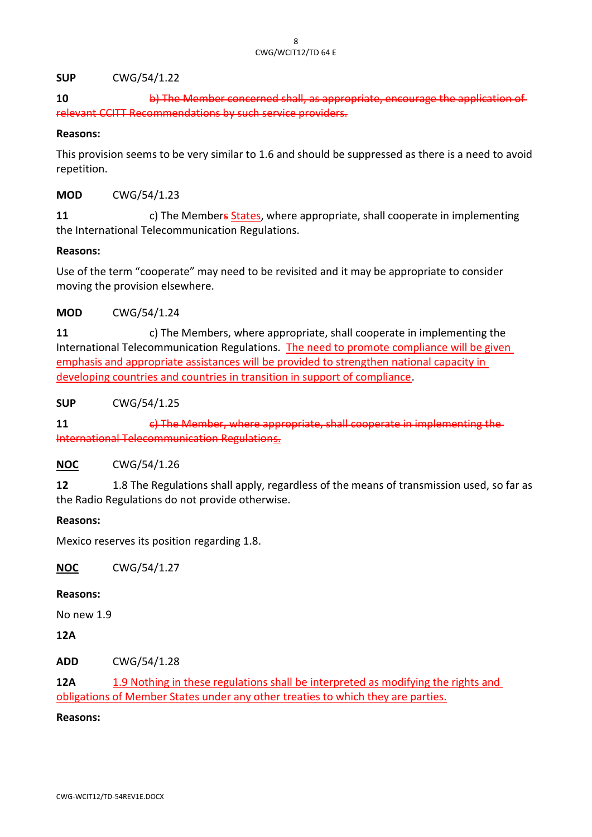#### **SUP** CWG/54/1.22

**10** b) The Member concerned shall, as appropriate, encourage the application of relevant CCITT Recommendations by such service providers.

#### **Reasons:**

This provision seems to be very similar to 1.6 and should be suppressed as there is a need to avoid repetition.

#### **MOD** CWG/54/1.23

**11** c) The Members States, where appropriate, shall cooperate in implementing the International Telecommunication Regulations.

#### **Reasons:**

Use of the term "cooperate" may need to be revisited and it may be appropriate to consider moving the provision elsewhere.

#### **MOD** CWG/54/1.24

**11** c) The Members, where appropriate, shall cooperate in implementing the International Telecommunication Regulations. The need to promote compliance will be given emphasis and appropriate assistances will be provided to strengthen national capacity in developing countries and countries in transition in support of compliance.

**SUP** CWG/54/1.25

**11 11** c) The Member, where appropriate, shall cooperate in implementing International Telecommunication Regulations.

## **NOC** CWG/54/1.26

**12** 1.8 The Regulations shall apply, regardless of the means of transmission used, so far as the Radio Regulations do not provide otherwise.

#### **Reasons:**

Mexico reserves its position regarding 1.8.

**NOC** CWG/54/1.27

#### **Reasons:**

No new 1.9

## **12A**

**ADD** CWG/54/1.28

**12A** 1.9 Nothing in these regulations shall be interpreted as modifying the rights and obligations of Member States under any other treaties to which they are parties.

#### **Reasons:**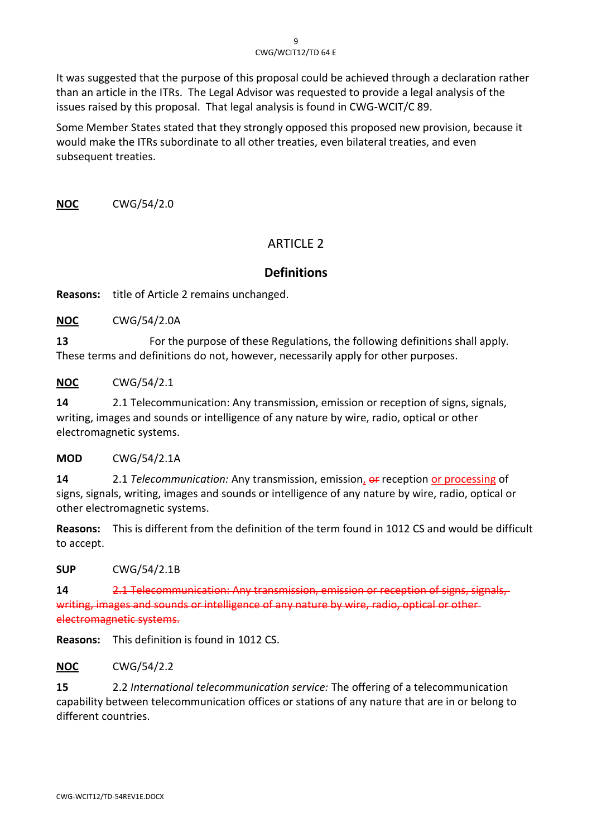It was suggested that the purpose of this proposal could be achieved through a declaration rather than an article in the ITRs. The Legal Advisor was requested to provide a legal analysis of the issues raised by this proposal. That legal analysis is found in CWG-WCIT/C 89.

Some Member States stated that they strongly opposed this proposed new provision, because it would make the ITRs subordinate to all other treaties, even bilateral treaties, and even subsequent treaties.

**NOC** CWG/54/2.0

# ARTICLE 2

# **Definitions**

**Reasons:** title of Article 2 remains unchanged.

**NOC** CWG/54/2.0A

**13** For the purpose of these Regulations, the following definitions shall apply. These terms and definitions do not, however, necessarily apply for other purposes.

**NOC** CWG/54/2.1

**14** 2.1 Telecommunication: Any transmission, emission or reception of signs, signals, writing, images and sounds or intelligence of any nature by wire, radio, optical or other electromagnetic systems.

**MOD** CWG/54/2.1A

**14** 2.1 *Telecommunication:* Any transmission, emission,  $\overline{or}$  reception or processing of signs, signals, writing, images and sounds or intelligence of any nature by wire, radio, optical or other electromagnetic systems.

**Reasons:** This is different from the definition of the term found in 1012 CS and would be difficult to accept.

**SUP** CWG/54/2.1B

**14** 2.1 Telecommunication: Any transmission, emission or reception of signs, writing, images and sounds or intelligence of any nature by wire, radio, optical or other electromagnetic systems.

**Reasons:** This definition is found in 1012 CS.

**NOC** CWG/54/2.2

**15** 2.2 *International telecommunication service:* The offering of a telecommunication capability between telecommunication offices or stations of any nature that are in or belong to different countries.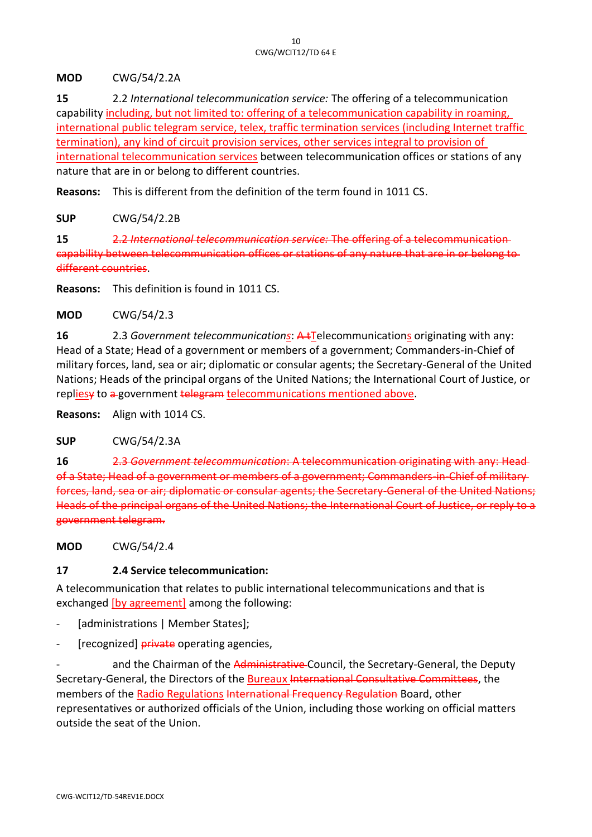**MOD** CWG/54/2.2A

**15** 2.2 *International telecommunication service:* The offering of a telecommunication capability including, but not limited to: offering of a telecommunication capability in roaming, international public telegram service, telex, traffic termination services (including Internet traffic termination), any kind of circuit provision services, other services integral to provision of international telecommunication services between telecommunication offices or stations of any nature that are in or belong to different countries.

**Reasons:** This is different from the definition of the term found in 1011 CS.

**SUP** CWG/54/2.2B

**15** 2.2 *International telecommunication service:* The offering of a telecommunication capability between telecommunication offices or stations of any nature that are in or belong to different countries.

**Reasons:** This definition is found in 1011 CS.

**MOD** CWG/54/2.3

16 2.3 *Government telecommunications*: A t<sup>T</sup>elecommunications originating with any: Head of a State; Head of a government or members of a government; Commanders-in-Chief of military forces, land, sea or air; diplomatic or consular agents; the Secretary-General of the United Nations; Heads of the principal organs of the United Nations; the International Court of Justice, or repliesy to a government telegram telecommunications mentioned above.

**Reasons:** Align with 1014 CS.

**SUP** CWG/54/2.3A

**16** 2.3 *Government telecommunication*: A telecommunication originating with any: Head of a State; Head of a government or members of a government; Commanders-in-Chief of military forces, land, sea or air; diplomatic or consular agents; the Secretary-General of the United Nations; Heads of the principal organs of the United Nations; the International Court of Justice, or reply to a government telegram.

**MOD** CWG/54/2.4

## **17 2.4 Service telecommunication:**

A telecommunication that relates to public international telecommunications and that is exchanged [by agreement] among the following:

- [administrations | Member States];
- [recognized] **private** operating agencies,

and the Chairman of the Administrative-Council, the Secretary-General, the Deputy Secretary-General, the Directors of the Bureaux International Consultative Committees, the members of the Radio Regulations International Frequency Regulation Board, other representatives or authorized officials of the Union, including those working on official matters outside the seat of the Union.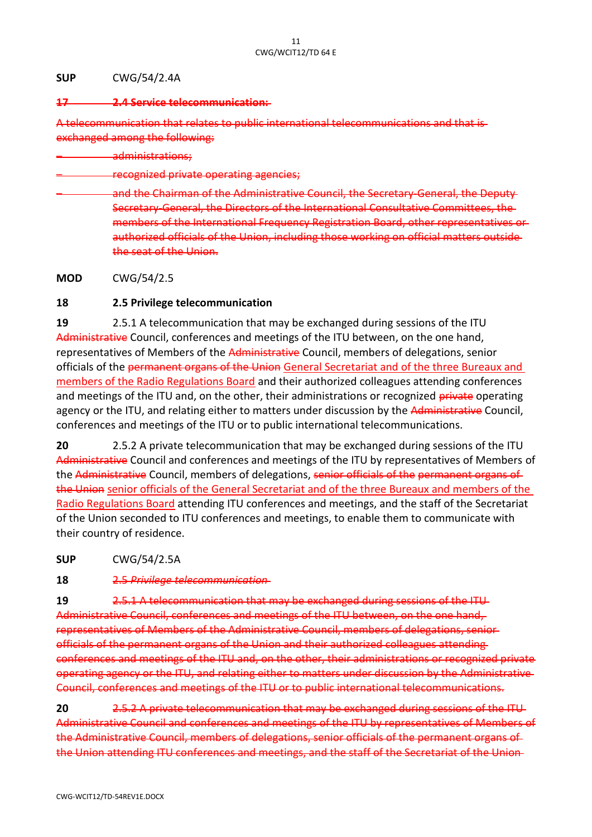#### **SUP** CWG/54/2.4A

#### **17 2.4 Service telecommunication:**

A telecommunication that relates to public international telecommunications exchanged among the following:

– administrations;

– recognized private operating agencies;

– and the Chairman of the Administrative Council, the Secretary-General, the Deputy Secretary-General, the Directors of the International Consultative Committees, the members of the International Frequency Registration Board, other representatives or authorized officials of the Union, including those working on official matters outside the seat of the Union.

**MOD** CWG/54/2.5

#### **18 2.5 Privilege telecommunication**

**19** 2.5.1 A telecommunication that may be exchanged during sessions of the ITU Administrative Council, conferences and meetings of the ITU between, on the one hand, representatives of Members of the Administrative Council, members of delegations, senior officials of the permanent organs of the Union General Secretariat and of the three Bureaux and members of the Radio Regulations Board and their authorized colleagues attending conferences and meetings of the ITU and, on the other, their administrations or recognized private operating agency or the ITU, and relating either to matters under discussion by the Administrative Council, conferences and meetings of the ITU or to public international telecommunications.

**20** 2.5.2 A private telecommunication that may be exchanged during sessions of the ITU Administrative Council and conferences and meetings of the ITU by representatives of Members of the Administrative Council, members of delegations, senior officials of the permanent organs of the Union senior officials of the General Secretariat and of the three Bureaux and members of the Radio Regulations Board attending ITU conferences and meetings, and the staff of the Secretariat of the Union seconded to ITU conferences and meetings, to enable them to communicate with their country of residence.

**SUP** CWG/54/2.5A

**18** 2.5 *Privilege telecommunication* 

**19** 2.5.1 A telecommunication that may be exchanged during sessions of the ITU Administrative Council, conferences and meetings of the ITU between, on the one hand, representatives of Members of the Administrative Council, members of delegations, senior officials of the permanent organs of the Union and their authorized colleagues attending conferences and meetings of the ITU and, on the other, their administrations or recognized private operating agency or the ITU, and relating either to matters under discussion by the Administrative Council, conferences and meetings of the ITU or to public international telecommunications.

**20** 2.5.2 A private telecommunication that may be exchanged during sessions of the ITU Administrative Council and conferences and meetings of the ITU by representatives of Members of the Administrative Council, members of delegations, senior officials of the permanent organs of the Union attending ITU conferences and meetings, and the staff of the Secretariat of the Union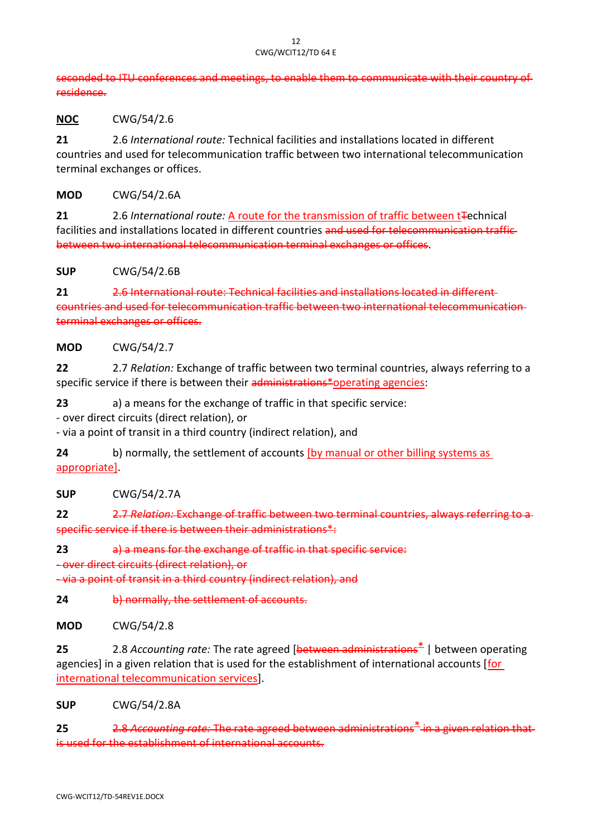seconded to ITU conferences and meetings, to enable them to communicate with their country of residence.

**NOC** CWG/54/2.6

**21** 2.6 *International route:* Technical facilities and installations located in different countries and used for telecommunication traffic between two international telecommunication terminal exchanges or offices.

**MOD** CWG/54/2.6A

21 2.6 *International route:* A route for the transmission of traffic between t<sub>rechnical</sub> facilities and installations located in different countries and used for telecommunication trafficbetween two international telecommunication terminal exchanges or offices.

**SUP** CWG/54/2.6B

**21** 2.6 International route: Technical facilities and installations located in different countries and used for telecommunication traffic between two international telecommunication terminal exchanges or offices.

#### **MOD** CWG/54/2.7

**22** 2.7 *Relation:* Exchange of traffic between two terminal countries, always referring to a specific service if there is between their administrations\*operating agencies:

**23** a) a means for the exchange of traffic in that specific service:

- over direct circuits (direct relation), or

- via a point of transit in a third country (indirect relation), and

**24** b) normally, the settlement of accounts [by manual or other billing systems as appropriate].

**SUP** CWG/54/2.7A

**22** 2.7 *Relation:* Exchange of traffic between two terminal countries, always referring specific service if there is between their administrations\*:

**23** a) a means for the exchange of traffic in that specific service:

- over direct circuits (direct relation), or

- via a point of transit in a third country (indirect relation), and

**24** b) normally, the settlement of accounts.

**MOD** CWG/54/2.8

**25** 2.8 *Accounting rate:* The rate agreed [between administrations\* | between operating agencies] in a given relation that is used for the establishment of international accounts [for international telecommunication services].

**SUP** CWG/54/2.8A

**25** 2.8 *Accounting rate:* The rate agreed between administrations\* in a given relation that is used for the establishment of international accounts.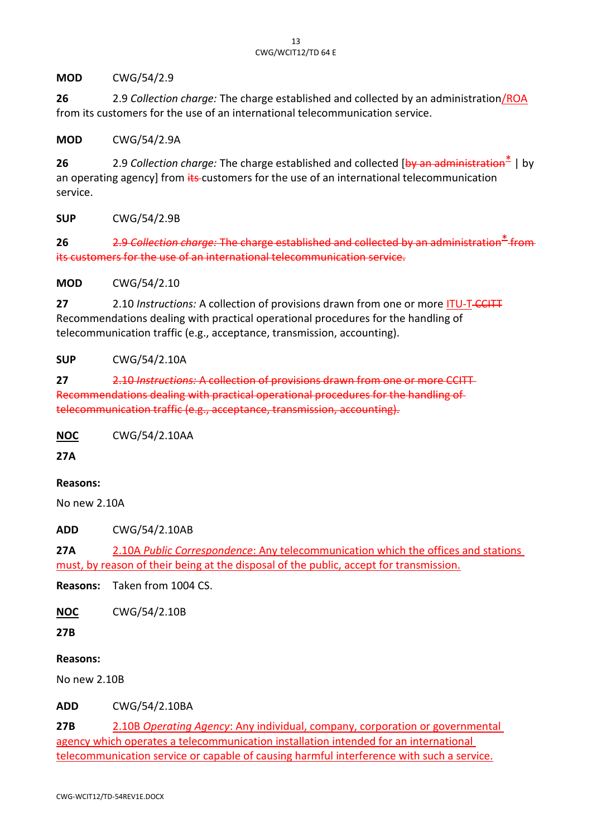**MOD** CWG/54/2.9

**26** 2.9 *Collection charge:* The charge established and collected by an administration/ROA from its customers for the use of an international telecommunication service.

**MOD** CWG/54/2.9A

**26** 2.9 *Collection charge:* The charge established and collected [by an administration\* | by an operating agency] from its customers for the use of an international telecommunication service.

**SUP** CWG/54/2.9B

**26** 2.9 *Collection charge:* The charge established and collected by an administration\* from its customers for the use of an international telecommunication service.

**MOD** CWG/54/2.10

**27** 2.10 *Instructions:* A collection of provisions drawn from one or more ITU-T-CCITT Recommendations dealing with practical operational procedures for the handling of telecommunication traffic (e.g., acceptance, transmission, accounting).

**SUP** CWG/54/2.10A

**27** 2.10 *Instructions:* A collection of provisions drawn from one or more CCITT Recommendations dealing with practical operational procedures for the handling of telecommunication traffic (e.g., acceptance, transmission, accounting).

**NOC** CWG/54/2.10AA

**27A**

#### **Reasons:**

No new 2.10A

**ADD** CWG/54/2.10AB

**27A** 2.10A *Public Correspondence*: Any telecommunication which the offices and stations must, by reason of their being at the disposal of the public, accept for transmission.

**Reasons:** Taken from 1004 CS.

**NOC** CWG/54/2.10B

**27B**

#### **Reasons:**

No new 2.10B

**ADD** CWG/54/2.10BA

**27B** 2.10B *Operating Agency*: Any individual, company, corporation or governmental agency which operates a telecommunication installation intended for an international telecommunication service or capable of causing harmful interference with such a service.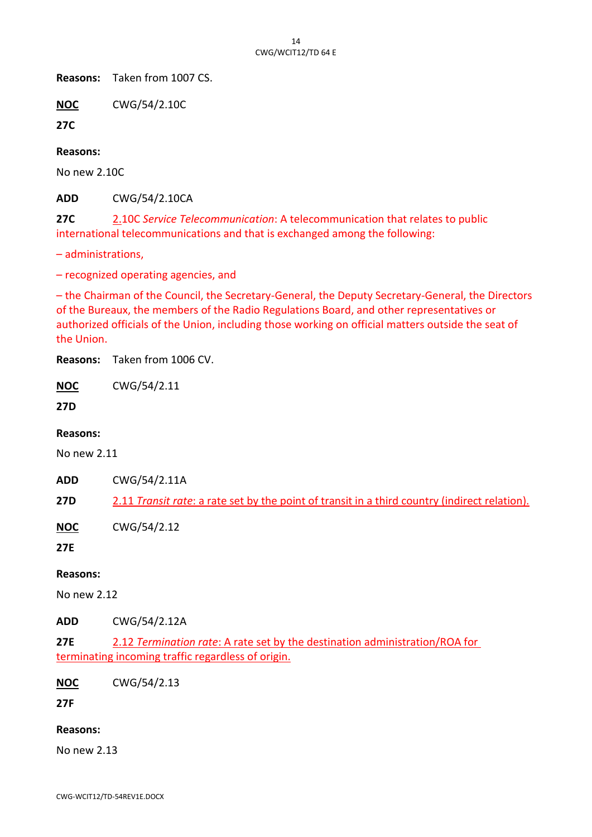**Reasons:** Taken from 1007 CS.

**NOC** CWG/54/2.10C

**27C**

**Reasons:**

No new 2.10C

**ADD** CWG/54/2.10CA

**27C** 2.10C *Service Telecommunication*: A telecommunication that relates to public international telecommunications and that is exchanged among the following:

– administrations,

– recognized operating agencies, and

– the Chairman of the Council, the Secretary-General, the Deputy Secretary-General, the Directors of the Bureaux, the members of the Radio Regulations Board, and other representatives or authorized officials of the Union, including those working on official matters outside the seat of the Union.

**Reasons:** Taken from 1006 CV.

**NOC** CWG/54/2.11

**27D**

#### **Reasons:**

No new 2.11

**ADD** CWG/54/2.11A

**27D** 2.11 *Transit rate*: a rate set by the point of transit in a third country (indirect relation).

**NOC** CWG/54/2.12

**27E**

#### **Reasons:**

No new 2.12

**ADD** CWG/54/2.12A

**27E** 2.12 *Termination rate*: A rate set by the destination administration/ROA for terminating incoming traffic regardless of origin.

**NOC** CWG/54/2.13

**27F**

#### **Reasons:**

No new 2.13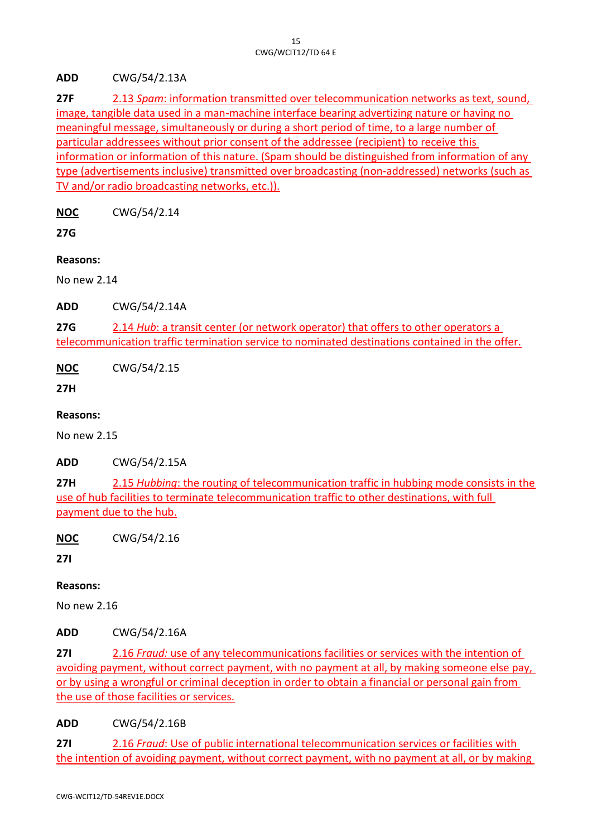**ADD** CWG/54/2.13A

**27F** 2.13 *Spam*: information transmitted over telecommunication networks as text, sound, image, tangible data used in a man-machine interface bearing advertizing nature or having no meaningful message, simultaneously or during a short period of time, to a large number of particular addressees without prior consent of the addressee (recipient) to receive this information or information of this nature. (Spam should be distinguished from information of any type (advertisements inclusive) transmitted over broadcasting (non-addressed) networks (such as TV and/or radio broadcasting networks, etc.)).

**NOC** CWG/54/2.14

**27G**

**Reasons:**

No new 2.14

**ADD** CWG/54/2.14A

**27G** 2.14 *Hub*: a transit center (or network operator) that offers to other operators a telecommunication traffic termination service to nominated destinations contained in the offer.

**NOC** CWG/54/2.15

**27H**

**Reasons:**

No new 2.15

**ADD** CWG/54/2.15A

**27H** 2.15 *Hubbing*: the routing of telecommunication traffic in hubbing mode consists in the use of hub facilities to terminate telecommunication traffic to other destinations, with full payment due to the hub.

**NOC** CWG/54/2.16

**27I**

## **Reasons:**

No new 2.16

**ADD** CWG/54/2.16A

**27I** 2.16 *Fraud:* use of any telecommunications facilities or services with the intention of avoiding payment, without correct payment, with no payment at all, by making someone else pay, or by using a wrongful or criminal deception in order to obtain a financial or personal gain from the use of those facilities or services.

**ADD** CWG/54/2.16B

**27I** 2.16 *Fraud*: Use of public international telecommunication services or facilities with the intention of avoiding payment, without correct payment, with no payment at all, or by making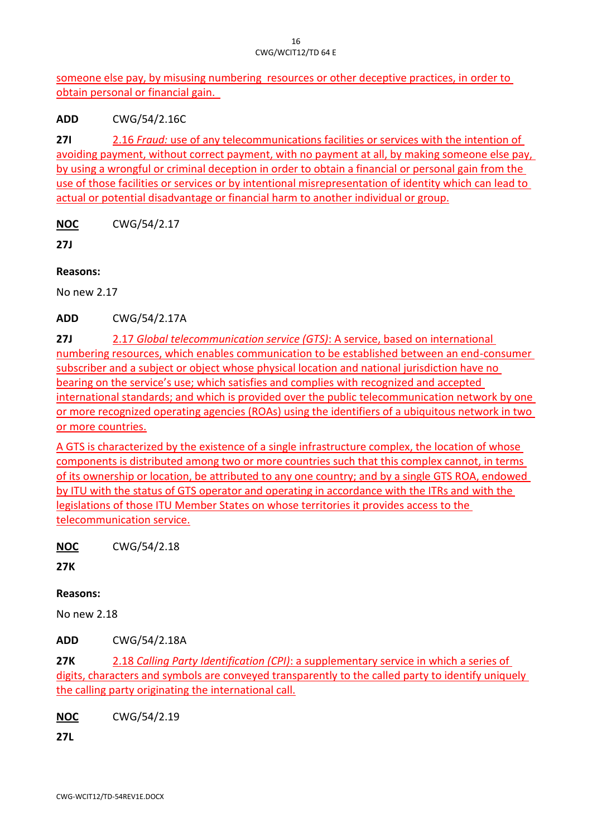someone else pay, by misusing numbering resources or other deceptive practices, in order to obtain personal or financial gain.

**ADD** CWG/54/2.16C

**27I** 2.16 *Fraud:* use of any telecommunications facilities or services with the intention of avoiding payment, without correct payment, with no payment at all, by making someone else pay, by using a wrongful or criminal deception in order to obtain a financial or personal gain from the use of those facilities or services or by intentional misrepresentation of identity which can lead to actual or potential disadvantage or financial harm to another individual or group.

**NOC** CWG/54/2.17

**27J**

**Reasons:**

No new 2.17

**ADD** CWG/54/2.17A

**27J** 2.17 *Global telecommunication service (GTS)*: A service, based on international numbering resources, which enables communication to be established between an end-consumer subscriber and a subject or object whose physical location and national jurisdiction have no bearing on the service's use; which satisfies and complies with recognized and accepted international standards; and which is provided over the public telecommunication network by one or more recognized operating agencies (ROAs) using the identifiers of a ubiquitous network in two or more countries.

A GTS is characterized by the existence of a single infrastructure complex, the location of whose components is distributed among two or more countries such that this complex cannot, in terms of its ownership or location, be attributed to any one country; and by a single GTS ROA, endowed by ITU with the status of GTS operator and operating in accordance with the ITRs and with the legislations of those ITU Member States on whose territories it provides access to the telecommunication service.

**NOC** CWG/54/2.18

**27K**

**Reasons:**

No new 2.18

**ADD** CWG/54/2.18A

**27K** 2.18 *Calling Party Identification (CPI)*: a supplementary service in which a series of digits, characters and symbols are conveyed transparently to the called party to identify uniquely the calling party originating the international call.

**NOC** CWG/54/2.19

**27L**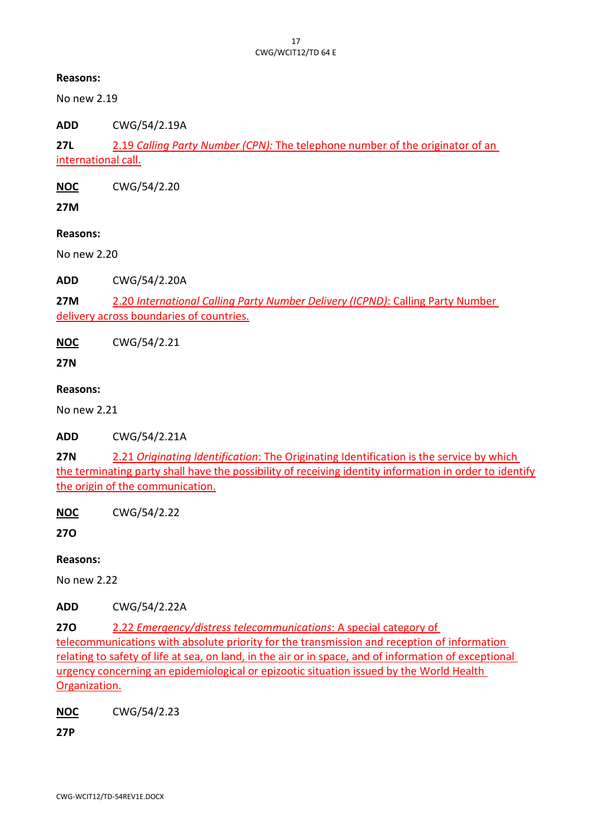No new 2.19

**ADD** CWG/54/2.19A

**27L** 2.19 *Calling Party Number (CPN):* The telephone number of the originator of an international call.

**NOC** CWG/54/2.20

**27M**

**Reasons:**

No new 2.20

**ADD** CWG/54/2.20A

**27M** 2.20 *International Calling Party Number Delivery (ICPND)*: Calling Party Number delivery across boundaries of countries.

**NOC** CWG/54/2.21

**27N**

#### **Reasons:**

No new 2.21

**ADD** CWG/54/2.21A

**27N** 2.21 *Originating Identification*: The Originating Identification is the service by which the terminating party shall have the possibility of receiving identity information in order to identify the origin of the communication.

**NOC** CWG/54/2.22

**27O**

## **Reasons:**

No new 2.22

**ADD** CWG/54/2.22A

**27O** 2.22 *Emergency/distress telecommunications*: A special category of

telecommunications with absolute priority for the transmission and reception of information relating to safety of life at sea, on land, in the air or in space, and of information of exceptional urgency concerning an epidemiological or epizootic situation issued by the World Health Organization.

**NOC** CWG/54/2.23

**27P**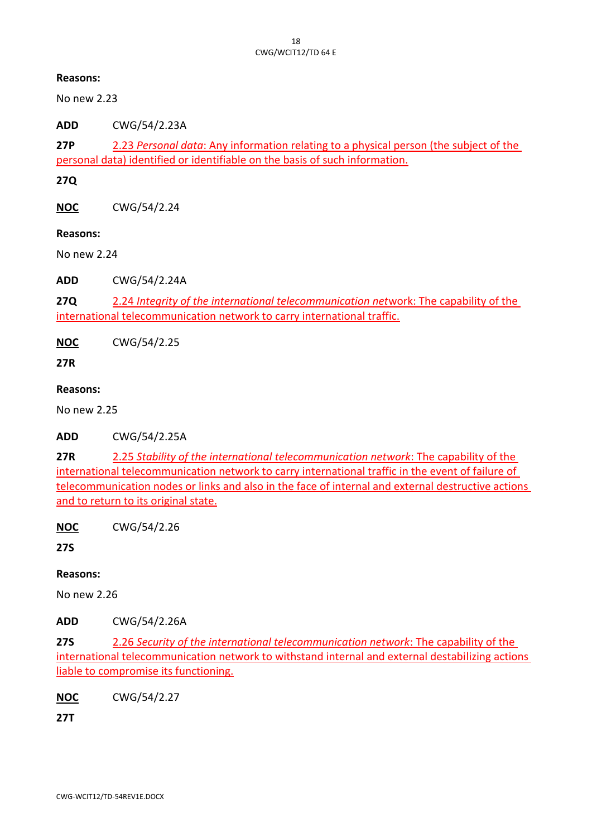No new 2.23

**ADD** CWG/54/2.23A

**27P** 2.23 *Personal data*: Any information relating to a physical person (the subject of the personal data) identified or identifiable on the basis of such information.

**27Q**

**NOC** CWG/54/2.24

#### **Reasons:**

No new 2.24

**ADD** CWG/54/2.24A

**27Q** 2.24 *Integrity of the international telecommunication net*work: The capability of the international telecommunication network to carry international traffic.

**NOC** CWG/54/2.25

**27R**

#### **Reasons:**

No new 2.25

**ADD** CWG/54/2.25A

**27R** 2.25 *Stability of the international telecommunication network*: The capability of the international telecommunication network to carry international traffic in the event of failure of telecommunication nodes or links and also in the face of internal and external destructive actions and to return to its original state.

**NOC** CWG/54/2.26

**27S**

## **Reasons:**

No new 2.26

**ADD** CWG/54/2.26A

**27S** 2.26 *Security of the international telecommunication network*: The capability of the international telecommunication network to withstand internal and external destabilizing actions liable to compromise its functioning.

**NOC** CWG/54/2.27

**27T**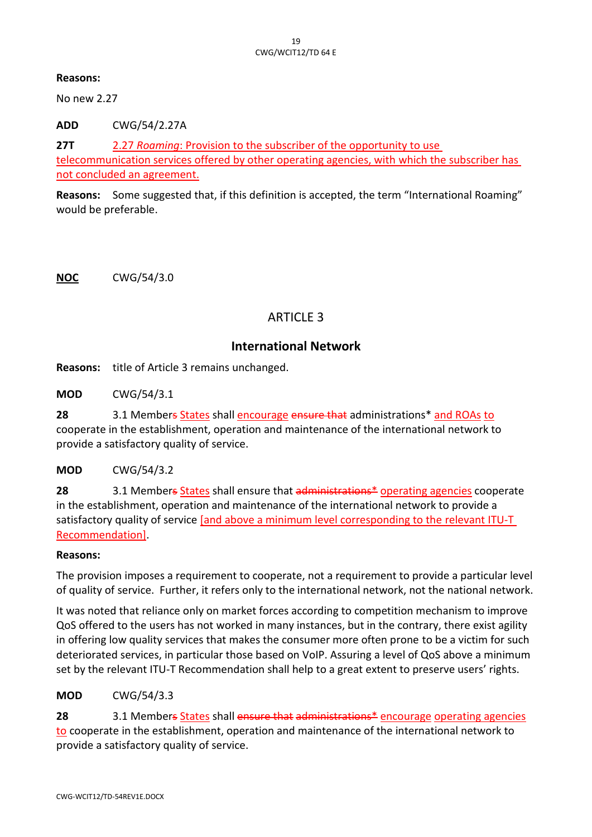No new 2.27

**ADD** CWG/54/2.27A

**27T** 2.27 *Roaming*: Provision to the subscriber of the opportunity to use telecommunication services offered by other operating agencies, with which the subscriber has not concluded an agreement.

**Reasons:** Some suggested that, if this definition is accepted, the term "International Roaming" would be preferable.

**NOC** CWG/54/3.0

# ARTICLE 3

# **International Network**

**Reasons:** title of Article 3 remains unchanged.

**MOD** CWG/54/3.1

**28** 3.1 Members States shall encourage ensure that administrations\* and ROAs to cooperate in the establishment, operation and maintenance of the international network to provide a satisfactory quality of service.

**MOD** CWG/54/3.2

**28** 3.1 Members States shall ensure that administrations<sup>\*</sup> operating agencies cooperate in the establishment, operation and maintenance of the international network to provide a satisfactory quality of service [and above a minimum level corresponding to the relevant ITU-T Recommendation].

#### **Reasons:**

The provision imposes a requirement to cooperate, not a requirement to provide a particular level of quality of service. Further, it refers only to the international network, not the national network.

It was noted that reliance only on market forces according to competition mechanism to improve QoS offered to the users has not worked in many instances, but in the contrary, there exist agility in offering low quality services that makes the consumer more often prone to be a victim for such deteriorated services, in particular those based on VoIP. Assuring a level of QoS above a minimum set by the relevant ITU-T Recommendation shall help to a great extent to preserve users' rights.

**MOD** CWG/54/3.3

**28** 3.1 Members States shall ensure that administrations\* encourage operating agencies to cooperate in the establishment, operation and maintenance of the international network to provide a satisfactory quality of service.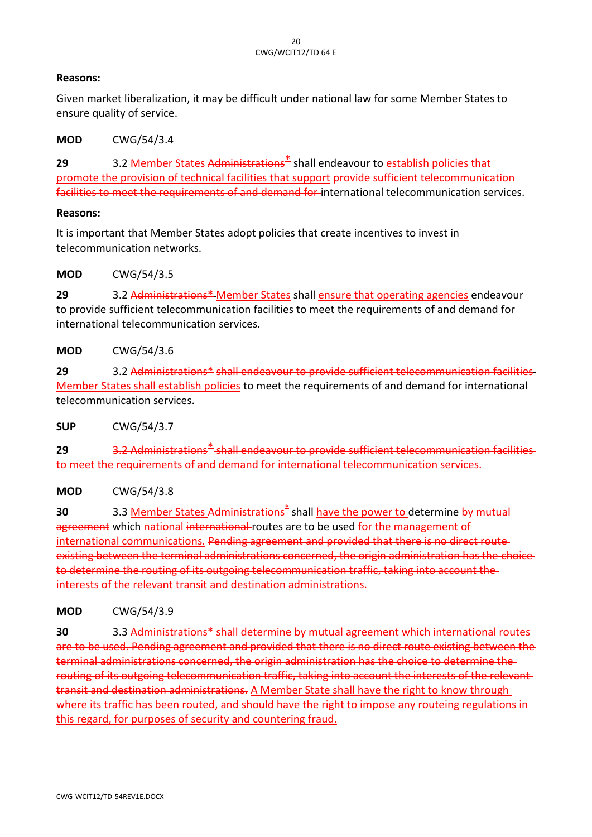Given market liberalization, it may be difficult under national law for some Member States to ensure quality of service.

**MOD** CWG/54/3.4

**29** 3.2 Member States Administrations\* shall endeavour to establish policies that promote the provision of technical facilities that support provide sufficient telecommunicationfacilities to meet the requirements of and demand for international telecommunication services.

#### **Reasons:**

It is important that Member States adopt policies that create incentives to invest in telecommunication networks.

**MOD** CWG/54/3.5

**29** 3.2 Administrations\* Member States shall ensure that operating agencies endeavour to provide sufficient telecommunication facilities to meet the requirements of and demand for international telecommunication services.

**MOD** CWG/54/3.6

**29** 3.2 Administrations\* shall endeavour to provide sufficient telecommunication facilities Member States shall establish policies to meet the requirements of and demand for international telecommunication services.

**SUP** CWG/54/3.7

**29** 3.2 Administrations\* shall endeavour to provide sufficient telecommunication facilities to meet the requirements of and demand for international telecommunication services.

#### **MOD** CWG/54/3.8

**30** 3.3 Member States Administrations<sup>\*</sup> shall have the power to determine by mutual agreement which national international routes are to be used for the management of international communications. Pending agreement and provided that there is no direct route existing between the terminal administrations concerned, the origin administration has the choice to determine the routing of its outgoing telecommunication traffic, taking into account the interests of the relevant transit and destination administrations.

**MOD** CWG/54/3.9

**30** 3.3 Administrations\* shall determine by mutual agreement which international routes are to be used. Pending agreement and provided that there is no direct route existing between the terminal administrations concerned, the origin administration has the choice to determine the routing of its outgoing telecommunication traffic, taking into account the interests of the relevant transit and destination administrations. A Member State shall have the right to know through where its traffic has been routed, and should have the right to impose any routeing regulations in this regard, for purposes of security and countering fraud.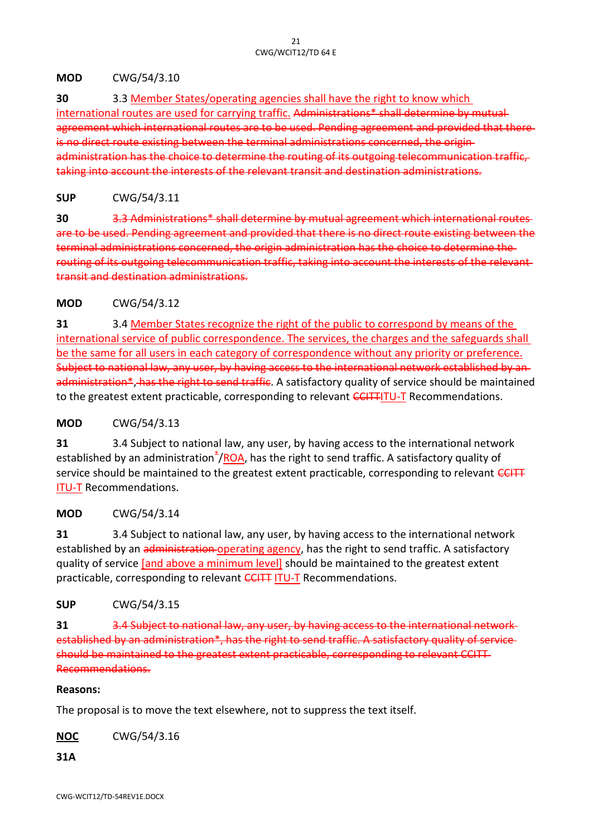#### **MOD** CWG/54/3.10

**30** 3.3 Member States/operating agencies shall have the right to know which

international routes are used for carrying traffic. Administrations\* shall determine by mutual agreement which international routes are to be used. Pending agreement and provided that thereis no direct route existing between the terminal administrations concerned, the origin administration has the choice to determine the routing of its outgoing telecommunication taking into account the interests of the relevant transit and destination administrations.

**SUP** CWG/54/3.11

**30** 3.3 Administrations\* shall determine by mutual agreement which international routes are to be used. Pending agreement and provided that there is no direct route existing between the terminal administrations concerned, the origin administration has the choice to determine the routing of its outgoing telecommunication traffic, taking into account the interests of the relevant transit and destination administrations.

## **MOD** CWG/54/3.12

**31** 3.4 Member States recognize the right of the public to correspond by means of the international service of public correspondence. The services, the charges and the safeguards shall be the same for all users in each category of correspondence without any priority or preference. Subject to national law, any user, by having access to the international network established by an administration<sup>\*</sup>, has the right to send traffic. A satisfactory quality of service should be maintained to the greatest extent practicable, corresponding to relevant CCITTITU-T Recommendations.

#### **MOD** CWG/54/3.13

**31** 3.4 Subject to national law, any user, by having access to the international network established by an administration<sup>\*</sup>/ROA, has the right to send traffic. A satisfactory quality of service should be maintained to the greatest extent practicable, corresponding to relevant CCITT ITU-T Recommendations.

#### **MOD** CWG/54/3.14

**31** 3.4 Subject to national law, any user, by having access to the international network established by an administration operating agency, has the right to send traffic. A satisfactory quality of service [and above a minimum level] should be maintained to the greatest extent practicable, corresponding to relevant CCITT ITU-T Recommendations.

**SUP** CWG/54/3.15

**31** 3.4 Subject to national law, any user, by having access to the international network established by an administration\*, has the right to send traffic. A satisfactory quality of service should be maintained to the greatest extent practicable, corresponding to relevant CCITT Recommendations.

#### **Reasons:**

The proposal is to move the text elsewhere, not to suppress the text itself.

**NOC** CWG/54/3.16

**31A**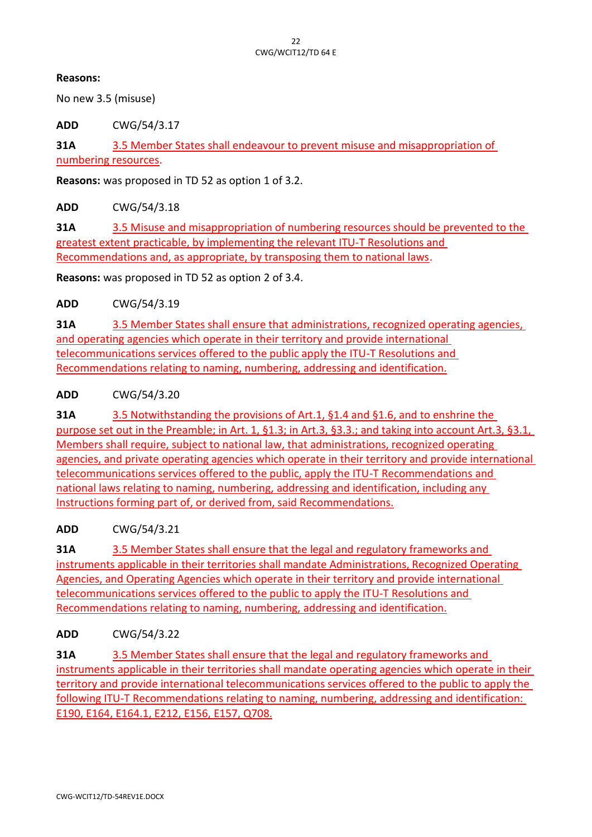No new 3.5 (misuse)

**ADD** CWG/54/3.17

**31A** 3.5 Member States shall endeavour to prevent misuse and misappropriation of numbering resources.

**Reasons:** was proposed in TD 52 as option 1 of 3.2.

**ADD** CWG/54/3.18

**31A** 3.5 Misuse and misappropriation of numbering resources should be prevented to the greatest extent practicable, by implementing the relevant ITU-T Resolutions and Recommendations and, as appropriate, by transposing them to national laws.

**Reasons:** was proposed in TD 52 as option 2 of 3.4.

**ADD** CWG/54/3.19

**31A** 3.5 Member States shall ensure that administrations, recognized operating agencies, and operating agencies which operate in their territory and provide international telecommunications services offered to the public apply the ITU-T Resolutions and Recommendations relating to naming, numbering, addressing and identification.

#### **ADD** CWG/54/3.20

**31A** 3.5 Notwithstanding the provisions of Art.1, §1.4 and §1.6, and to enshrine the purpose set out in the Preamble; in Art. 1, §1.3; in Art.3, §3.3.; and taking into account Art.3, §3.1, Members shall require, subject to national law, that administrations, recognized operating agencies, and private operating agencies which operate in their territory and provide international telecommunications services offered to the public, apply the ITU-T Recommendations and national laws relating to naming, numbering, addressing and identification, including any Instructions forming part of, or derived from, said Recommendations.

## **ADD** CWG/54/3.21

**31A** 3.5 Member States shall ensure that the legal and regulatory frameworks and instruments applicable in their territories shall mandate Administrations, Recognized Operating Agencies, and Operating Agencies which operate in their territory and provide international telecommunications services offered to the public to apply the ITU-T Resolutions and Recommendations relating to naming, numbering, addressing and identification.

## **ADD** CWG/54/3.22

**31A** 3.5 Member States shall ensure that the legal and regulatory frameworks and instruments applicable in their territories shall mandate operating agencies which operate in their territory and provide international telecommunications services offered to the public to apply the following ITU-T Recommendations relating to naming, numbering, addressing and identification: E190, E164, E164.1, E212, E156, E157, Q708.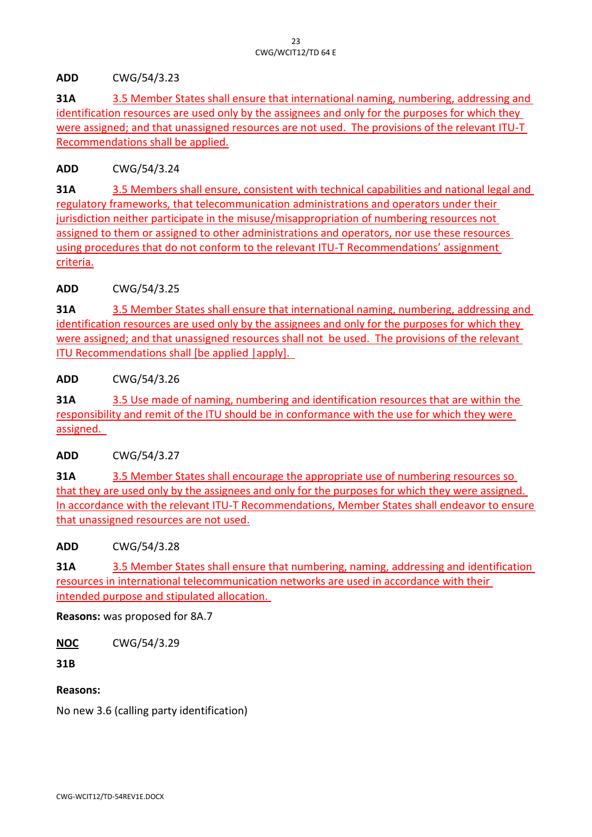**ADD** CWG/54/3.23

**31A** 3.5 Member States shall ensure that international naming, numbering, addressing and identification resources are used only by the assignees and only for the purposes for which they were assigned; and that unassigned resources are not used. The provisions of the relevant ITU-T Recommendations shall be applied.

**ADD** CWG/54/3.24

**31A** 3.5 Members shall ensure, consistent with technical capabilities and national legal and regulatory frameworks, that telecommunication administrations and operators under their jurisdiction neither participate in the misuse/misappropriation of numbering resources not assigned to them or assigned to other administrations and operators, nor use these resources using procedures that do not conform to the relevant ITU-T Recommendations' assignment criteria.

**ADD** CWG/54/3.25

**31A** 3.5 Member States shall ensure that international naming, numbering, addressing and identification resources are used only by the assignees and only for the purposes for which they were assigned; and that unassigned resources shall not be used. The provisions of the relevant ITU Recommendations shall [be applied |apply].

**ADD** CWG/54/3.26

**31A** 3.5 Use made of naming, numbering and identification resources that are within the responsibility and remit of the ITU should be in conformance with the use for which they were assigned.

**ADD** CWG/54/3.27

**31A** 3.5 Member States shall encourage the appropriate use of numbering resources so that they are used only by the assignees and only for the purposes for which they were assigned. In accordance with the relevant ITU-T Recommendations, Member States shall endeavor to ensure that unassigned resources are not used.

**ADD** CWG/54/3.28

**31A** 3.5 Member States shall ensure that numbering, naming, addressing and identification resources in international telecommunication networks are used in accordance with their intended purpose and stipulated allocation.

**Reasons:** was proposed for 8A.7

**NOC** CWG/54/3.29

**31B**

## **Reasons:**

No new 3.6 (calling party identification)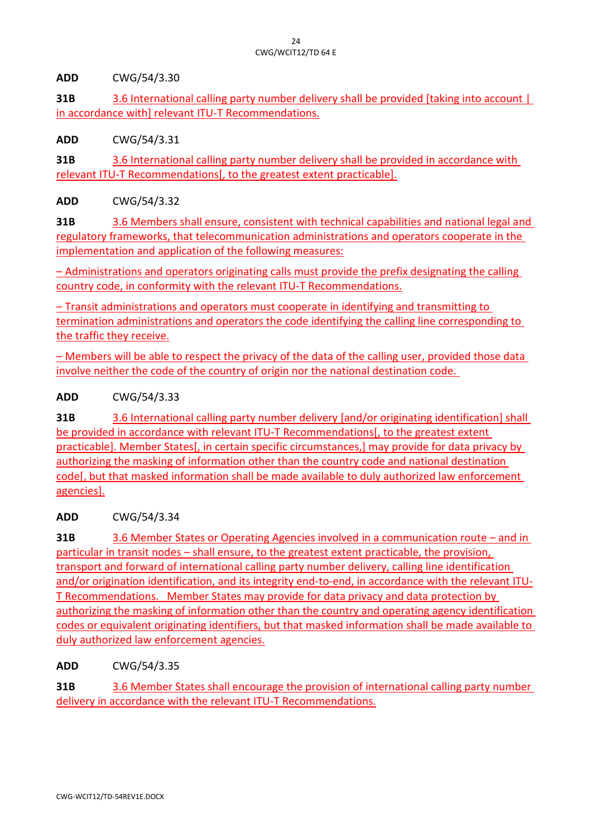**ADD** CWG/54/3.30

**31B** 3.6 International calling party number delivery shall be provided [taking into account ] in accordance with] relevant ITU-T Recommendations.

**ADD** CWG/54/3.31

**31B** 3.6 International calling party number delivery shall be provided in accordance with relevant ITU-T Recommendations[, to the greatest extent practicable].

**ADD** CWG/54/3.32

**31B** 3.6 Members shall ensure, consistent with technical capabilities and national legal and regulatory frameworks, that telecommunication administrations and operators cooperate in the implementation and application of the following measures:

– Administrations and operators originating calls must provide the prefix designating the calling country code, in conformity with the relevant ITU-T Recommendations.

– Transit administrations and operators must cooperate in identifying and transmitting to termination administrations and operators the code identifying the calling line corresponding to the traffic they receive.

– Members will be able to respect the privacy of the data of the calling user, provided those data involve neither the code of the country of origin nor the national destination code.

**ADD** CWG/54/3.33

**31B** 3.6 International calling party number delivery [and/or originating identification] shall be provided in accordance with relevant ITU-T Recommendations[, to the greatest extent practicable]. Member States[, in certain specific circumstances,] may provide for data privacy by authorizing the masking of information other than the country code and national destination code[, but that masked information shall be made available to duly authorized law enforcement agencies].

**ADD** CWG/54/3.34

**31B** 3.6 Member States or Operating Agencies involved in a communication route – and in particular in transit nodes – shall ensure, to the greatest extent practicable, the provision, transport and forward of international calling party number delivery, calling line identification and/or origination identification, and its integrity end-to-end, in accordance with the relevant ITU-T Recommendations. Member States may provide for data privacy and data protection by authorizing the masking of information other than the country and operating agency identification codes or equivalent originating identifiers, but that masked information shall be made available to duly authorized law enforcement agencies.

**ADD** CWG/54/3.35

**31B** 3.6 Member States shall encourage the provision of international calling party number delivery in accordance with the relevant ITU-T Recommendations.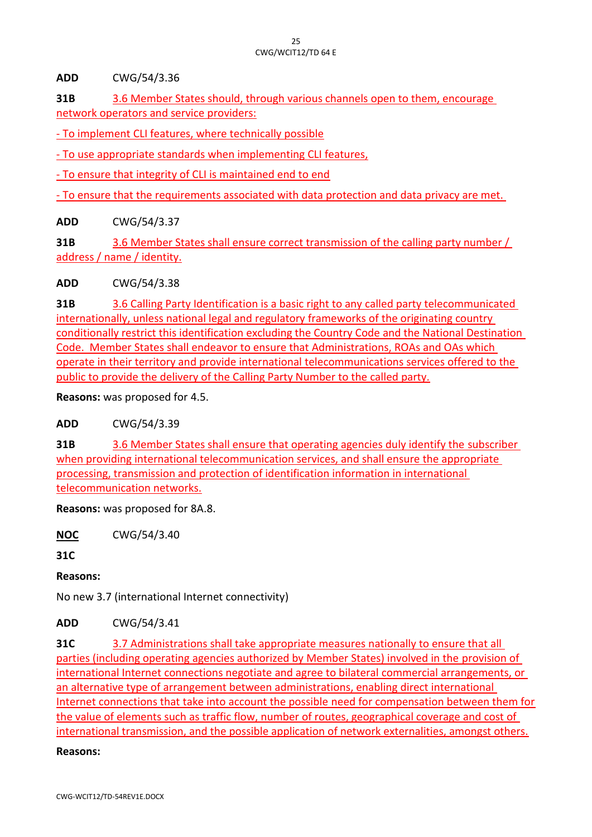**ADD** CWG/54/3.36

**31B** 3.6 Member States should, through various channels open to them, encourage network operators and service providers:

- To implement CLI features, where technically possible

- To use appropriate standards when implementing CLI features,

- To ensure that integrity of CLI is maintained end to end

- To ensure that the requirements associated with data protection and data privacy are met.

**ADD** CWG/54/3.37

**31B** 3.6 Member States shall ensure correct transmission of the calling party number / address / name / identity.

**ADD** CWG/54/3.38

**31B** 3.6 Calling Party Identification is a basic right to any called party telecommunicated internationally, unless national legal and regulatory frameworks of the originating country conditionally restrict this identification excluding the Country Code and the National Destination Code. Member States shall endeavor to ensure that Administrations, ROAs and OAs which operate in their territory and provide international telecommunications services offered to the public to provide the delivery of the Calling Party Number to the called party.

**Reasons:** was proposed for 4.5.

**ADD** CWG/54/3.39

**31B** 3.6 Member States shall ensure that operating agencies duly identify the subscriber when providing international telecommunication services, and shall ensure the appropriate processing, transmission and protection of identification information in international telecommunication networks.

**Reasons:** was proposed for 8A.8.

**NOC** CWG/54/3.40

**31C**

**Reasons:**

No new 3.7 (international Internet connectivity)

**ADD** CWG/54/3.41

**31C** 3.7 Administrations shall take appropriate measures nationally to ensure that all parties (including operating agencies authorized by Member States) involved in the provision of international Internet connections negotiate and agree to bilateral commercial arrangements, or an alternative type of arrangement between administrations, enabling direct international Internet connections that take into account the possible need for compensation between them for the value of elements such as traffic flow, number of routes, geographical coverage and cost of international transmission, and the possible application of network externalities, amongst others.

**Reasons:**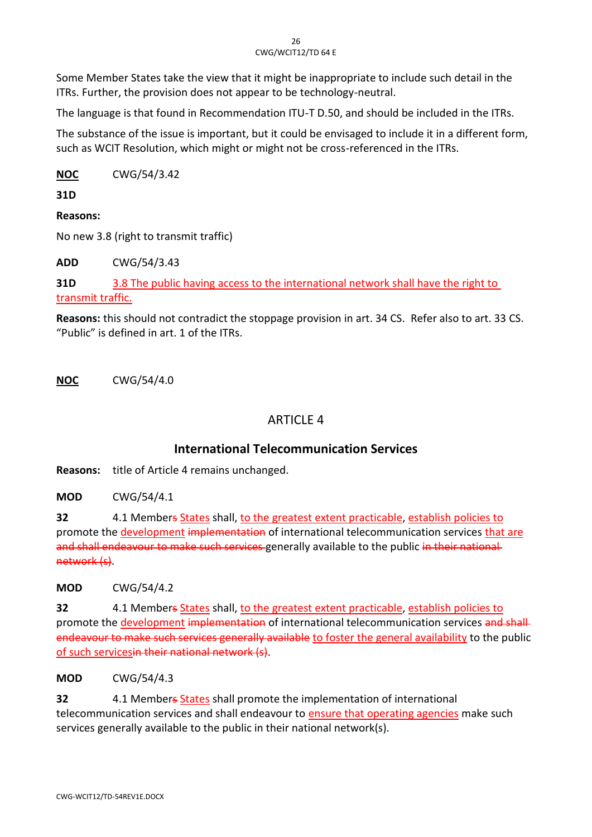Some Member States take the view that it might be inappropriate to include such detail in the ITRs. Further, the provision does not appear to be technology-neutral.

The language is that found in Recommendation ITU-T D.50, and should be included in the ITRs.

The substance of the issue is important, but it could be envisaged to include it in a different form, such as WCIT Resolution, which might or might not be cross-referenced in the ITRs.

**NOC** CWG/54/3.42

**31D**

**Reasons:**

No new 3.8 (right to transmit traffic)

**ADD** CWG/54/3.43

**31D** 3.8 The public having access to the international network shall have the right to transmit traffic.

**Reasons:** this should not contradict the stoppage provision in art. 34 CS. Refer also to art. 33 CS. "Public" is defined in art. 1 of the ITRs.

**NOC** CWG/54/4.0

# **ARTICLE 4**

# **International Telecommunication Services**

**Reasons:** title of Article 4 remains unchanged.

**MOD** CWG/54/4.1

**32** 4.1 Members States shall, to the greatest extent practicable, establish policies to promote the development implementation of international telecommunication services that are and shall endeavour to make such services generally available to the public in their national network (s).

**MOD** CWG/54/4.2

**32** 4.1 Members States shall, to the greatest extent practicable, establish policies to promote the development implementation of international telecommunication services and shall endeavour to make such services generally available to foster the general availability to the public of such servicesin their national network (s).

**MOD** CWG/54/4.3

**32** 4.1 Members States shall promote the implementation of international telecommunication services and shall endeavour to ensure that operating agencies make such services generally available to the public in their national network(s).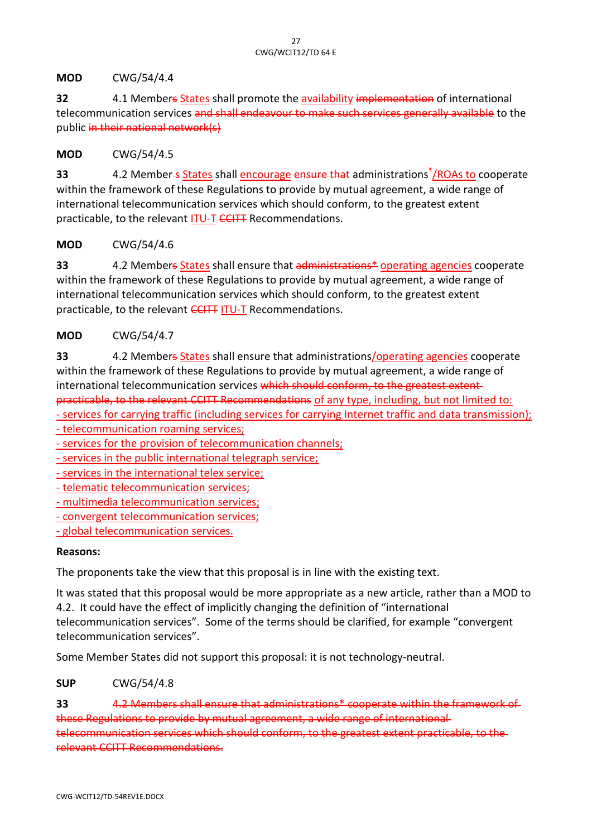**MOD** CWG/54/4.4

**32** 4.1 Members States shall promote the availability implementation of international telecommunication services and shall endeavour to make such services generally available to the public in their national network(s)

#### **MOD** CWG/54/4.5

**33** 4.2 Member<del>-s</del> States shall encourage ensure that administrations<sup>\*</sup>/ROAs to cooperate within the framework of these Regulations to provide by mutual agreement, a wide range of international telecommunication services which should conform, to the greatest extent practicable, to the relevant ITU-T CCITT Recommendations.

#### **MOD** CWG/54/4.6

**33** 4.2 Members States shall ensure that administrations\* operating agencies cooperate within the framework of these Regulations to provide by mutual agreement, a wide range of international telecommunication services which should conform, to the greatest extent practicable, to the relevant CCITT ITU-T Recommendations.

## **MOD** CWG/54/4.7

**33** 4.2 Members States shall ensure that administrations/operating agencies cooperate within the framework of these Regulations to provide by mutual agreement, a wide range of international telecommunication services which should conform, to the greatest extentpracticable, to the relevant CCITT Recommendations of any type, including, but not limited to: - services for carrying traffic (including services for carrying Internet traffic and data transmission);

- telecommunication roaming services;

- services for the provision of telecommunication channels;

- services in the public international telegraph service;
- services in the international telex service;

- telematic telecommunication services;

- multimedia telecommunication services;

- convergent telecommunication services;

- global telecommunication services.

#### **Reasons:**

The proponents take the view that this proposal is in line with the existing text.

It was stated that this proposal would be more appropriate as a new article, rather than a MOD to 4.2. It could have the effect of implicitly changing the definition of "international telecommunication services". Some of the terms should be clarified, for example "convergent telecommunication services".

Some Member States did not support this proposal: it is not technology-neutral.

**SUP** CWG/54/4.8

**33** 4.2 Members shall ensure that administrations\* cooperate within the framework of these Regulations to provide by mutual agreement, a wide range of international telecommunication services which should conform, to the greatest extent practicable, to the relevant CCITT Recommendations.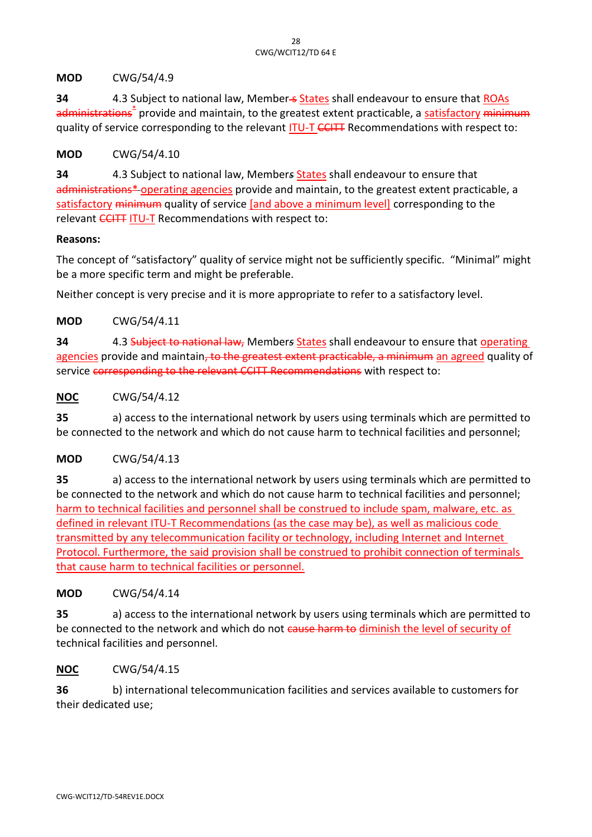#### **MOD** CWG/54/4.9

**34** 4.3 Subject to national law, Member-s States shall endeavour to ensure that ROAs <del>administrations<sup>\*</sup></del> provide and maintain, to the greatest extent practicable, a <u>satisfactory</u> <del>minimum</del> quality of service corresponding to the relevant ITU-T CCITT Recommendations with respect to:

#### **MOD** CWG/54/4.10

**34** 4.3 Subject to national law, Member*s* States shall endeavour to ensure that administrations\* operating agencies provide and maintain, to the greatest extent practicable, a satisfactory minimum quality of service [and above a minimum level] corresponding to the relevant CCITT ITU-T Recommendations with respect to:

#### **Reasons:**

The concept of "satisfactory" quality of service might not be sufficiently specific. "Minimal" might be a more specific term and might be preferable.

Neither concept is very precise and it is more appropriate to refer to a satisfactory level.

#### **MOD** CWG/54/4.11

**34** 4.3 Subject to national law, Member*s* States shall endeavour to ensure that operating agencies provide and maintain, to the greatest extent practicable, a minimum an agreed quality of service corresponding to the relevant CCITT Recommendations with respect to:

#### **NOC** CWG/54/4.12

**35** a) access to the international network by users using terminals which are permitted to be connected to the network and which do not cause harm to technical facilities and personnel;

## **MOD** CWG/54/4.13

**35** a) access to the international network by users using terminals which are permitted to be connected to the network and which do not cause harm to technical facilities and personnel; harm to technical facilities and personnel shall be construed to include spam, malware, etc. as defined in relevant ITU-T Recommendations (as the case may be), as well as malicious code transmitted by any telecommunication facility or technology, including Internet and Internet Protocol. Furthermore, the said provision shall be construed to prohibit connection of terminals that cause harm to technical facilities or personnel.

#### **MOD** CWG/54/4.14

**35** a) access to the international network by users using terminals which are permitted to be connected to the network and which do not cause harm to diminish the level of security of technical facilities and personnel.

## **NOC** CWG/54/4.15

**36** b) international telecommunication facilities and services available to customers for their dedicated use;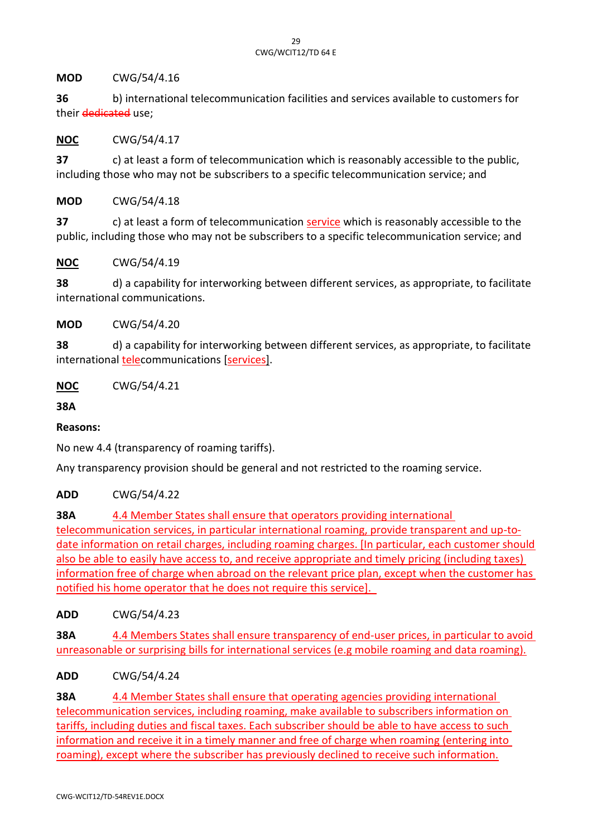**MOD** CWG/54/4.16

**36** b) international telecommunication facilities and services available to customers for their dedicated use;

**NOC** CWG/54/4.17

**37** c) at least a form of telecommunication which is reasonably accessible to the public, including those who may not be subscribers to a specific telecommunication service; and

**MOD** CWG/54/4.18

**37** c) at least a form of telecommunication service which is reasonably accessible to the public, including those who may not be subscribers to a specific telecommunication service; and

**NOC** CWG/54/4.19

**38** d) a capability for interworking between different services, as appropriate, to facilitate international communications.

**MOD** CWG/54/4.20

**38** d) a capability for interworking between different services, as appropriate, to facilitate international telecommunications [services].

**NOC** CWG/54/4.21

**38A**

**Reasons:**

No new 4.4 (transparency of roaming tariffs).

Any transparency provision should be general and not restricted to the roaming service.

**ADD** CWG/54/4.22

**38A** 4.4 Member States shall ensure that operators providing international telecommunication services, in particular international roaming, provide transparent and up-todate information on retail charges, including roaming charges. [In particular, each customer should also be able to easily have access to, and receive appropriate and timely pricing (including taxes) information free of charge when abroad on the relevant price plan, except when the customer has notified his home operator that he does not require this service].

**ADD** CWG/54/4.23

**38A** 4.4 Members States shall ensure transparency of end-user prices, in particular to avoid unreasonable or surprising bills for international services (e.g mobile roaming and data roaming).

**ADD** CWG/54/4.24

**38A** 4.4 Member States shall ensure that operating agencies providing international telecommunication services, including roaming, make available to subscribers information on tariffs, including duties and fiscal taxes. Each subscriber should be able to have access to such information and receive it in a timely manner and free of charge when roaming (entering into roaming), except where the subscriber has previously declined to receive such information.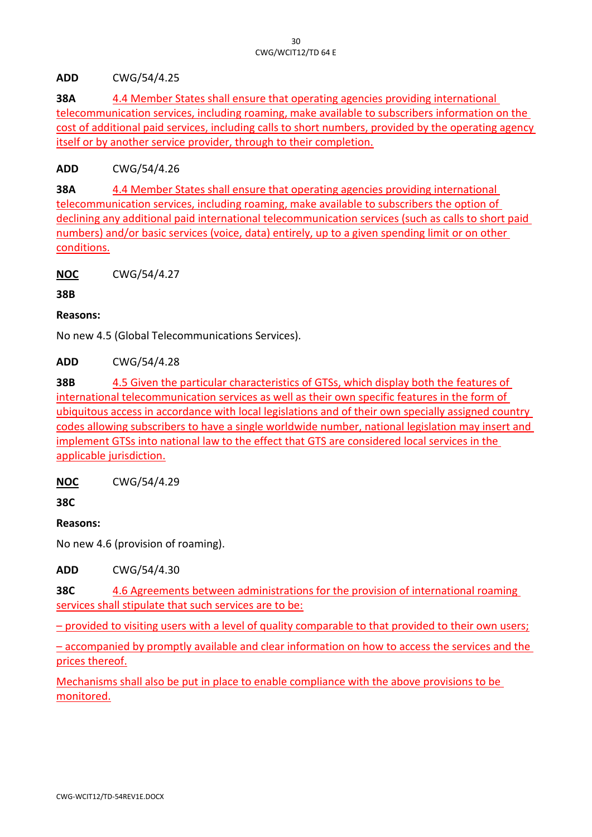**ADD** CWG/54/4.25

**38A** 4.4 Member States shall ensure that operating agencies providing international telecommunication services, including roaming, make available to subscribers information on the cost of additional paid services, including calls to short numbers, provided by the operating agency itself or by another service provider, through to their completion.

**ADD** CWG/54/4.26

**38A** 4.4 Member States shall ensure that operating agencies providing international telecommunication services, including roaming, make available to subscribers the option of declining any additional paid international telecommunication services (such as calls to short paid numbers) and/or basic services (voice, data) entirely, up to a given spending limit or on other conditions.

**NOC** CWG/54/4.27

**38B**

**Reasons:**

No new 4.5 (Global Telecommunications Services).

**ADD** CWG/54/4.28

**38B** 4.5 Given the particular characteristics of GTSs, which display both the features of international telecommunication services as well as their own specific features in the form of ubiquitous access in accordance with local legislations and of their own specially assigned country codes allowing subscribers to have a single worldwide number, national legislation may insert and implement GTSs into national law to the effect that GTS are considered local services in the applicable jurisdiction.

**NOC** CWG/54/4.29

**38C**

**Reasons:**

No new 4.6 (provision of roaming).

**ADD** CWG/54/4.30

**38C** 4.6 Agreements between administrations for the provision of international roaming services shall stipulate that such services are to be:

– provided to visiting users with a level of quality comparable to that provided to their own users;

– accompanied by promptly available and clear information on how to access the services and the prices thereof.

Mechanisms shall also be put in place to enable compliance with the above provisions to be monitored.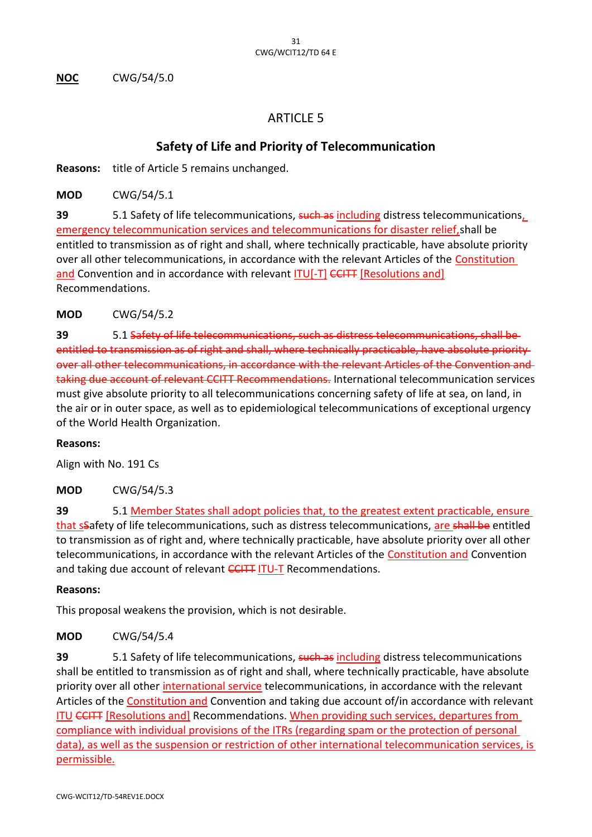**NOC** CWG/54/5.0

# **ARTICLE 5**

# **Safety of Life and Priority of Telecommunication**

**Reasons:** title of Article 5 remains unchanged.

**MOD** CWG/54/5.1

**39** 5.1 Safety of life telecommunications, such as including distress telecommunications, emergency telecommunication services and telecommunications for disaster relief, shall be entitled to transmission as of right and shall, where technically practicable, have absolute priority over all other telecommunications, in accordance with the relevant Articles of the Constitution and Convention and in accordance with relevant **ITU[-T] CCITT** [Resolutions and] Recommendations.

**MOD** CWG/54/5.2

**39** 5.1 Safety of life telecommunications, such as distress telecommunications, shall be entitled to transmission as of right and shall, where technically practicable, have absolute priority over all other telecommunications, in accordance with the relevant Articles of the Convention and taking due account of relevant CCITT Recommendations. International telecommunication services must give absolute priority to all telecommunications concerning safety of life at sea, on land, in the air or in outer space, as well as to epidemiological telecommunications of exceptional urgency of the World Health Organization.

#### **Reasons:**

Align with No. 191 Cs

**MOD** CWG/54/5.3

**39** 5.1 Member States shall adopt policies that, to the greatest extent practicable, ensure that sSafety of life telecommunications, such as distress telecommunications, are shall be entitled to transmission as of right and, where technically practicable, have absolute priority over all other telecommunications, in accordance with the relevant Articles of the Constitution and Convention and taking due account of relevant **CCITT ITU-T** Recommendations.

#### **Reasons:**

This proposal weakens the provision, which is not desirable.

## **MOD** CWG/54/5.4

**39** 5.1 Safety of life telecommunications, such as including distress telecommunications shall be entitled to transmission as of right and shall, where technically practicable, have absolute priority over all other international service telecommunications, in accordance with the relevant Articles of the Constitution and Convention and taking due account of/in accordance with relevant ITU CCITT [Resolutions and] Recommendations. When providing such services, departures from compliance with individual provisions of the ITRs (regarding spam or the protection of personal data), as well as the suspension or restriction of other international telecommunication services, is permissible.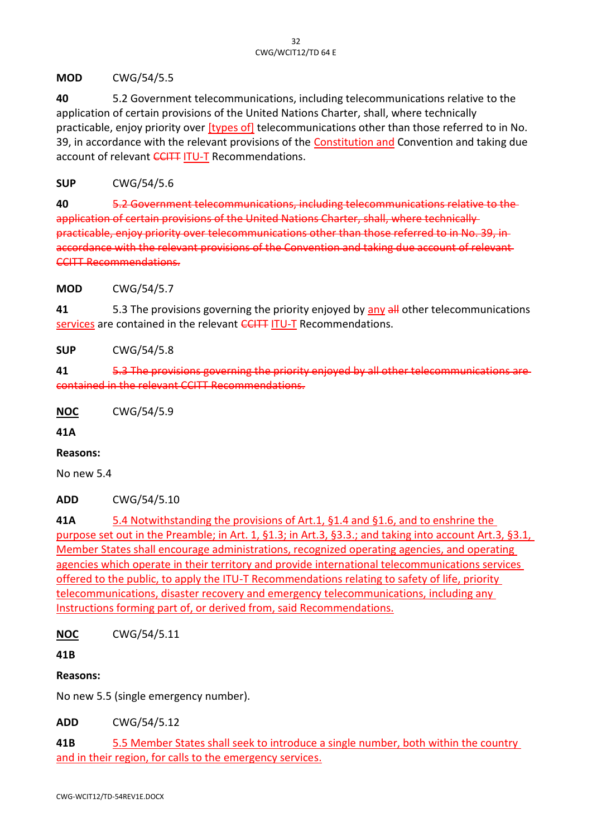**MOD** CWG/54/5.5

**40** 5.2 Government telecommunications, including telecommunications relative to the application of certain provisions of the United Nations Charter, shall, where technically practicable, enjoy priority over [types of] telecommunications other than those referred to in No. 39, in accordance with the relevant provisions of the Constitution and Convention and taking due account of relevant CCITT ITU-T Recommendations.

**SUP** CWG/54/5.6

**40** 5.2 Government telecommunications, including telecommunications relative application of certain provisions of the United Nations Charter, shall, where technically practicable, enjoy priority over telecommunications other than those referred to in No. 39, in accordance with the relevant provisions of the Convention and taking due account of relevant-CCITT Recommendations.

**MOD** CWG/54/5.7

**41** 5.3 The provisions governing the priority enjoyed by any all other telecommunications services are contained in the relevant CCITT ITU-T Recommendations.

**SUP** CWG/54/5.8

**41** 5.3 The provisions governing the priority enjoyed by all other telecommunications are contained in the relevant CCITT Recommendations.

**NOC** CWG/54/5.9

**41A**

#### **Reasons:**

No new 5.4

**ADD** CWG/54/5.10

**41A** 5.4 Notwithstanding the provisions of Art.1, §1.4 and §1.6, and to enshrine the purpose set out in the Preamble; in Art. 1, §1.3; in Art.3, §3.3.; and taking into account Art.3, §3.1, Member States shall encourage administrations, recognized operating agencies, and operating agencies which operate in their territory and provide international telecommunications services offered to the public, to apply the ITU-T Recommendations relating to safety of life, priority telecommunications, disaster recovery and emergency telecommunications, including any Instructions forming part of, or derived from, said Recommendations.

**NOC** CWG/54/5.11

**41B**

**Reasons:**

No new 5.5 (single emergency number).

**ADD** CWG/54/5.12

**41B** 5.5 Member States shall seek to introduce a single number, both within the country and in their region, for calls to the emergency services.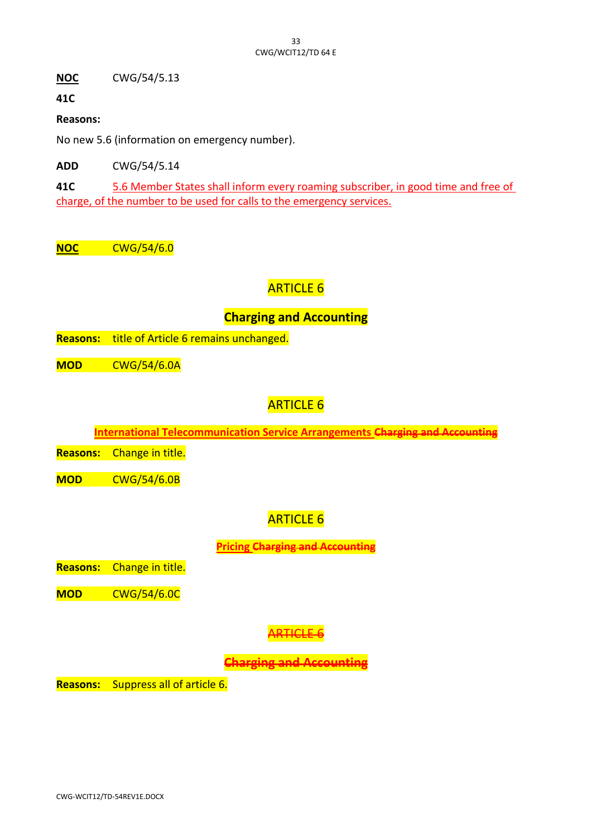**NOC** CWG/54/5.13

**41C**

**Reasons:**

No new 5.6 (information on emergency number).

**ADD** CWG/54/5.14

**41C** 5.6 Member States shall inform every roaming subscriber, in good time and free of charge, of the number to be used for calls to the emergency services.

**NOC** CWG/54/6.0

# ARTICLE 6

# **Charging and Accounting**

**Reasons:** title of Article 6 remains unchanged.

**MOD** CWG/54/6.0A

# ARTICLE 6

**International Telecommunication Service Arrangements Charging and Accountin** 

**Reasons:** Change in title.

**MOD** CWG/54/6.0B

# **ARTICLE 6**

**Pricing Charging and Accounting**

**Reasons:** Change in title.

**MOD** CWG/54/6.0C

# ARTICLE 6

**Charging and Accounting**

**Reasons:** Suppress all of article 6.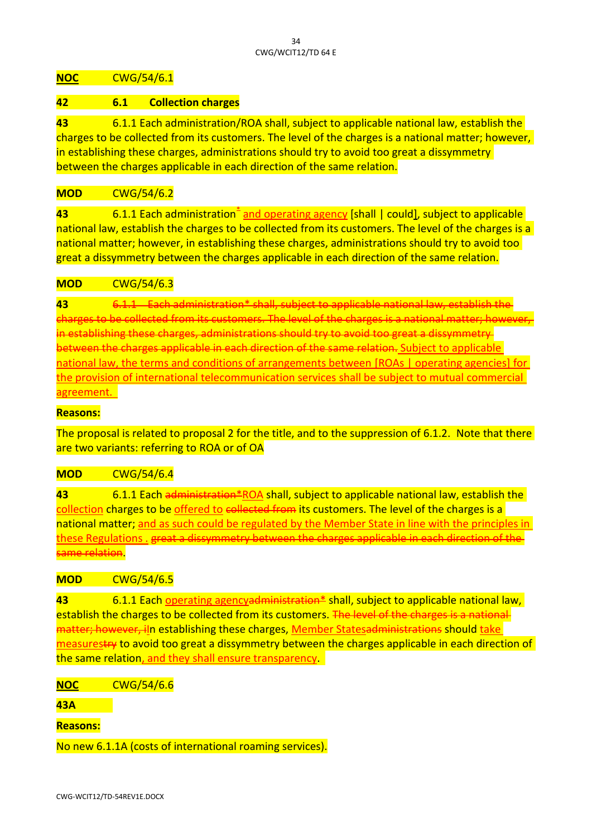#### **NOC** CWG/54/6.1

#### **42 6.1 Collection charges**

**43** 6.1.1 Each administration/ROA shall, subject to applicable national law, establish the charges to be collected from its customers. The level of the charges is a national matter; however, in establishing these charges, administrations should try to avoid too great a dissymmetry between the charges applicable in each direction of the same relation.

## **MOD** CWG/54/6.2

43 6.1.1 Each administration<sup>\*</sup> and operating agency [shall | could], subject to applicable national law, establish the charges to be collected from its customers. The level of the charges is a national matter; however, in establishing these charges, administrations should try to avoid too great a dissymmetry between the charges applicable in each direction of the same relation.

#### **MOD** CWG/54/6.3

**43** 6.1.1 Each administration\* shall, subject to applicable national law, establish the charges to be collected from its customers. The level of the charges is a national matter; however, inistrations should try to avoid too gre between the charges applicable in each direction of the same relation. Subject to applicable national law, the terms and conditions of arrangements between [ROAs | operating agencies] for the provision of international telecommunication services shall be subject to mutual commercial agreement.

#### **Reasons:**

The proposal is related to proposal 2 for the title, and to the suppression of 6.1.2. Note that there are two variants: referring to ROA or of OA

#### **MOD** CWG/54/6.4

**43** 6.1.1 Each administration\*ROA shall, subject to applicable national law, establish the collection charges to be offered to collected from its customers. The level of the charges is a national matter; and as such could be regulated by the Member State in line with the principles in these Regulations . great a dissymmetry between the charges applicable in ame relation.

#### **MOD** CWG/54/6.5

**43** 6.1.1 Each operating agencyadministration\* shall, subject to applicable national law, establish the charges to be collected from its customers. The level of the charges is a national matter; however, iln establishing these charges, Member Statesadministrations should take measurestry to avoid too great a dissymmetry between the charges applicable in each direction of the same relation, and they shall ensure transparency.

**NOC** CWG/54/6.6

**43A**

**Reasons:**

No new 6.1.1A (costs of international roaming services).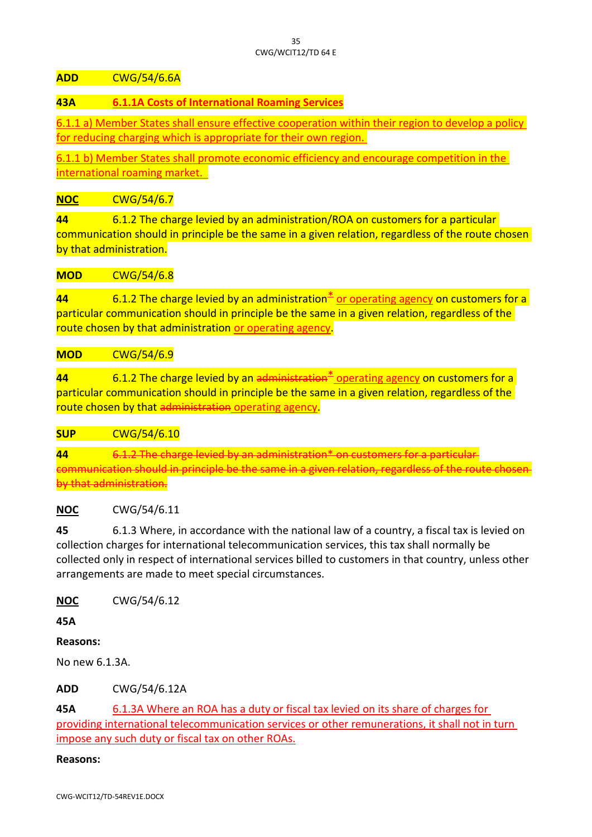#### **ADD** CWG/54/6.6A

## **43A 6.1.1A Costs of International Roaming Services**

6.1.1 a) Member States shall ensure effective cooperation within their region to develop a policy for reducing charging which is appropriate for their own region.

6.1.1 b) Member States shall promote economic efficiency and encourage competition in the international roaming market.

#### **NOC** CWG/54/6.7

**44** 6.1.2 The charge levied by an administration/ROA on customers for a particular communication should in principle be the same in a given relation, regardless of the route chosen by that administration.

#### **MOD** CWG/54/6.8

**44** 6.1.2 The charge levied by an administration<sup>\*</sup> or operating agency on customers for a particular communication should in principle be the same in a given relation, regardless of the route chosen by that administration or operating agency.

#### **MOD** CWG/54/6.9

**44** 6.1.2 The charge levied by an administration<sup>\*</sup> operating agency on customers for a particular communication should in principle be the same in a given relation, regardless of the route chosen by that administration operating agency.

#### **SUP** CWG/54/6.10

**44** 6.1.2 The charge levied by an administration\* on customers for a particular communication should in principle be the same in a given relation by that administration.

#### **NOC** CWG/54/6.11

**45** 6.1.3 Where, in accordance with the national law of a country, a fiscal tax is levied on collection charges for international telecommunication services, this tax shall normally be collected only in respect of international services billed to customers in that country, unless other arrangements are made to meet special circumstances.

**NOC** CWG/54/6.12

**45A**

#### **Reasons:**

No new 6.1.3A.

**ADD** CWG/54/6.12A

**45A** 6.1.3A Where an ROA has a duty or fiscal tax levied on its share of charges for providing international telecommunication services or other remunerations, it shall not in turn impose any such duty or fiscal tax on other ROAs.

#### **Reasons:**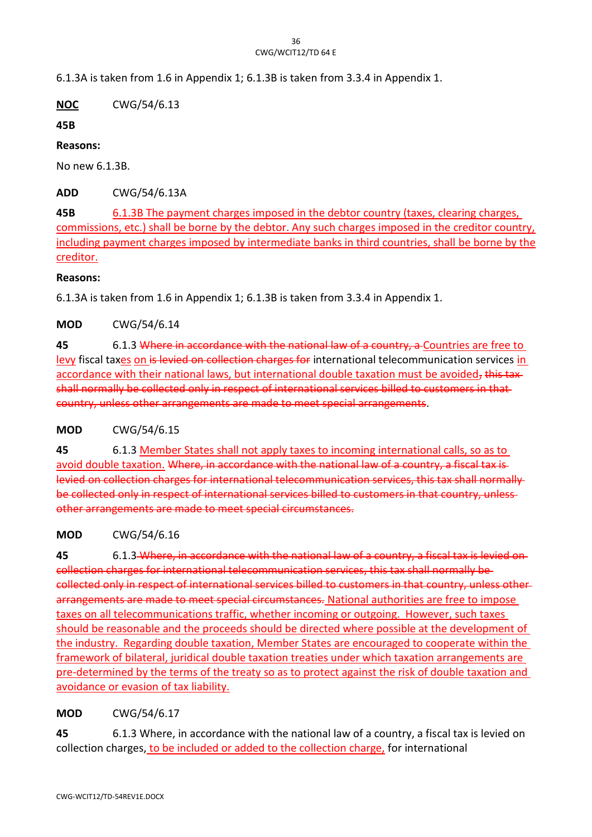6.1.3A is taken from 1.6 in Appendix 1; 6.1.3B is taken from 3.3.4 in Appendix 1.

**NOC** CWG/54/6.13

**45B**

**Reasons:**

No new 6.1.3B.

**ADD** CWG/54/6.13A

**45B** 6.1.3B The payment charges imposed in the debtor country (taxes, clearing charges, commissions, etc.) shall be borne by the debtor. Any such charges imposed in the creditor country, including payment charges imposed by intermediate banks in third countries, shall be borne by the creditor.

#### **Reasons:**

6.1.3A is taken from 1.6 in Appendix 1; 6.1.3B is taken from 3.3.4 in Appendix 1.

## **MOD** CWG/54/6.14

**45** 6.1.3 Where in accordance with the national law of a country, a Countries are free to levy fiscal taxes on is levied on collection charges for international telecommunication services in accordance with their national laws, but international double taxation must be avoided, this taxshall normally be collected only in respect of international services billed to customers in that country, unless other arrangements are made to meet special arrangements.

## **MOD** CWG/54/6.15

**45** 6.1.3 Member States shall not apply taxes to incoming international calls, so as to avoid double taxation. Where, in accordance with the national law of a country, a fiscal tax is levied on collection charges for international telecommunication services, this tax shall normally be collected only in respect of international services billed to customers in that country, unless other arrangements are made to meet special circumstances.

## **MOD** CWG/54/6.16

**45** 6.1.3 Where, in accordance with the national law of a country, a fiscal tax is levied on collection charges for international telecommunication services, this tax shall normally be collected only in respect of international services billed to customers in that country, unless other arrangements are made to meet special circumstances. National authorities are free to impose taxes on all telecommunications traffic, whether incoming or outgoing. However, such taxes should be reasonable and the proceeds should be directed where possible at the development of the industry. Regarding double taxation, Member States are encouraged to cooperate within the framework of bilateral, juridical double taxation treaties under which taxation arrangements are pre-determined by the terms of the treaty so as to protect against the risk of double taxation and avoidance or evasion of tax liability.

## **MOD** CWG/54/6.17

**45** 6.1.3 Where, in accordance with the national law of a country, a fiscal tax is levied on collection charges, to be included or added to the collection charge, for international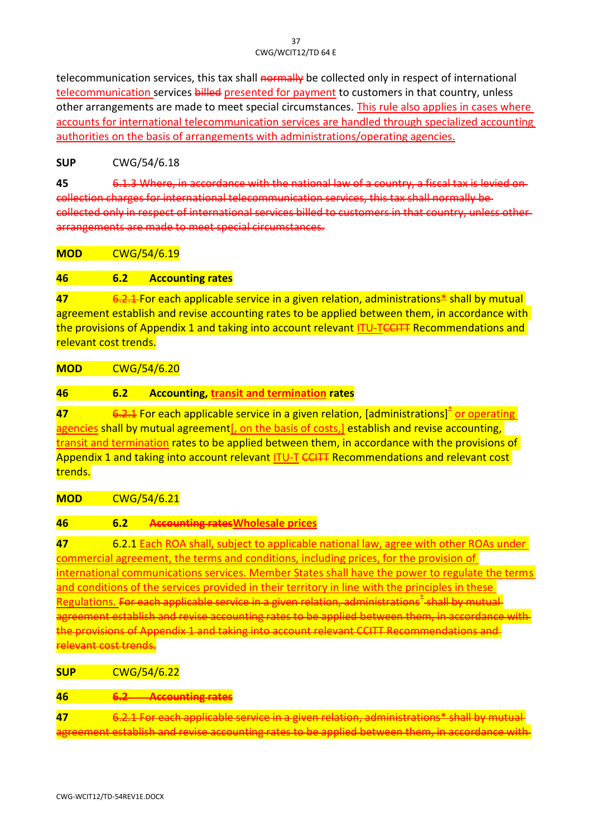telecommunication services, this tax shall normally be collected only in respect of international telecommunication services billed presented for payment to customers in that country, unless other arrangements are made to meet special circumstances. This rule also applies in cases where accounts for international telecommunication services are handled through specialized accounting authorities on the basis of arrangements with administrations/operating agencies.

## **SUP** CWG/54/6.18

**45** 6.1.3 Where, in accordance with the national law of a country, a fiscal tax is levied on collection charges for international telecommunication services, this tax shall normally be collected only in respect of international services billed to customers in that country arrangements are made to meet special circumstances.

**MOD** CWG/54/6.19

#### **46 6.2 Accounting rates**

**47** 6.2.1 For each applicable service in a given relation, administrations<sup>\*</sup> shall by mutual agreement establish and revise accounting rates to be applied between them, in accordance with the provisions of Appendix 1 and taking into account relevant ITU-TCCITT Recommendations and relevant cost trends.

**MOD** CWG/54/6.20

#### **46 6.2 Accounting, transit and termination rates**

47 **6.2.1** For each applicable service in a given relation, [administrations]<sup>\*</sup> or operating agencies shall by mutual agreement[, on the basis of costs,] establish and revise accounting, transit and termination rates to be applied between them, in accordance with the provisions of Appendix 1 and taking into account relevant ITU-T CCITT Recommendations and relevant cost trends.

**MOD** CWG/54/6.21

## **46 6.2 Accounting ratesWholesale prices**

**47** 6.2.1 Each ROA shall, subject to applicable national law, agree with other ROAs under commercial agreement, the terms and conditions, including prices, for the provision of international communications services. Member States shall have the power to regulate the terms and conditions of the services provided in their territory in line with the principles in these <u>Regulations. For each applicable service in a given relation, administrations<sup>\*</sup> shall by mutual</u> agreement establish and revise accounting rates to be applied between them, in accordance with the provisions of Appendix 1 and taking into account relevant CCITT Recommendations and elevant cost trends

**SUP** CWG/54/6.22

**46 6.2 Accounting rates**

**47** 6.2.1 For each applicable service in a given relation agreement establish and revise accounting rates to be applied between them, in accordance with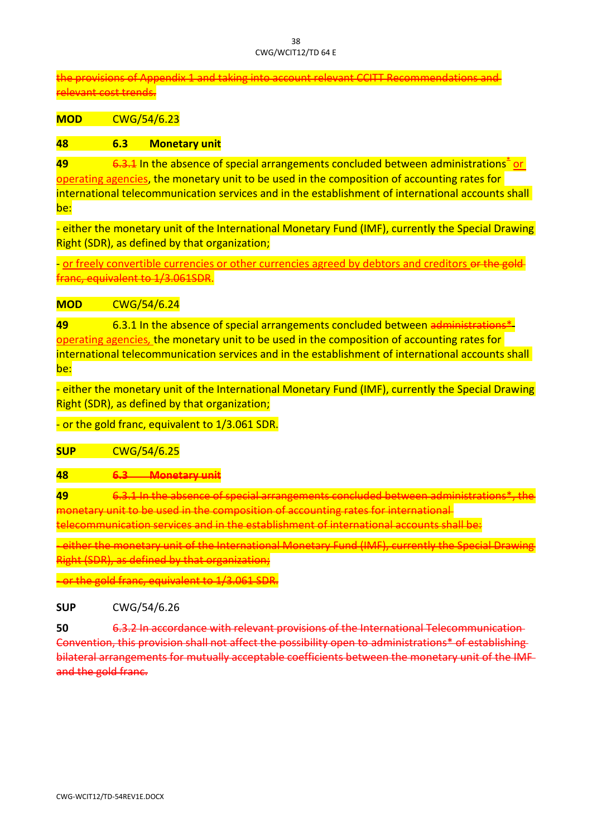the provisions of Appendix 1 and taking into account relevant CCITT Recommendations and relevant cost trends.

**MOD** CWG/54/6.23

#### **48 6.3 Monetary unit**

49 **6.3.1** In the absence of special arrangements concluded between administrations<sup>\*</sup> or operating agencies, the monetary unit to be used in the composition of accounting rates for international telecommunication services and in the establishment of international accounts shall be:

- either the monetary unit of the International Monetary Fund (IMF), currently the Special Drawing Right (SDR), as defined by that organization;

- or freely convertible currencies or other currencies agreed by debtors and creditors or the franc, equivalent to 1/3.061SDR.

#### **MOD** CWG/54/6.24

**49** 6.3.1 In the absence of special arrangements concluded between administrations\* operating agencies*,* the monetary unit to be used in the composition of accounting rates for international telecommunication services and in the establishment of international accounts shall be:

- either the monetary unit of the International Monetary Fund (IMF), currently the Special Drawing Right (SDR), as defined by that organization;

- or the gold franc, equivalent to 1/3.061 SDR.

**SUP** CWG/54/6.25

#### **48 6.3 Monetary unit**

**49** 6.3.1 In the absence of special arrangements concluded between administrations monetary unit to be used in the composition of accounting rates for international telecommunication services and in the establishment of international accounts shall

- either the monetary unit of the International Monetary Fund (IMF), currently the Special Drawing Right (SDR), as defined by that organization;

or the gold franc, equivalent to 1/3.061 SDR.

**SUP** CWG/54/6.26

**50** 6.3.2 In accordance with relevant provisions of the International Convention, this provision shall not affect the possibility open to administrations\* of establishing bilateral arrangements for mutually acceptable coefficients between the monetary unit of the IMF and the gold franc.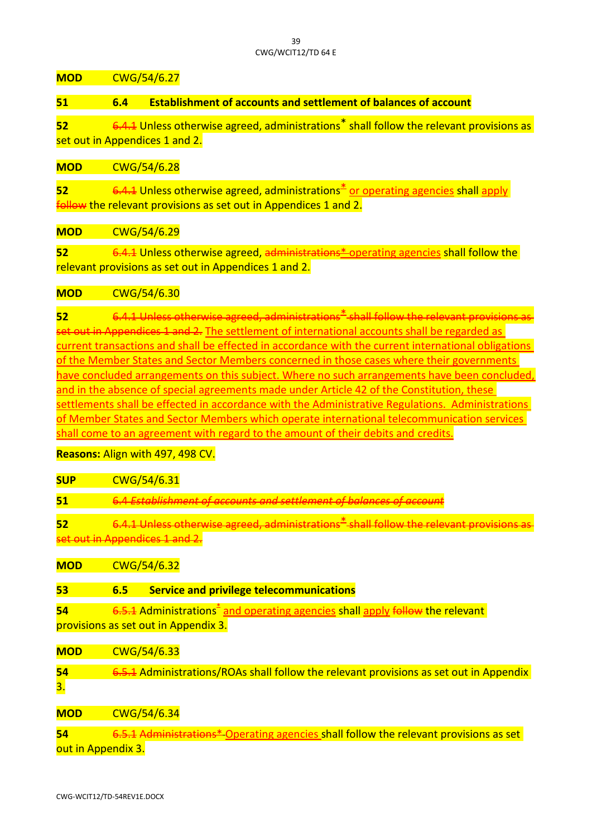**MOD** CWG/54/6.27

**51 6.4 Establishment of accounts and settlement of balances of account**

**52** 6.4.1 Unless otherwise agreed, administrations<sup>\*</sup> shall follow the relevant provisions as set out in Appendices 1 and 2.

## **MOD** CWG/54/6.28

**52** 6.4.1 Unless otherwise agreed, administrations<sup>\*</sup> or operating agencies shall apply follow the relevant provisions as set out in Appendices 1 and 2.

**MOD** CWG/54/6.29

**52** 6.4.1 Unless otherwise agreed, administrations\* operating agencies shall follow the relevant provisions as set out in Appendices 1 and 2.

## **MOD** CWG/54/6.30

**52** 6.4.1 Unless otherwise agreed, administrations\* shall follow the relevant provisions as set out in Appendices 1 and 2. The settlement of international accounts shall be regarded as current transactions and shall be effected in accordance with the current international obligations of the Member States and Sector Members concerned in those cases where their governments have concluded arrangements on this subject. Where no such arrangements have been concluded, and in the absence of special agreements made under Article 42 of the Constitution, these settlements shall be effected in accordance with the Administrative Regulations. Administrations of Member States and Sector Members which operate international telecommunication services shall come to an agreement with regard to the amount of their debits and credits.

## **Reasons:** Align with 497, 498 CV.

| <b>SUP</b> | CWG/54/6.31                                                                                                                       |
|------------|-----------------------------------------------------------------------------------------------------------------------------------|
| 51         | 6.4 Establishment of accounts and settlement of balances of accoun                                                                |
| 52         | 6.4.1 Unless otherwise agreed, administrations <sup>2</sup> shall follow the relevant provision<br>set out in Appendices 1 and 2  |
| <b>MOD</b> | CWG/54/6.32                                                                                                                       |
| 53         | <b>Service and privilege telecommunications</b><br>6.5                                                                            |
| 54         | 6.5.1 Administrations <sup>-</sup> and operating agencies shall apply follow the relevant<br>provisions as set out in Appendix 3. |
| <b>MOD</b> | CWG/54/6.33                                                                                                                       |
| 54         | 6.5.1 Administrations/ROAs shall follow the relevant provisions as set out in Appendix                                            |

3.

**MOD** CWG/54/6.34

**54** 6.5.1 Administrations\* Operating agencies shall follow the relevant provisions as set out in Appendix 3.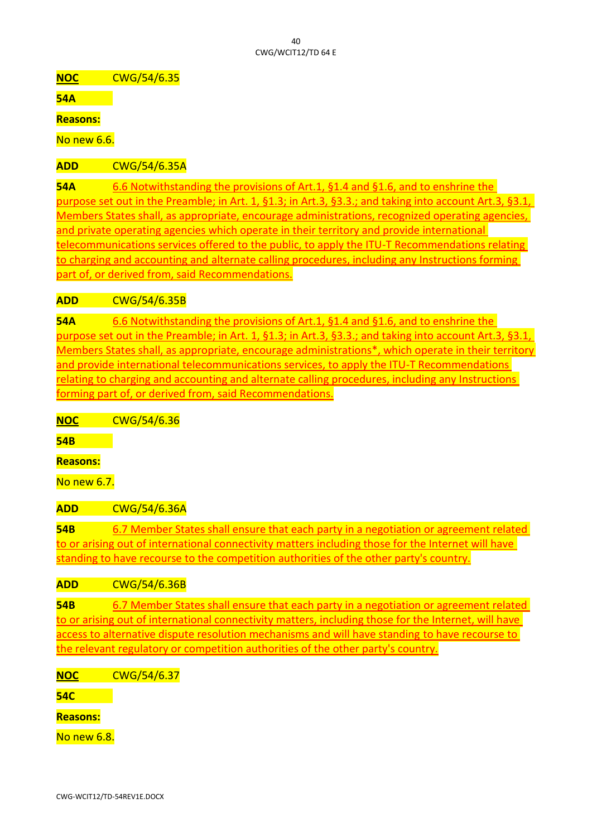**NOC** CWG/54/6.35

**54A**

**Reasons:**

No new 6.6.

**ADD** CWG/54/6.35A

**54A** 6.6 Notwithstanding the provisions of Art.1, §1.4 and §1.6, and to enshrine the purpose set out in the Preamble; in Art. 1, §1.3; in Art.3, §3.3.; and taking into account Art.3, §3.1, Members States shall, as appropriate, encourage administrations, recognized operating agencies, and private operating agencies which operate in their territory and provide international telecommunications services offered to the public, to apply the ITU-T Recommendations relating to charging and accounting and alternate calling procedures, including any Instructions forming part of, or derived from, said Recommendations.

**ADD** CWG/54/6.35B

**54A** 6.6 Notwithstanding the provisions of Art.1, §1.4 and §1.6, and to enshrine the purpose set out in the Preamble; in Art. 1, §1.3; in Art.3, §3.3.; and taking into account Art.3, §3.1, Members States shall, as appropriate, encourage administrations\*, which operate in their territory and provide international telecommunications services, to apply the ITU-T Recommendations relating to charging and accounting and alternate calling procedures, including any Instructions forming part of, or derived from, said Recommendations.

**NOC** CWG/54/6.36

**54B**

**Reasons:**

No new 6.7.

**ADD** CWG/54/6.36A

**54B** 6.7 Member States shall ensure that each party in a negotiation or agreement related to or arising out of international connectivity matters including those for the Internet will have standing to have recourse to the competition authorities of the other party's country.

**ADD** CWG/54/6.36B

**54B** 6.7 Member States shall ensure that each party in a negotiation or agreement related to or arising out of international connectivity matters, including those for the Internet, will have access to alternative dispute resolution mechanisms and will have standing to have recourse to the relevant regulatory or competition authorities of the other party's country.

**NOC** CWG/54/6.37

**54C**

**Reasons:**

No new 6.8.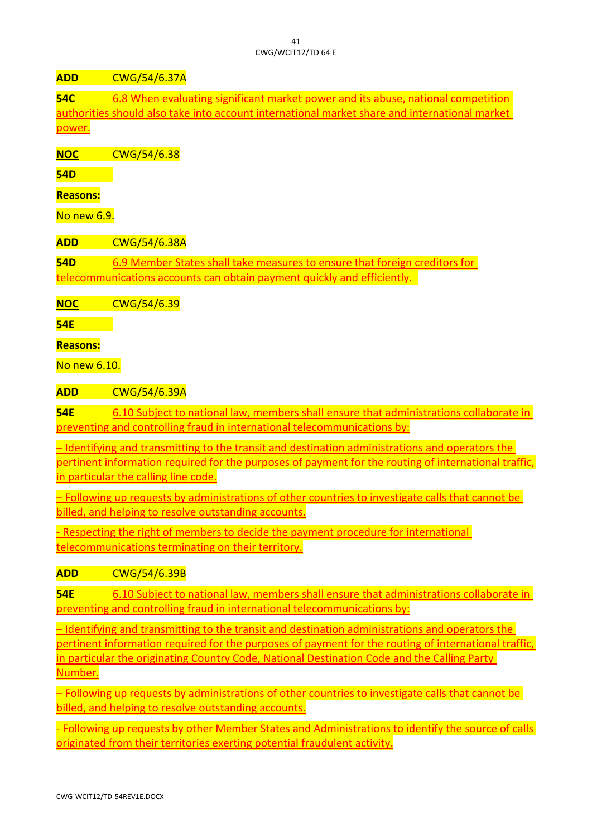## **ADD** CWG/54/6.37A

**54C** 6.8 When evaluating significant market power and its abuse, national competition authorities should also take into account international market share and international market power.

**NOC** CWG/54/6.38

**54D**

# **Reasons:**

No new 6.9.

**ADD** CWG/54/6.38A

**54D** 6.9 Member States shall take measures to ensure that foreign creditors for telecommunications accounts can obtain payment quickly and efficiently.

**NOC** CWG/54/6.39

**54E**

# **Reasons:**

No new 6.10.

**ADD** CWG/54/6.39A

**54E** 6.10 Subject to national law, members shall ensure that administrations collaborate in preventing and controlling fraud in international telecommunications by:

– Identifying and transmitting to the transit and destination administrations and operators the pertinent information required for the purposes of payment for the routing of international traffic, in particular the calling line code.

– Following up requests by administrations of other countries to investigate calls that cannot be billed, and helping to resolve outstanding accounts.

- Respecting the right of members to decide the payment procedure for international telecommunications terminating on their territory.

**ADD** CWG/54/6.39B

**54E** 6.10 Subject to national law, members shall ensure that administrations collaborate in preventing and controlling fraud in international telecommunications by:

– Identifying and transmitting to the transit and destination administrations and operators the pertinent information required for the purposes of payment for the routing of international traffic, in particular the originating Country Code, National Destination Code and the Calling Party Number.

– Following up requests by administrations of other countries to investigate calls that cannot be billed, and helping to resolve outstanding accounts.

- Following up requests by other Member States and Administrations to identify the source of calls originated from their territories exerting potential fraudulent activity.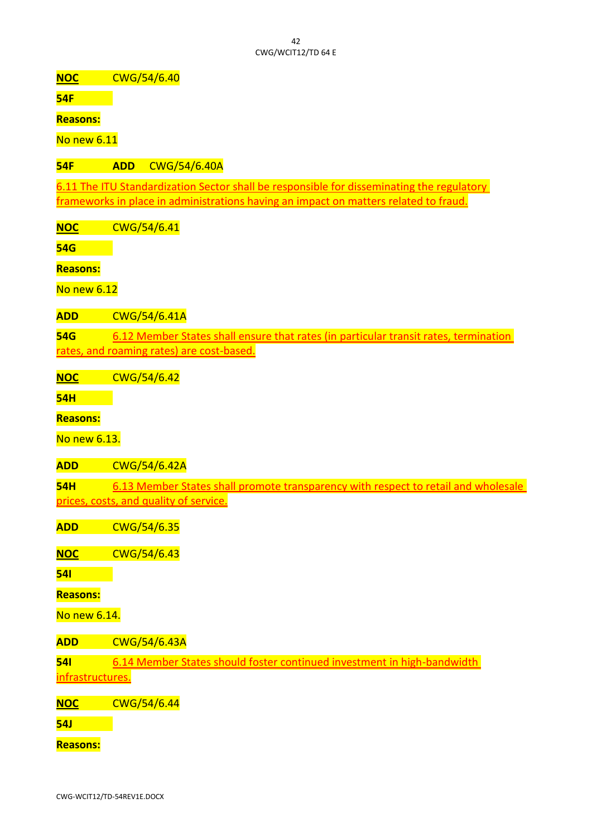**NOC** CWG/54/6.40

**54F**

**Reasons:**

No new 6.11

**54F ADD** CWG/54/6.40A

6.11 The ITU Standardization Sector shall be responsible for disseminating the regulatory frameworks in place in administrations having an impact on matters related to fraud.

**NOC** CWG/54/6.41

**54G**

**Reasons:**

No new 6.12

**ADD** CWG/54/6.41A

**54G** 6.12 Member States shall ensure that rates (in particular transit rates, termination rates, and roaming rates) are cost-based.

**NOC** CWG/54/6.42

**54H**

**Reasons:**

No new 6.13.

**ADD** CWG/54/6.42A

**54H** 6.13 Member States shall promote transparency with respect to retail and wholesale prices, costs, and quality of service.

**ADD** CWG/54/6.35

**NOC** CWG/54/6.43

**54I**

**Reasons:**

No new 6.14.

**ADD** CWG/54/6.43A

**54I** 6.14 Member States should foster continued investment in high-bandwidth infrastructures.

**NOC** CWG/54/6.44

**54J**

**Reasons:**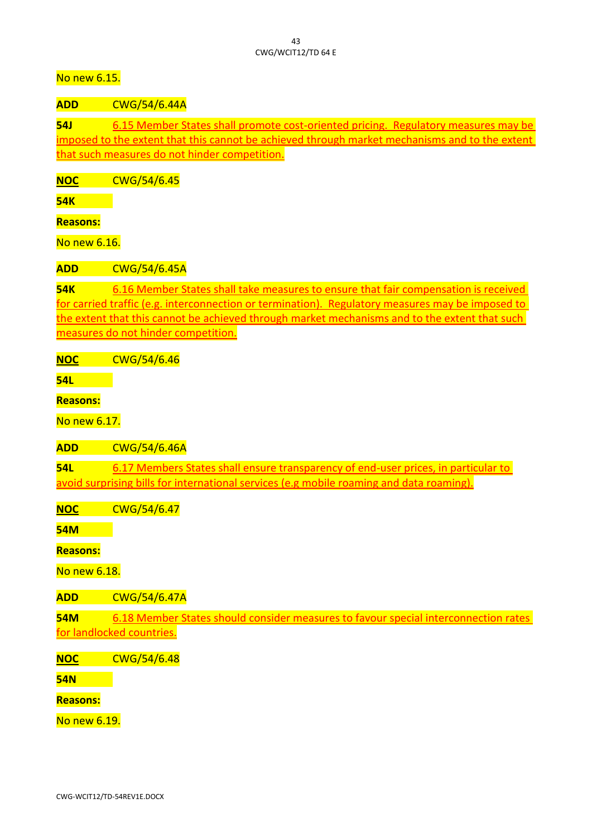No new 6.15.

**ADD** CWG/54/6.44A

**54J** 6.15 Member States shall promote cost-oriented pricing. Regulatory measures may be imposed to the extent that this cannot be achieved through market mechanisms and to the extent that such measures do not hinder competition.

**NOC** CWG/54/6.45

**54K**

**Reasons:**

No new 6.16.

**ADD** CWG/54/6.45A

**54K** 6.16 Member States shall take measures to ensure that fair compensation is received for carried traffic (e.g. interconnection or termination). Regulatory measures may be imposed to the extent that this cannot be achieved through market mechanisms and to the extent that such measures do not hinder competition.

**NOC** CWG/54/6.46

**54L**

**Reasons:**

No new 6.17.

**ADD** CWG/54/6.46A

**54L** 6.17 Members States shall ensure transparency of end-user prices, in particular to avoid surprising bills for international services (e.g mobile roaming and data roaming).

**NOC** CWG/54/6.47

**54M**

**Reasons:**

No new 6.18.

**ADD** CWG/54/6.47A

**54M** 6.18 Member States should consider measures to favour special interconnection rates for landlocked countries.

**NOC** CWG/54/6.48

**54N**

**Reasons:**

No new 6.19.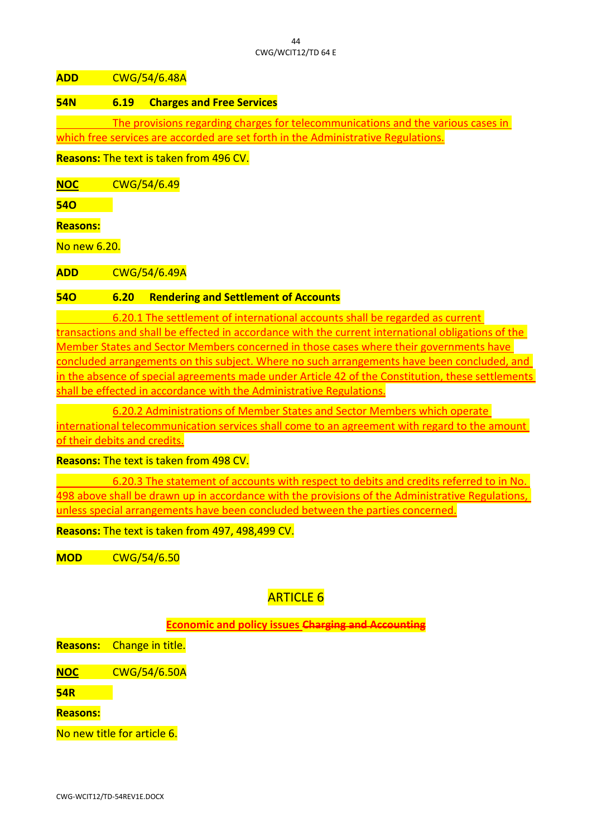#### $\overline{A}$ CWG/WCIT12/TD 64 E

**ADD** CWG/54/6.48A

#### **54N 6.19 Charges and Free Services**

The provisions regarding charges for telecommunications and the various cases in which free services are accorded are set forth in the Administrative Regulations.

**Reasons:** The text is taken from 496 CV.

**NOC** CWG/54/6.49

**54O**

**Reasons:**

No new 6.20.

**ADD** CWG/54/6.49A

#### **54O 6.20 Rendering and Settlement of Accounts**

6.20.1 The settlement of international accounts shall be regarded as current transactions and shall be effected in accordance with the current international obligations of the Member States and Sector Members concerned in those cases where their governments have concluded arrangements on this subject. Where no such arrangements have been concluded, and in the absence of special agreements made under Article 42 of the Constitution, these settlements shall be effected in accordance with the Administrative Regulations.

6.20.2 Administrations of Member States and Sector Members which operate international telecommunication services shall come to an agreement with regard to the amount of their debits and credits.

**Reasons:** The text is taken from 498 CV.

6.20.3 The statement of accounts with respect to debits and credits referred to in No. 498 above shall be drawn up in accordance with the provisions of the Administrative Regulations, unless special arrangements have been concluded between the parties concerned.

**Reasons:** The text is taken from 497, 498,499 CV.

**MOD** CWG/54/6.50

# ARTICLE 6

**Economic and policy issues Charging and Accounting**

**Reasons:** Change in title.

**NOC** CWG/54/6.50A

**54R**

**Reasons:**

No new title for article 6.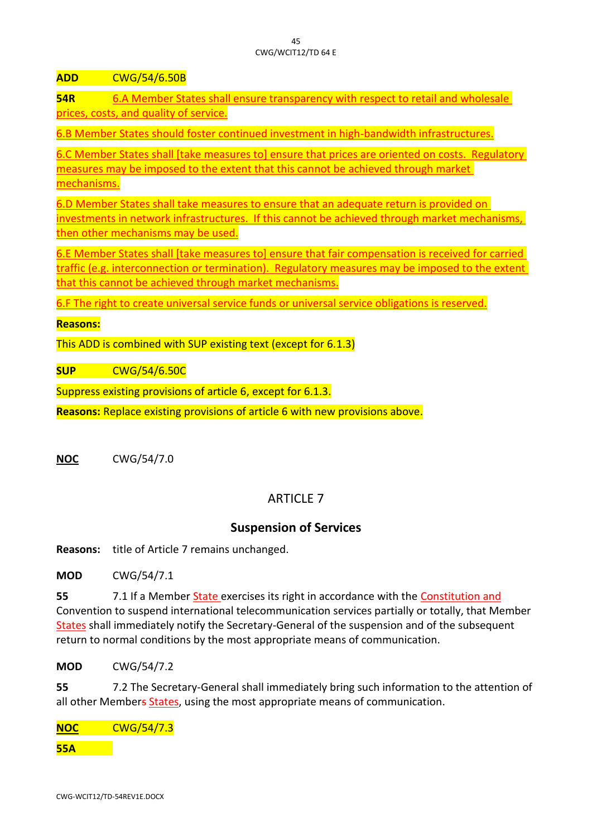**ADD** CWG/54/6.50B

**54R** 6.A Member States shall ensure transparency with respect to retail and wholesale prices, costs, and quality of service.

6.B Member States should foster continued investment in high-bandwidth infrastructures.

6.C Member States shall [take measures to] ensure that prices are oriented on costs. Regulatory measures may be imposed to the extent that this cannot be achieved through market mechanisms.

6.D Member States shall take measures to ensure that an adequate return is provided on investments in network infrastructures. If this cannot be achieved through market mechanisms, then other mechanisms may be used.

6.E Member States shall [take measures to] ensure that fair compensation is received for carried traffic (e.g. interconnection or termination). Regulatory measures may be imposed to the extent that this cannot be achieved through market mechanisms.

6.F The right to create universal service funds or universal service obligations is reserved.

#### **Reasons:**

This ADD is combined with SUP existing text (except for 6.1.3)

**SUP** CWG/54/6.50C

Suppress existing provisions of article 6, except for 6.1.3.

**Reasons:** Replace existing provisions of article 6 with new provisions above.

**NOC** CWG/54/7.0

# ARTICLE 7

# **Suspension of Services**

**Reasons:** title of Article 7 remains unchanged.

**MOD** CWG/54/7.1

**55** 7.1 If a Member State exercises its right in accordance with the Constitution and Convention to suspend international telecommunication services partially or totally, that Member States shall immediately notify the Secretary-General of the suspension and of the subsequent return to normal conditions by the most appropriate means of communication.

**MOD** CWG/54/7.2

**55** 7.2 The Secretary-General shall immediately bring such information to the attention of all other Members States, using the most appropriate means of communication.

**NOC** CWG/54/7.3 **55A**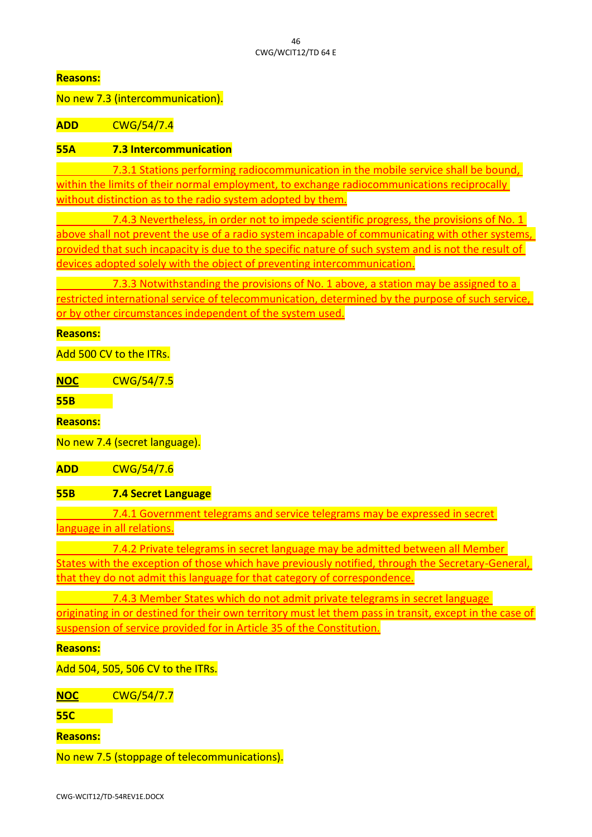No new 7.3 (intercommunication).

**ADD** CWG/54/7.4

## **55A 7.3 Intercommunication**

7.3.1 Stations performing radiocommunication in the mobile service shall be bound, within the limits of their normal employment, to exchange radiocommunications reciprocally without distinction as to the radio system adopted by them.

7.4.3 Nevertheless, in order not to impede scientific progress, the provisions of No. 1 above shall not prevent the use of a radio system incapable of communicating with other systems, provided that such incapacity is due to the specific nature of such system and is not the result of devices adopted solely with the object of preventing intercommunication.

7.3.3 Notwithstanding the provisions of No. 1 above, a station may be assigned to a restricted international service of telecommunication, determined by the purpose of such service, or by other circumstances independent of the system used.

**Reasons:**

Add 500 CV to the ITRs.

**NOC** CWG/54/7.5

**55B**

**Reasons:**

No new 7.4 (secret language).

**ADD** CWG/54/7.6

## **55B 7.4 Secret Language**

7.4.1 Government telegrams and service telegrams may be expressed in secret language in all relations.

7.4.2 Private telegrams in secret language may be admitted between all Member States with the exception of those which have previously notified, through the Secretary-General, that they do not admit this language for that category of correspondence.

7.4.3 Member States which do not admit private telegrams in secret language originating in or destined for their own territory must let them pass in transit, except in the case of suspension of service provided for in Article 35 of the Constitution.

**Reasons:**

Add 504, 505, 506 CV to the ITRs.

**NOC** CWG/54/7.7

**55C**

**Reasons:**

No new 7.5 (stoppage of telecommunications).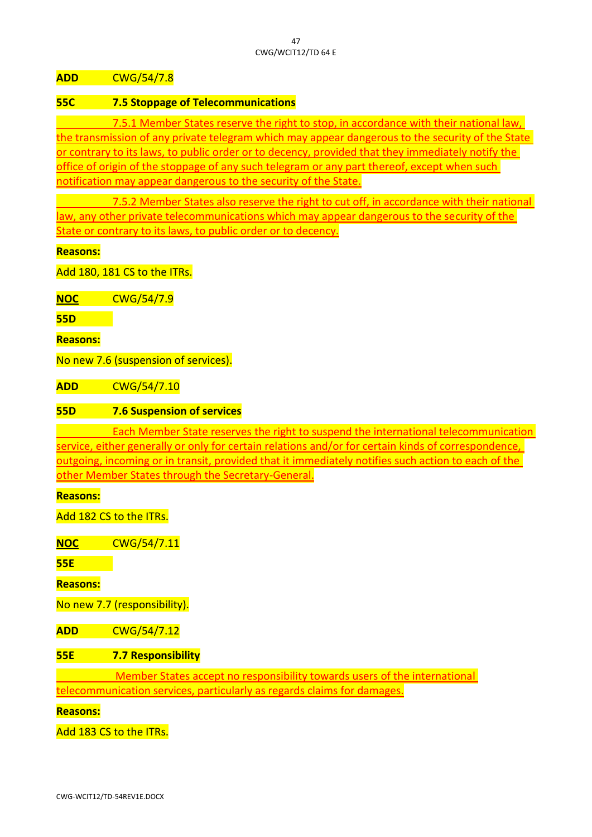**ADD** CWG/54/7.8

#### **55C 7.5 Stoppage of Telecommunications**

7.5.1 Member States reserve the right to stop, in accordance with their national law, the transmission of any private telegram which may appear dangerous to the security of the State or contrary to its laws, to public order or to decency, provided that they immediately notify the office of origin of the stoppage of any such telegram or any part thereof, except when such notification may appear dangerous to the security of the State.

7.5.2 Member States also reserve the right to cut off, in accordance with their national law, any other private telecommunications which may appear dangerous to the security of the State or contrary to its laws, to public order or to decency.

**Reasons:**

Add 180, 181 CS to the ITRs.

**NOC** CWG/54/7.9

**55D**

**Reasons:**

No new 7.6 (suspension of services).

**ADD** CWG/54/7.10

## **55D 7.6 Suspension of services**

Each Member State reserves the right to suspend the international telecommunication service, either generally or only for certain relations and/or for certain kinds of correspondence, outgoing, incoming or in transit, provided that it immediately notifies such action to each of the other Member States through the Secretary-General.

**Reasons:**

Add 182 CS to the ITRs.

**NOC** CWG/54/7.11

**55E**

**Reasons:**

No new 7.7 (responsibility).

**ADD** CWG/54/7.12

**55E 7.7 Responsibility**

Member States accept no responsibility towards users of the international telecommunication services, particularly as regards claims for damages.

**Reasons:**

Add 183 CS to the ITRs.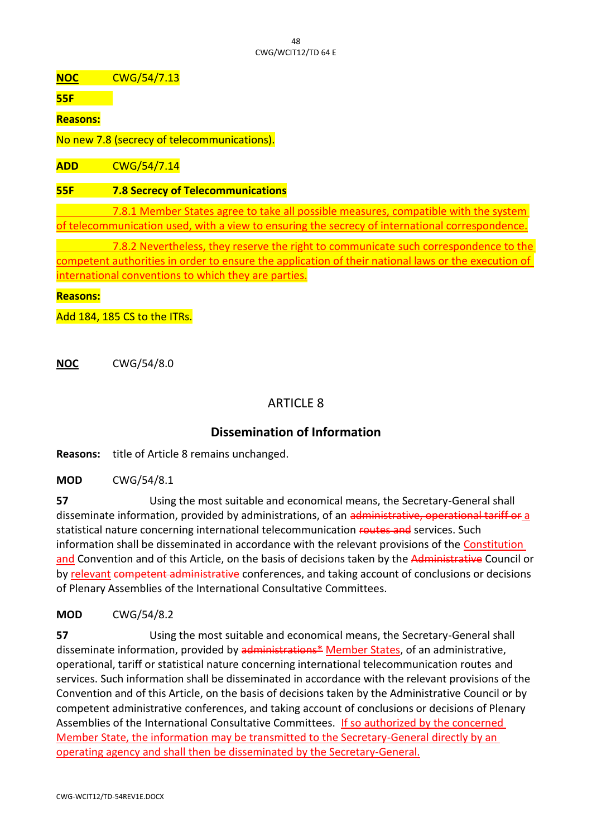#### $\overline{AB}$ CWG/WCIT12/TD 64 E

**NOC** CWG/54/7.13

**55F**

**Reasons:**

No new 7.8 (secrecy of telecommunications).

**ADD** CWG/54/7.14

#### **55F 7.8 Secrecy of Telecommunications**

7.8.1 Member States agree to take all possible measures, compatible with the system of telecommunication used, with a view to ensuring the secrecy of international correspondence.

7.8.2 Nevertheless, they reserve the right to communicate such correspondence to the competent authorities in order to ensure the application of their national laws or the execution of international conventions to which they are parties.

#### **Reasons:**

Add 184, 185 CS to the ITRs.

**NOC** CWG/54/8.0

# ARTICLE 8

# **Dissemination of Information**

**Reasons:** title of Article 8 remains unchanged.

**MOD** CWG/54/8.1

**57** Using the most suitable and economical means, the Secretary-General shall disseminate information, provided by administrations, of an administrative, operational tariff or a statistical nature concerning international telecommunication routes and services. Such information shall be disseminated in accordance with the relevant provisions of the Constitution and Convention and of this Article, on the basis of decisions taken by the Administrative Council or by relevant competent administrative conferences, and taking account of conclusions or decisions of Plenary Assemblies of the International Consultative Committees.

## **MOD** CWG/54/8.2

**57** Using the most suitable and economical means, the Secretary-General shall disseminate information, provided by administrations\* Member States, of an administrative, operational, tariff or statistical nature concerning international telecommunication routes and services. Such information shall be disseminated in accordance with the relevant provisions of the Convention and of this Article, on the basis of decisions taken by the Administrative Council or by competent administrative conferences, and taking account of conclusions or decisions of Plenary Assemblies of the International Consultative Committees. If so authorized by the concerned Member State, the information may be transmitted to the Secretary-General directly by an operating agency and shall then be disseminated by the Secretary-General.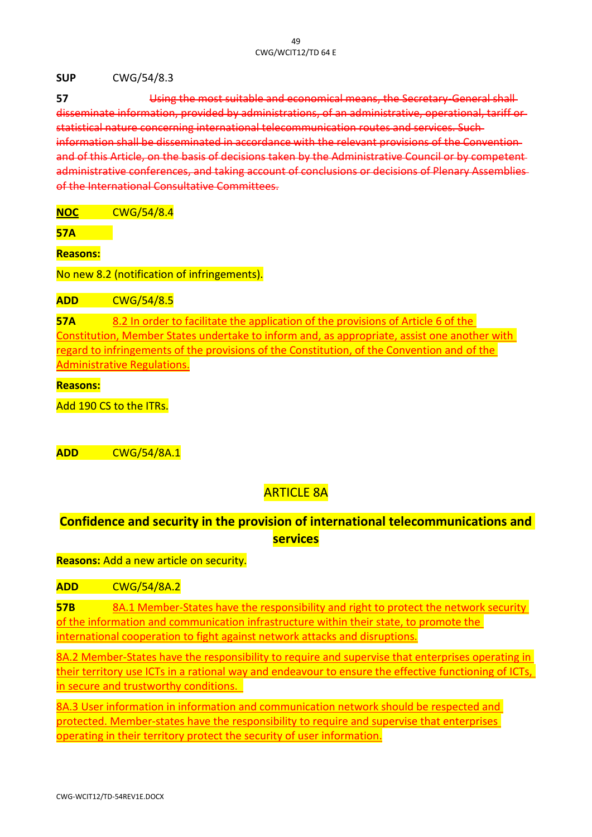**SUP** CWG/54/8.3

**57** Using the most suitable and economical means, the Secretary-General shall disseminate information, provided by administrations, of an administrative, operational, tariff or statistical nature concerning international telecommunication routes and services. Such information shall be disseminated in accordance with the relevant provisions of the Convention and of this Article, on the basis of decisions taken by the Administrative Council or by com administrative conferences, and taking account of conclusions or decisions of Plenary Assemblies of the International Consultative Committees.

**NOC** CWG/54/8.4

**57A**

**Reasons:**

No new 8.2 (notification of infringements).

**ADD** CWG/54/8.5

**57A** 8.2 In order to facilitate the application of the provisions of Article 6 of the Constitution, Member States undertake to inform and, as appropriate, assist one another with regard to infringements of the provisions of the Constitution, of the Convention and of the Administrative Regulations.

**Reasons:**

Add 190 CS to the ITRs.

**ADD** CWG/54/8A.1

# ARTICLE 8A

# **Confidence and security in the provision of international telecommunications and services**

**Reasons:** Add a new article on security.

**ADD** CWG/54/8A.2

**57B** 8A.1 Member-States have the responsibility and right to protect the network security of the information and communication infrastructure within their state, to promote the international cooperation to fight against network attacks and disruptions.

8A.2 Member-States have the responsibility to require and supervise that enterprises operating in their territory use ICTs in a rational way and endeavour to ensure the effective functioning of ICTs, in secure and trustworthy conditions.

8A.3 User information in information and communication network should be respected and protected. Member-states have the responsibility to require and supervise that enterprises operating in their territory protect the security of user information.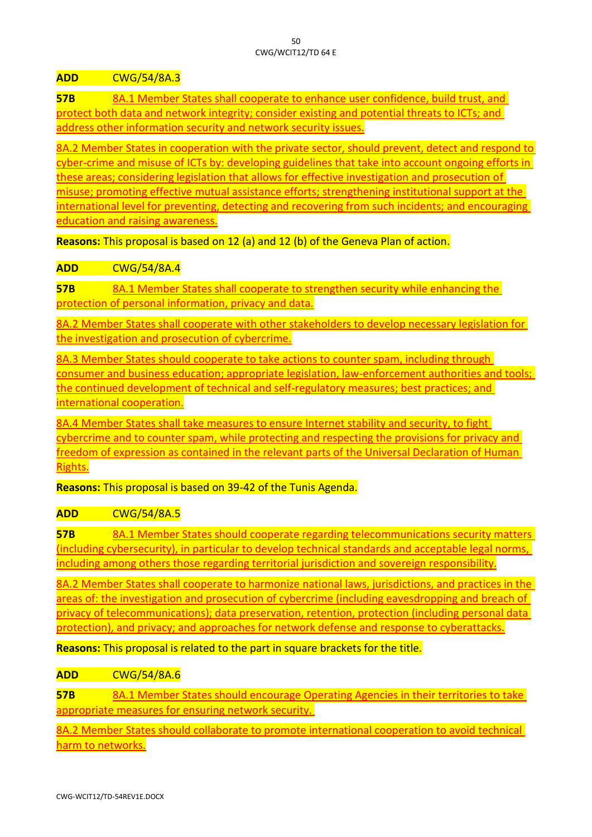**ADD** CWG/54/8A.3

**57B** 8A.1 Member States shall cooperate to enhance user confidence, build trust, and protect both data and network integrity; consider existing and potential threats to ICTs; and address other information security and network security issues.

8A.2 Member States in cooperation with the private sector, should prevent, detect and respond to cyber-crime and misuse of ICTs by: developing guidelines that take into account ongoing efforts in these areas; considering legislation that allows for effective investigation and prosecution of misuse; promoting effective mutual assistance efforts; strengthening institutional support at the international level for preventing, detecting and recovering from such incidents; and encouraging education and raising awareness.

**Reasons:** This proposal is based on 12 (a) and 12 (b) of the Geneva Plan of action.

**ADD** CWG/54/8A.4

**57B** 8A.1 Member States shall cooperate to strengthen security while enhancing the protection of personal information, privacy and data.

8A.2 Member States shall cooperate with other stakeholders to develop necessary legislation for the investigation and prosecution of cybercrime.

8A.3 Member States should cooperate to take actions to counter spam, including through consumer and business education; appropriate legislation, law-enforcement authorities and tools; the continued development of technical and self-regulatory measures; best practices; and international cooperation.

8A.4 Member States shall take measures to ensure Internet stability and security, to fight cybercrime and to counter spam, while protecting and respecting the provisions for privacy and freedom of expression as contained in the relevant parts of the Universal Declaration of Human Rights.

**Reasons:** This proposal is based on 39-42 of the Tunis Agenda.

**ADD** CWG/54/8A.5

**57B** 8A.1 Member States should cooperate regarding telecommunications security matters (including cybersecurity), in particular to develop technical standards and acceptable legal norms, including among others those regarding territorial jurisdiction and sovereign responsibility.

8A.2 Member States shall cooperate to harmonize national laws, jurisdictions, and practices in the areas of: the investigation and prosecution of cybercrime (including eavesdropping and breach of privacy of telecommunications); data preservation, retention, protection (including personal data protection), and privacy; and approaches for network defense and response to cyberattacks.

**Reasons:** This proposal is related to the part in square brackets for the title.

# **ADD** CWG/54/8A.6

**57B** 8A.1 Member States should encourage Operating Agencies in their territories to take appropriate measures for ensuring network security.

8A.2 Member States should collaborate to promote international cooperation to avoid technical harm to networks.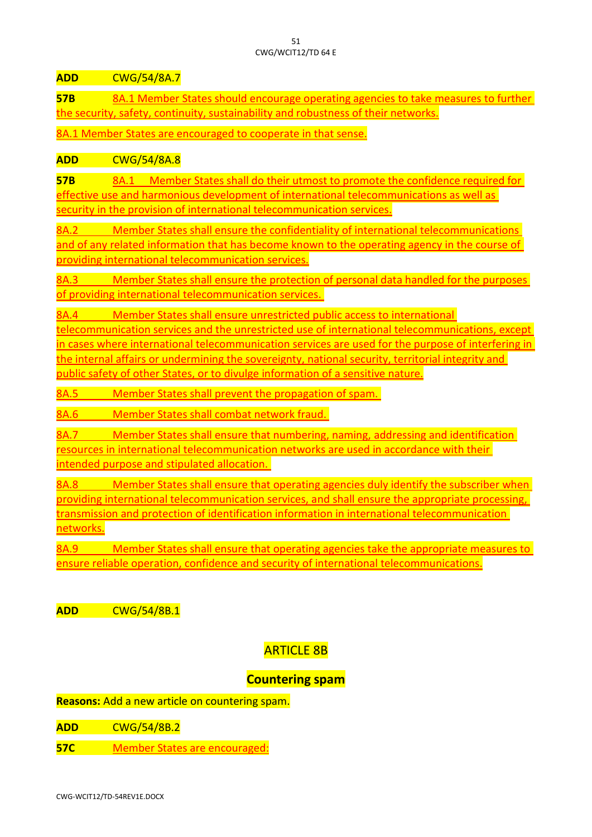**ADD** CWG/54/8A.7

**57B** 8A.1 Member States should encourage operating agencies to take measures to further the security, safety, continuity, sustainability and robustness of their networks.

8A.1 Member States are encouraged to cooperate in that sense.

## **ADD** CWG/54/8A.8

**57B** 8A.1 Member States shall do their utmost to promote the confidence required for effective use and harmonious development of international telecommunications as well as security in the provision of international telecommunication services.

8A.2 Member States shall ensure the confidentiality of international telecommunications and of any related information that has become known to the operating agency in the course of providing international telecommunication services.

8A.3 Member States shall ensure the protection of personal data handled for the purposes of providing international telecommunication services.

8A.4 Member States shall ensure unrestricted public access to international

telecommunication services and the unrestricted use of international telecommunications, except in cases where international telecommunication services are used for the purpose of interfering in the internal affairs or undermining the sovereignty, national security, territorial integrity and public safety of other States, or to divulge information of a sensitive nature.

8A.5 Member States shall prevent the propagation of spam.

8A.6 Member States shall combat network fraud.

8A.7 Member States shall ensure that numbering, naming, addressing and identification resources in international telecommunication networks are used in accordance with their intended purpose and stipulated allocation.

8A.8 Member States shall ensure that operating agencies duly identify the subscriber when providing international telecommunication services, and shall ensure the appropriate processing, transmission and protection of identification information in international telecommunication networks.

8A.9 Member States shall ensure that operating agencies take the appropriate measures to ensure reliable operation, confidence and security of international telecommunications.

**ADD** CWG/54/8B.1

# ARTICLE 8B

# **Countering spam**

**Reasons:** Add a new article on countering spam.

- **ADD** CWG/54/8B.2
- **57C** Member States are encouraged: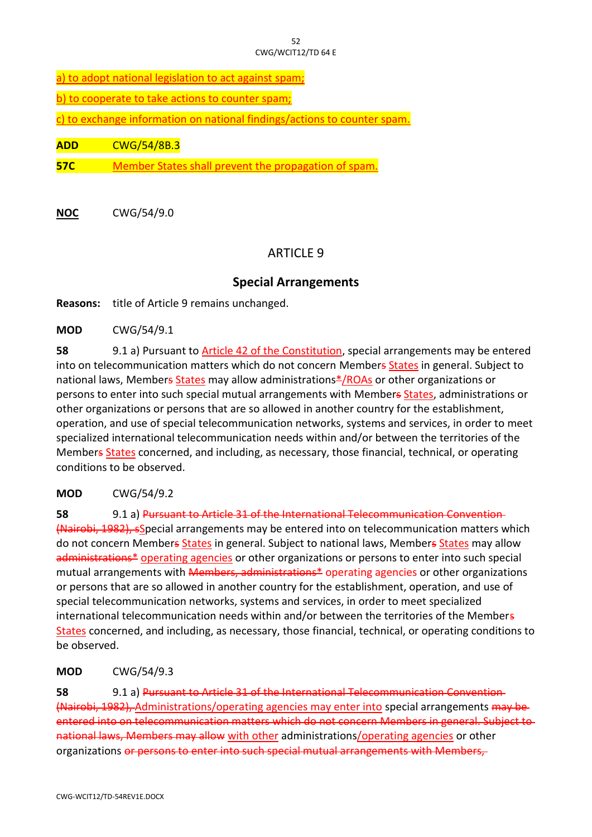a) to adopt national legislation to act against spam;

b) to cooperate to take actions to counter spam;

c) to exchange information on national findings/actions to counter spam.

**ADD** CWG/54/8B.3

**57C** Member States shall prevent the propagation of spam.

**NOC** CWG/54/9.0

# ARTICLE 9

#### **Special Arrangements**

**Reasons:** title of Article 9 remains unchanged.

**MOD** CWG/54/9.1

**58** 9.1 a) Pursuant to Article 42 of the Constitution, special arrangements may be entered into on telecommunication matters which do not concern Members States in general. Subject to national laws, Members States may allow administrations\*/ROAs or other organizations or persons to enter into such special mutual arrangements with Members States, administrations or other organizations or persons that are so allowed in another country for the establishment, operation, and use of special telecommunication networks, systems and services, in order to meet specialized international telecommunication needs within and/or between the territories of the Members States concerned, and including, as necessary, those financial, technical, or operating conditions to be observed.

**MOD** CWG/54/9.2

**58** 9.1 a) Pursuant to Article 31 of the International Telecommunication Convention (Nairobi, 1982), sSpecial arrangements may be entered into on telecommunication matters which do not concern Members States in general. Subject to national laws, Members States may allow administrations<sup>\*</sup> operating agencies or other organizations or persons to enter into such special mutual arrangements with Members, administrations\* operating agencies or other organizations or persons that are so allowed in another country for the establishment, operation, and use of special telecommunication networks, systems and services, in order to meet specialized international telecommunication needs within and/or between the territories of the Members States concerned, and including, as necessary, those financial, technical, or operating conditions to be observed.

**MOD** CWG/54/9.3

**58** 9.1 a) Pursuant to Article 31 of the International Telecommunication Convention (Nairobi, 1982), Administrations/operating agencies may enter into special arrangements may be entered into on telecommunication matters which do not concern Members in general. Subject to national laws, Members may allow with other administrations/operating agencies or other organizations or persons to enter into such special mutual arrangements with Members.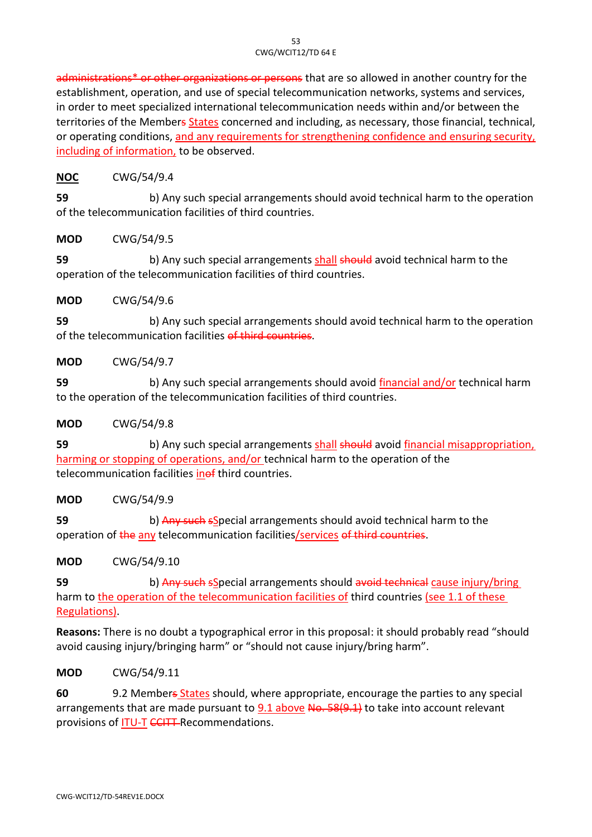administrations<sup>\*</sup> or other organizations or persons that are so allowed in another country for the establishment, operation, and use of special telecommunication networks, systems and services, in order to meet specialized international telecommunication needs within and/or between the territories of the Members States concerned and including, as necessary, those financial, technical, or operating conditions, and any requirements for strengthening confidence and ensuring security, including of information, to be observed.

# **NOC** CWG/54/9.4

**59** b) Any such special arrangements should avoid technical harm to the operation of the telecommunication facilities of third countries.

## **MOD** CWG/54/9.5

**59** b) Any such special arrangements shall should avoid technical harm to the operation of the telecommunication facilities of third countries.

## **MOD** CWG/54/9.6

**59** b) Any such special arrangements should avoid technical harm to the operation of the telecommunication facilities of third countries.

# **MOD** CWG/54/9.7

**59** b) Any such special arrangements should avoid financial and/or technical harm to the operation of the telecommunication facilities of third countries.

## **MOD** CWG/54/9.8

**59** b) Any such special arrangements shall should avoid financial misappropriation, harming or stopping of operations, and/or technical harm to the operation of the telecommunication facilities inef third countries.

## **MOD** CWG/54/9.9

**59** b) Any such sSpecial arrangements should avoid technical harm to the operation of the any telecommunication facilities/services of third countries.

## **MOD** CWG/54/9.10

**59** b) Any such sSpecial arrangements should avoid technical cause injury/bring harm to the operation of the telecommunication facilities of third countries (see 1.1 of these Regulations).

**Reasons:** There is no doubt a typographical error in this proposal: it should probably read "should avoid causing injury/bringing harm" or "should not cause injury/bring harm".

# **MOD** CWG/54/9.11

**60** 9.2 Members States should, where appropriate, encourage the parties to any special arrangements that are made pursuant to  $9.1$  above No. 58(9.1) to take into account relevant provisions of **ITU-T CCITT-Recommendations.**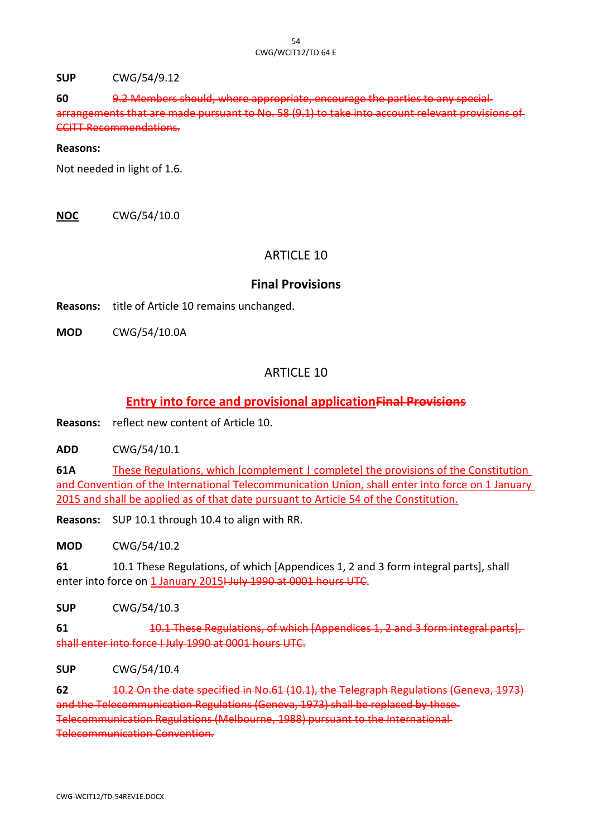**SUP** CWG/54/9.12

**60** 9.2 Members should, where appropriate, encourage the parties to any special arrangements that are made pursuant to No. 58 (9.1) to take into account relevant provisions of CCITT Recommendations.

#### **Reasons:**

Not needed in light of 1.6.

**NOC** CWG/54/10.0

# ARTICLE 10

## **Final Provisions**

**Reasons:** title of Article 10 remains unchanged.

**MOD** CWG/54/10.0A

# ARTICLE 10

# **Entry into force and provisional applicationFinal Provisions**

**Reasons:** reflect new content of Article 10.

**ADD** CWG/54/10.1

**61A** These Regulations, which [complement | complete] the provisions of the Constitution and Convention of the International Telecommunication Union, shall enter into force on 1 January 2015 and shall be applied as of that date pursuant to Article 54 of the Constitution.

**Reasons:** SUP 10.1 through 10.4 to align with RR.

**MOD** CWG/54/10.2

**61** 10.1 These Regulations, of which [Appendices 1, 2 and 3 form integral parts], shall enter into force on 1 January 2015<del>I July 1990 at 0001 hours UTC</del>.

**SUP** CWG/54/10.3

**61** 10.1 These Regulations, of which [Appendices 1, 2 and 3 form integral parts], shall enter into force I July 1990 at 0001 hours UTC.

**SUP** CWG/54/10.4

**62** 10.2 On the date specified in No.61 (10.1), the Telegraph Regulations (Geneva, 1973) and the Telecommunication Regulations (Geneva, 1973) shall be replaced by these Telecommunication Regulations (Melbourne, 1988) pursuant to the International Telecommunication Convention.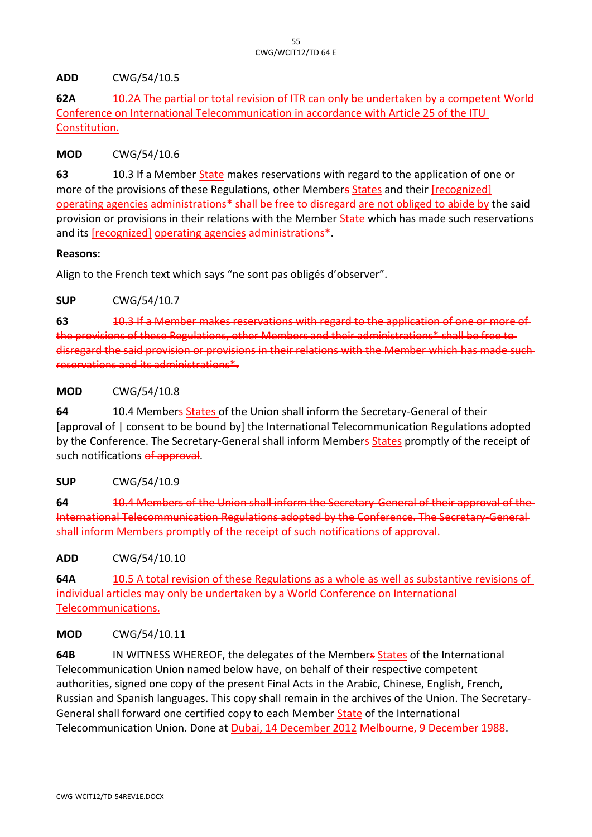## **ADD** CWG/54/10.5

**62A** 10.2A The partial or total revision of ITR can only be undertaken by a competent World Conference on International Telecommunication in accordance with Article 25 of the ITU Constitution.

#### **MOD** CWG/54/10.6

**63** 10.3 If a Member State makes reservations with regard to the application of one or more of the provisions of these Regulations, other Members States and their [recognized] operating agencies administrations\* shall be free to disregard are not obliged to abide by the said provision or provisions in their relations with the Member State which has made such reservations and its [recognized] operating agencies administrations\*.

#### **Reasons:**

Align to the French text which says "ne sont pas obligés d'observer".

## **SUP** CWG/54/10.7

**63** 10.3 If a Member makes reservations with regard to the application of one or more of the provisions of these Regulations, other Members and their administrations\* shall be free to disregard the said provision or provisions in their relations with the Member which has made such reservations and its administrations\*.

## **MOD** CWG/54/10.8

**64** 10.4 Members States of the Union shall inform the Secretary-General of their [approval of | consent to be bound by] the International Telecommunication Regulations adopted by the Conference. The Secretary-General shall inform Members States promptly of the receipt of such notifications of approval.

## **SUP** CWG/54/10.9

**64** 10.4 Members of the Union shall inform the Secretary-General of their approval of the International Telecommunication Regulations adopted by the Conference. The Secretary-General shall inform Members promptly of the receipt of such notifications of approval.

**ADD** CWG/54/10.10

**64A** 10.5 A total revision of these Regulations as a whole as well as substantive revisions of individual articles may only be undertaken by a World Conference on International Telecommunications.

## **MOD** CWG/54/10.11

**64B** IN WITNESS WHEREOF, the delegates of the Members States of the International Telecommunication Union named below have, on behalf of their respective competent authorities, signed one copy of the present Final Acts in the Arabic, Chinese, English, French, Russian and Spanish languages. This copy shall remain in the archives of the Union. The Secretary-General shall forward one certified copy to each Member **State** of the International Telecommunication Union. Done at Dubai, 14 December 2012 Melbourne, 9 December 1988.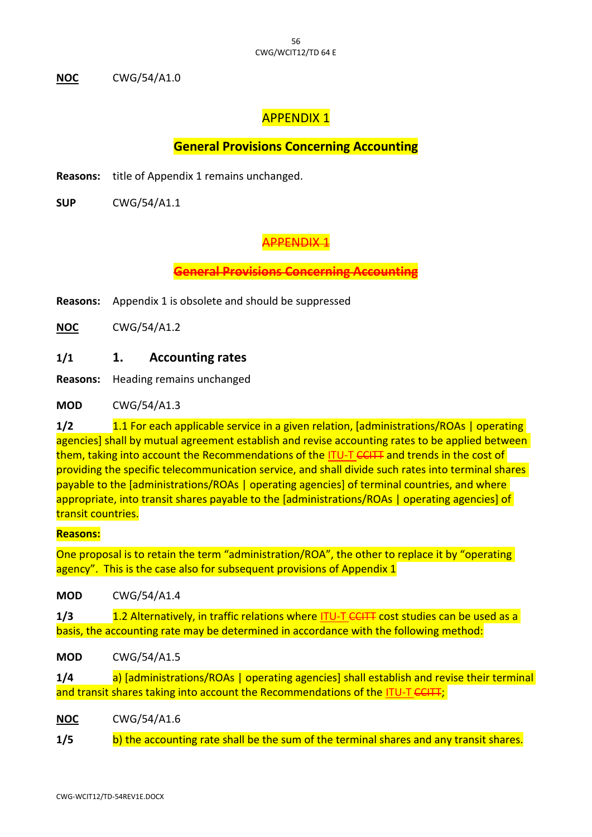**NOC** CWG/54/A1.0

# APPENDIX 1

# **General Provisions Concerning Accounting**

**Reasons:** title of Appendix 1 remains unchanged.

**SUP** CWG/54/A1.1

# APPENDIX 1

**General Provisions Concerning Accounting**

**Reasons:** Appendix 1 is obsolete and should be suppressed

**NOC** CWG/54/A1.2

# **1/1 1. Accounting rates**

**Reasons:** Heading remains unchanged

**MOD** CWG/54/A1.3

**1/2** 1.1 For each applicable service in a given relation, [administrations/ROAs | operating agencies] shall by mutual agreement establish and revise accounting rates to be applied between them, taking into account the Recommendations of the ITU-T CCITT and trends in the cost of providing the specific telecommunication service, and shall divide such rates into terminal shares payable to the [administrations/ROAs | operating agencies] of terminal countries, and where appropriate, into transit shares payable to the [administrations/ROAs | operating agencies] of transit countries.

#### **Reasons:**

One proposal is to retain the term "administration/ROA", the other to replace it by "operating agency". This is the case also for subsequent provisions of Appendix 1

**MOD** CWG/54/A1.4

**1/3** 1.2 Alternatively, in traffic relations where ITU-T CCITT cost studies can be used as a basis, the accounting rate may be determined in accordance with the following method:

**MOD** CWG/54/A1.5

**1/4** a) [administrations/ROAs | operating agencies] shall establish and revise their terminal and transit shares taking into account the Recommendations of the ITU-T CCITT;

**NOC** CWG/54/A1.6

**1/5** b) the accounting rate shall be the sum of the terminal shares and any transit shares.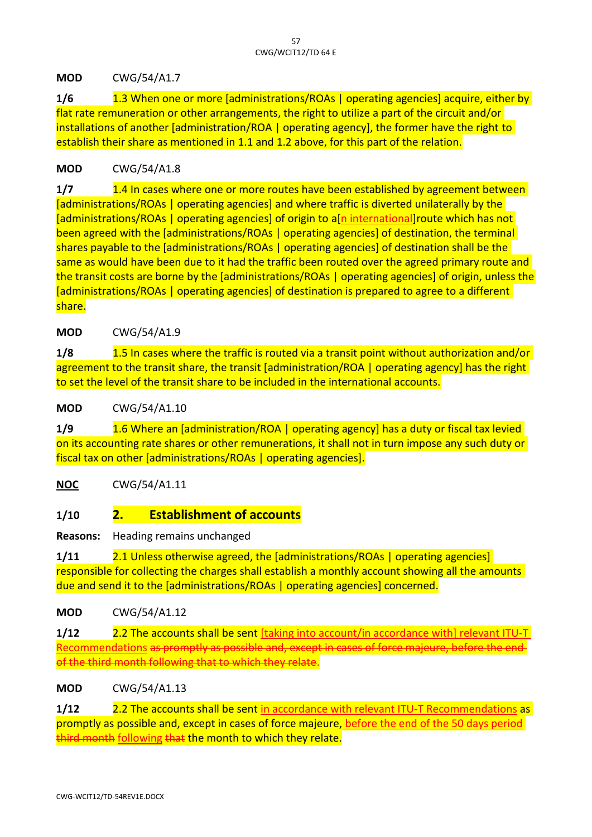**MOD** CWG/54/A1.7

**1/6** 1.3 When one or more [administrations/ROAs | operating agencies] acquire, either by flat rate remuneration or other arrangements, the right to utilize a part of the circuit and/or installations of another [administration/ROA | operating agency], the former have the right to establish their share as mentioned in 1.1 and 1.2 above, for this part of the relation.

# **MOD** CWG/54/A1.8

**1/7** 1.4 In cases where one or more routes have been established by agreement between [administrations/ROAs | operating agencies] and where traffic is diverted unilaterally by the [administrations/ROAs | operating agencies] of origin to a[n international]route which has not been agreed with the [administrations/ROAs | operating agencies] of destination, the terminal shares payable to the [administrations/ROAs | operating agencies] of destination shall be the same as would have been due to it had the traffic been routed over the agreed primary route and the transit costs are borne by the [administrations/ROAs | operating agencies] of origin, unless the [administrations/ROAs | operating agencies] of destination is prepared to agree to a different share.

# **MOD** CWG/54/A1.9

**1/8** 1.5 In cases where the traffic is routed via a transit point without authorization and/or agreement to the transit share, the transit [administration/ROA | operating agency] has the right to set the level of the transit share to be included in the international accounts.

**MOD** CWG/54/A1.10

**1/9** 1.6 Where an [administration/ROA | operating agency] has a duty or fiscal tax levied on its accounting rate shares or other remunerations, it shall not in turn impose any such duty or fiscal tax on other [administrations/ROAs | operating agencies].

**NOC** CWG/54/A1.11

# **1/10 2. Establishment of accounts**

**Reasons:** Heading remains unchanged

**1/11** 2.1 Unless otherwise agreed, the [administrations/ROAs | operating agencies] responsible for collecting the charges shall establish a monthly account showing all the amounts due and send it to the [administrations/ROAs | operating agencies] concerned.

**MOD** CWG/54/A1.12

**1/12** 2.2 The accounts shall be sent [taking into account/in accordance with] relevant ITU-T Recommendations as promptly as possible and, except in cases of force majeure, before the end of the third month following that to which they relate.

**MOD** CWG/54/A1.13

**1/12** 2.2 The accounts shall be sent in accordance with relevant ITU-T Recommendations as promptly as possible and, except in cases of force majeure, before the end of the 50 days period third month following that the month to which they relate.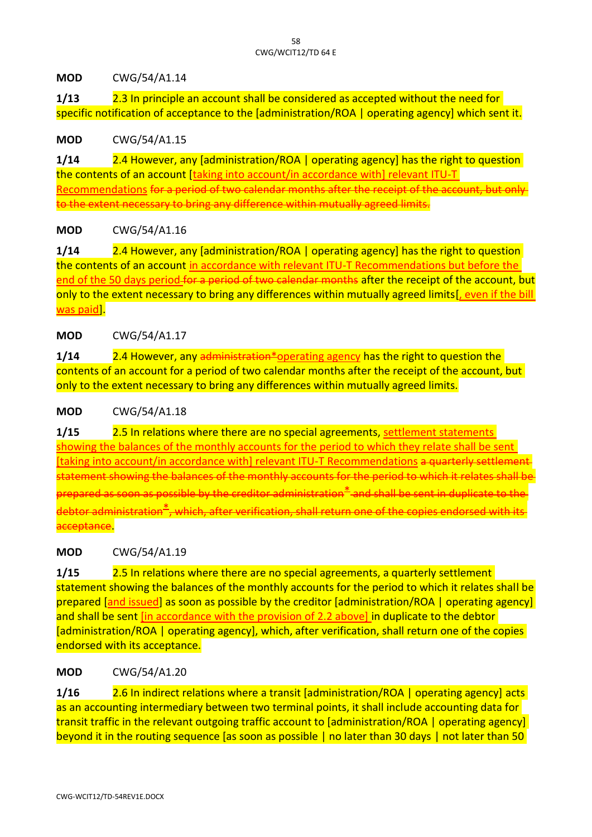## **MOD** CWG/54/A1.14

**1/13** 2.3 In principle an account shall be considered as accepted without the need for specific notification of acceptance to the [administration/ROA | operating agency] which sent it.

## **MOD** CWG/54/A1.15

**1/14** 2.4 However, any [administration/ROA | operating agency] has the right to question the contents of an account [taking into account/in accordance with] relevant ITU-T Recommendations for a period of two calendar months after the receipt of the account issary to bring any difference within mutually agreed

# **MOD** CWG/54/A1.16

**1/14** 2.4 However, any [administration/ROA | operating agency] has the right to question the contents of an account in accordance with relevant ITU-T Recommendations but before the end of the 50 days period for a period of two calendar months after the receipt of the account, but only to the extent necessary to bring any differences within mutually agreed limits[, even if the bill was paid].

# **MOD** CWG/54/A1.17

**1/14** 2.4 However, any administration\*operating agency has the right to question the contents of an account for a period of two calendar months after the receipt of the account, but only to the extent necessary to bring any differences within mutually agreed limits.

## **MOD** CWG/54/A1.18

**1/15** 2.5 In relations where there are no special agreements, settlement statements showing the balances of the monthly accounts for the period to which they relate shall be sent [taking into account/in accordance with] relevant ITU-T Recommendations a quarterly settlement of the settlement statement showing the balances of the monthly accounts for the period to which it relates shall be  $\overline{\mathsf{prepared}}$  as soon as possible by the creditor administration $\textup{\texttt{+}}$  and shall be sent in duplicate to the which, after verification, acceptance.

## **MOD** CWG/54/A1.19

**1/15** 2.5 In relations where there are no special agreements, a quarterly settlement statement showing the balances of the monthly accounts for the period to which it relates shall be prepared [and issued] as soon as possible by the creditor [administration/ROA | operating agency] and shall be sent [in accordance with the provision of 2.2 above] in duplicate to the debtor [administration/ROA | operating agency], which, after verification, shall return one of the copies endorsed with its acceptance.

# **MOD** CWG/54/A1.20

**1/16** 2.6 In indirect relations where a transit [administration/ROA | operating agency] acts as an accounting intermediary between two terminal points, it shall include accounting data for transit traffic in the relevant outgoing traffic account to [administration/ROA | operating agency] beyond it in the routing sequence [as soon as possible | no later than 30 days | not later than 50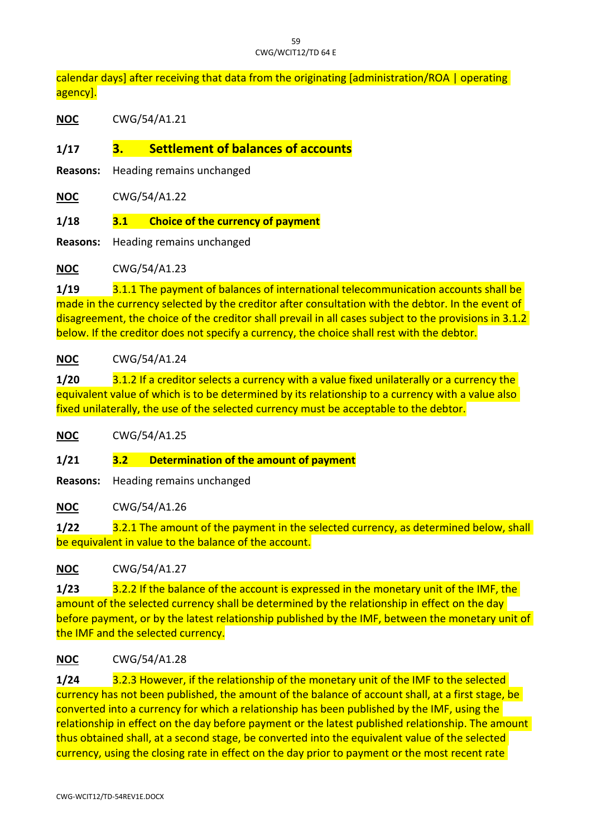calendar days] after receiving that data from the originating [administration/ROA | operating agency].

**NOC** CWG/54/A1.21

**1/17 3. Settlement of balances of accounts**

**Reasons:** Heading remains unchanged

**NOC** CWG/54/A1.22

**1/18 3.1 Choice of the currency of payment**

**Reasons:** Heading remains unchanged

**NOC** CWG/54/A1.23

**1/19** 3.1.1 The payment of balances of international telecommunication accounts shall be made in the currency selected by the creditor after consultation with the debtor. In the event of disagreement, the choice of the creditor shall prevail in all cases subject to the provisions in 3.1.2 below. If the creditor does not specify a currency, the choice shall rest with the debtor.

# **NOC** CWG/54/A1.24

**1/20** 3.1.2 If a creditor selects a currency with a value fixed unilaterally or a currency the equivalent value of which is to be determined by its relationship to a currency with a value also fixed unilaterally, the use of the selected currency must be acceptable to the debtor.

**NOC** CWG/54/A1.25

**1/21 3.2 Determination of the amount of payment**

**Reasons:** Heading remains unchanged

**NOC** CWG/54/A1.26

**1/22** 3.2.1 The amount of the payment in the selected currency, as determined below, shall be equivalent in value to the balance of the account.

**NOC** CWG/54/A1.27

**1/23** 3.2.2 If the balance of the account is expressed in the monetary unit of the IMF, the amount of the selected currency shall be determined by the relationship in effect on the day before payment, or by the latest relationship published by the IMF, between the monetary unit of the IMF and the selected currency.

# **NOC** CWG/54/A1.28

**1/24** 3.2.3 However, if the relationship of the monetary unit of the IMF to the selected currency has not been published, the amount of the balance of account shall, at a first stage, be converted into a currency for which a relationship has been published by the IMF, using the relationship in effect on the day before payment or the latest published relationship. The amount thus obtained shall, at a second stage, be converted into the equivalent value of the selected currency, using the closing rate in effect on the day prior to payment or the most recent rate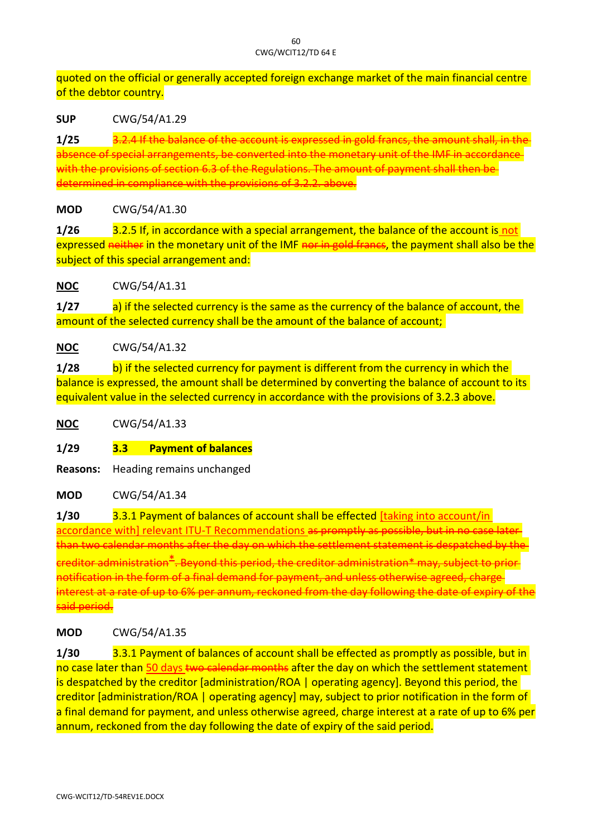quoted on the official or generally accepted foreign exchange market of the main financial centre of the debtor country.

**SUP** CWG/54/A1.29

**1/25** 3.2.4 If the balance of the account absence of special arrangements, be converted into the monetary unit of the IMF in accordance with the provisions of section 6.3 of the Regulations. The amount of payment shall then be  $\theta$  etermined in compliance with the provisions of 3.2.

## **MOD** CWG/54/A1.30

**1/26** 3.2.5 If, in accordance with a special arrangement, the balance of the account is not expressed neither in the monetary unit of the IMF nor in gold francs, the payment shall also be the subject of this special arrangement and:

**NOC** CWG/54/A1.31

**1/27** a) if the selected currency is the same as the currency of the balance of account, the amount of the selected currency shall be the amount of the balance of account;

# **NOC** CWG/54/A1.32

**1/28** b) if the selected currency for payment is different from the currency in which the balance is expressed, the amount shall be determined by converting the balance of account to its equivalent value in the selected currency in accordance with the provisions of 3.2.3 above.

**NOC** CWG/54/A1.33

# **1/29 3.3 Payment of balances**

**Reasons:** Heading remains unchanged

**MOD** CWG/54/A1.34

**1/30** 3.3.1 Payment of balances of account shall be effected [taking into account/in accordance with] relevant ITU-T Recommendations as promptly as pos than two calendar months after the day on which the settlement statement is despated by the statement is designed by the statement is designed at the statement is designed at the statement of the statement is designed at t  ${\rm creditor}$  administration $^*$ . Beyond this period, the creditor administration $^*$ notification in the form of a final demand for payment, and unless nterest at a rate of up to 6% per annum, reckoned from the day following the aid period.

## **MOD** CWG/54/A1.35

**1/30** 3.3.1 Payment of balances of account shall be effected as promptly as possible, but in no case later than 50 days two calendar months after the day on which the settlement statement is despatched by the creditor [administration/ROA | operating agency]. Beyond this period, the creditor [administration/ROA | operating agency] may, subject to prior notification in the form of a final demand for payment, and unless otherwise agreed, charge interest at a rate of up to 6% per annum, reckoned from the day following the date of expiry of the said period.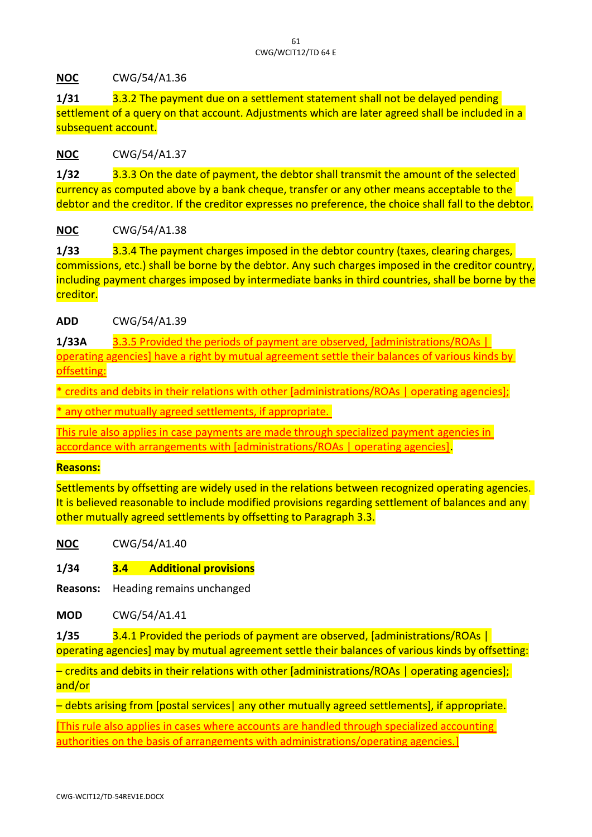**NOC** CWG/54/A1.36

**1/31** 3.3.2 The payment due on a settlement statement shall not be delayed pending settlement of a query on that account. Adjustments which are later agreed shall be included in a subsequent account.

## **NOC** CWG/54/A1.37

**1/32** 3.3.3 On the date of payment, the debtor shall transmit the amount of the selected currency as computed above by a bank cheque, transfer or any other means acceptable to the debtor and the creditor. If the creditor expresses no preference, the choice shall fall to the debtor.

## **NOC** CWG/54/A1.38

**1/33** 3.3.4 The payment charges imposed in the debtor country (taxes, clearing charges, commissions, etc.) shall be borne by the debtor. Any such charges imposed in the creditor country, including payment charges imposed by intermediate banks in third countries, shall be borne by the creditor.

**ADD** CWG/54/A1.39

**1/33A** 3.3.5 Provided the periods of payment are observed, [administrations/ROAs | operating agencies] have a right by mutual agreement settle their balances of various kinds by offsetting:

\* credits and debits in their relations with other [administrations/ROAs | operating agencies];

\* any other mutually agreed settlements, if appropriate.

This rule also applies in case payments are made through specialized payment agencies in accordance with arrangements with [administrations/ROAs | operating agencies].

## **Reasons:**

Settlements by offsetting are widely used in the relations between recognized operating agencies. It is believed reasonable to include modified provisions regarding settlement of balances and any other mutually agreed settlements by offsetting to Paragraph 3.3.

**NOC** CWG/54/A1.40

**1/34 3.4 Additional provisions**

**Reasons:** Heading remains unchanged

**MOD** CWG/54/A1.41

**1/35** 3.4.1 Provided the periods of payment are observed, [administrations/ROAs | operating agencies] may by mutual agreement settle their balances of various kinds by offsetting:

– credits and debits in their relations with other [administrations/ROAs | operating agencies]; and/or

- debts arising from [postal services] any other mutually agreed settlements], if appropriate.

[This rule also applies in cases where accounts are handled through specialized accounting authorities on the basis of arrangements with administrations/operating agencies.]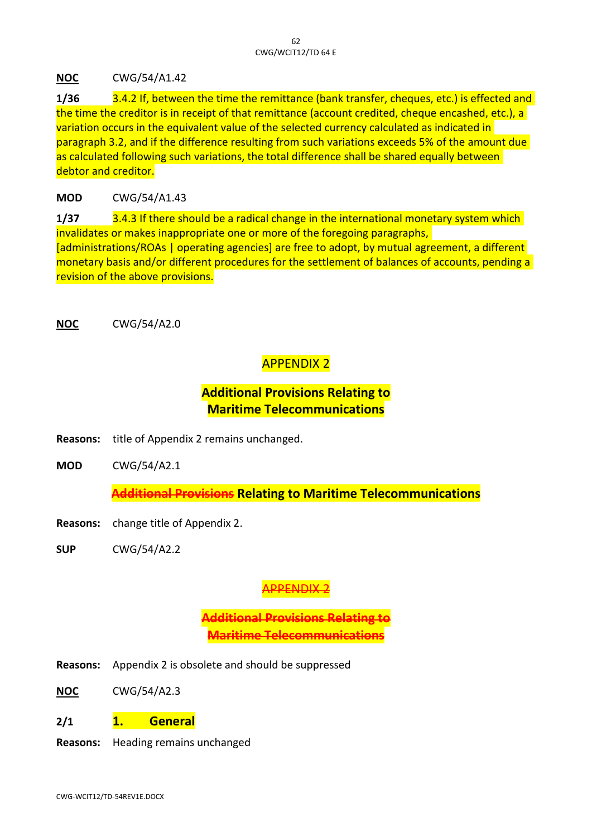**NOC** CWG/54/A1.42

**1/36** 3.4.2 If, between the time the remittance (bank transfer, cheques, etc.) is effected and the time the creditor is in receipt of that remittance (account credited, cheque encashed, etc.), a variation occurs in the equivalent value of the selected currency calculated as indicated in paragraph 3.2, and if the difference resulting from such variations exceeds 5% of the amount due as calculated following such variations, the total difference shall be shared equally between debtor and creditor.

# **MOD** CWG/54/A1.43

**1/37** 3.4.3 If there should be a radical change in the international monetary system which invalidates or makes inappropriate one or more of the foregoing paragraphs, [administrations/ROAs | operating agencies] are free to adopt, by mutual agreement, a different monetary basis and/or different procedures for the settlement of balances of accounts, pending a revision of the above provisions.

**NOC** CWG/54/A2.0

# APPENDIX 2

# **Additional Provisions Relating to Maritime Telecommunications**

- **Reasons:** title of Appendix 2 remains unchanged.
- **MOD** CWG/54/A2.1

**Additional Provisions Relating to Maritime Telecommunications**

- **Reasons:** change title of Appendix 2.
- **SUP** CWG/54/A2.2

# APPENDIX 2

**Additional Provisions Rel Maritime Telecommunications**

- **Reasons:** Appendix 2 is obsolete and should be suppressed
- **NOC** CWG/54/A2.3
- **2/1 1. General**
- **Reasons:** Heading remains unchanged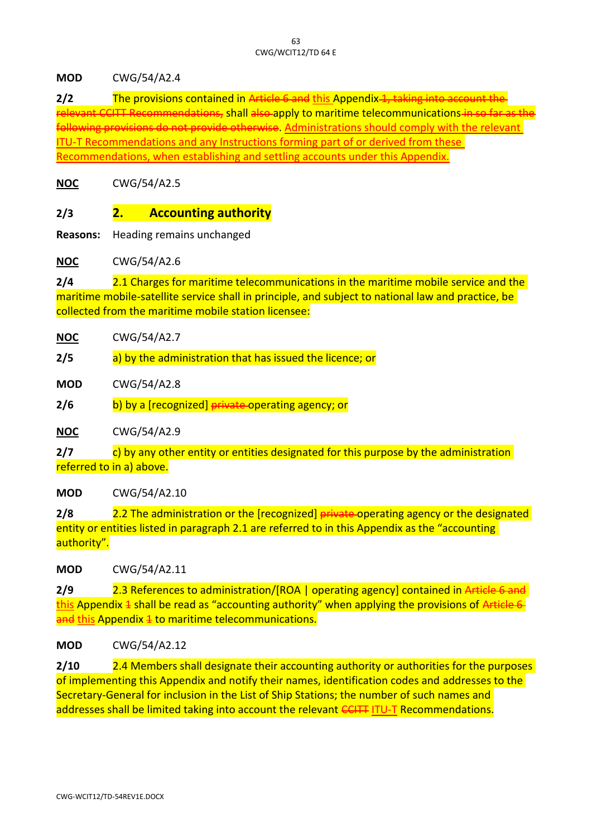#### **MOD** CWG/54/A2.4

**2/2** The provisions contained in Article 6 and this Appendix 1, taking in relevant CCITT Recommendations, shall also apply to maritime telecommunications in se following provisions do not provide otherwise. Administrations should comply with the relevant ITU-T Recommendations and any Instructions forming part of or derived from these Recommendations, when establishing and settling accounts under this Appendix.

**NOC** CWG/54/A2.5

# **2/3 2. Accounting authority**

**Reasons:** Heading remains unchanged

**NOC** CWG/54/A2.6

**2/4** 2.1 Charges for maritime telecommunications in the maritime mobile service and the maritime mobile-satellite service shall in principle, and subject to national law and practice, be collected from the maritime mobile station licensee:

**2/5** a) by the administration that has issued the licence; or

**MOD** CWG/54/A2.8

**2/6** b) by a [recognized] private-operating agency; or

**NOC** CWG/54/A2.9

**2/7** c) by any other entity or entities designated for this purpose by the administration referred to in a) above.

**MOD** CWG/54/A2.10

**2/8** 2.2 The administration or the [recognized] private-operating agency or the designated entity or entities listed in paragraph 2.1 are referred to in this Appendix as the "accounting" authority".

**MOD** CWG/54/A2.11

**2/9** 2.3 References to administration/[ROA | operating agency] contained in Article 6 and 2.3 this Appendix  $\frac{1}{2}$  shall be read as "accounting authority" when applying the provisions of Article 6 and this Appendix 4 to maritime telecommunications.

## **MOD** CWG/54/A2.12

**2/10** 2.4 Members shall designate their accounting authority or authorities for the purposes of implementing this Appendix and notify their names, identification codes and addresses to the Secretary-General for inclusion in the List of Ship Stations; the number of such names and addresses shall be limited taking into account the relevant CCITT ITU-T Recommendations.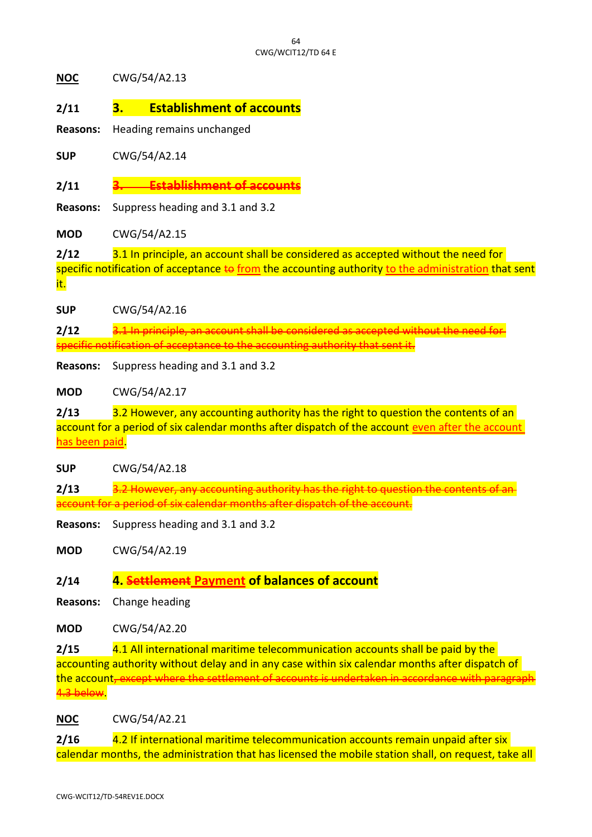**NOC** CWG/54/A2.13

- **2/11 3. Establishment of accounts**
- **Reasons:** Heading remains unchanged

**SUP** CWG/54/A2.14

**2/11 3. Establishment of accounts**

**Reasons:** Suppress heading and 3.1 and 3.2

**MOD** CWG/54/A2.15

**2/12** 3.1 In principle, an account shall be considered as accepted without the need for specific notification of acceptance to from the accounting authority to the administration that sent

it.

**SUP** CWG/54/A2.16

**2/12** 3.1 In principle, an account shall be considered as accepted without the need for specific notification of acceptance to the accounting authority that sent it.

**Reasons:** Suppress heading and 3.1 and 3.2

**MOD** CWG/54/A2.17

**2/13** 3.2 However, any accounting authority has the right to question the contents of an account for a period of six calendar months after dispatch of the account even after the account has been paid.

**SUP** CWG/54/A2.18

**2/13** 3.2 However, any accounting authority has the right to question the contents of an account for a period of six calendar months after dispatch of the account.

**Reasons:** Suppress heading and 3.1 and 3.2

**MOD** CWG/54/A2.19

**2/14 4. Settlement Payment of balances of account**

**Reasons:** Change heading

**MOD** CWG/54/A2.20

**2/15** 4.1 All international maritime telecommunication accounts shall be paid by the accounting authority without delay and in any case within six calendar months after dispatch of the account, except where the settlement of accounts is undertaken in accordance with paragrap 4.3 below.

**NOC** CWG/54/A2.21

**2/16** 4.2 If international maritime telecommunication accounts remain unpaid after six calendar months, the administration that has licensed the mobile station shall, on request, take all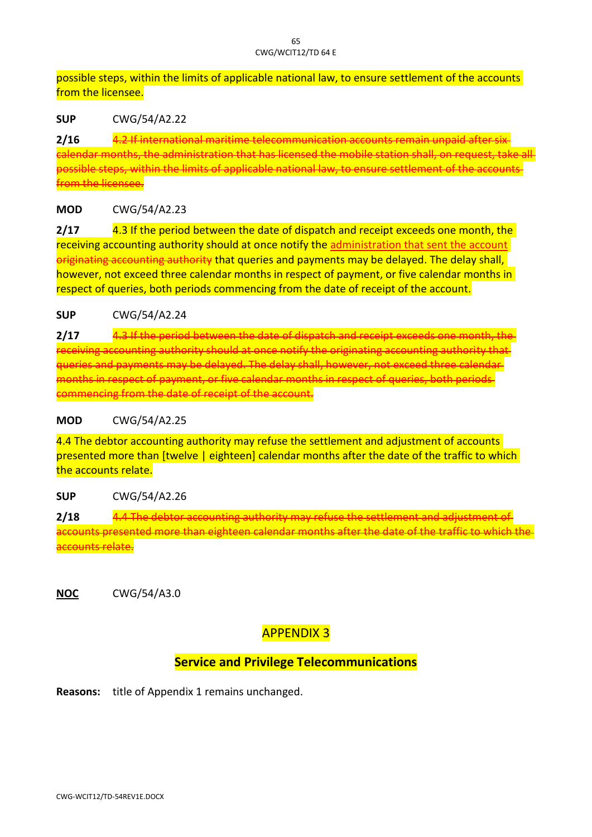possible steps, within the limits of applicable national law, to ensure settlement of the accounts from the licensee.

**SUP** CWG/54/A2.22

**2/16** 4.2 If international maritime telecommunication and a calendar months, the administration that has licensed the mobile station shall, on request, take all possible steps, within the limits of applicable national law, to ensure settlement of the accounts am the licensee.

# **MOD** CWG/54/A2.23

**2/17** 4.3 If the period between the date of dispatch and receipt exceeds one month, the receiving accounting authority should at once notify the administration that sent the account originating accounting authority that queries and payments may be delayed. The delay shall, however, not exceed three calendar months in respect of payment, or five calendar months in respect of queries, both periods commencing from the date of receipt of the account.

**SUP** CWG/54/A2.24

**2/17** 4.3 If the period between the date of dispatch and receipt exceeds one month, the receiving accounting authority should at once notify the originating accounting authority t queries and payments may be delayed. The delay shall, however, not exceed nonths in respect of payment, or five calendar months in respe commencing from the date of receipt of the account.

**MOD** CWG/54/A2.25

4.4 The debtor accounting authority may refuse the settlement and adjustment of accounts presented more than [twelve | eighteen] calendar months after the date of the traffic to which the accounts relate.

## **SUP** CWG/54/A2.26

**2/18 4.4 The debtor accounting authority may refuse the settlement and and adjustment** accounts presented more than eighteen calendar months after the date of the traffic to which the accounts relate.

**NOC** CWG/54/A3.0

# APPENDIX 3

# **Service and Privilege Telecommunications**

**Reasons:** title of Appendix 1 remains unchanged.